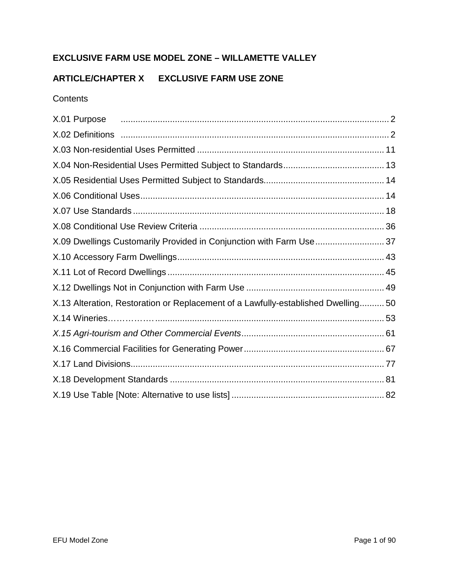# **EXCLUSIVE FARM USE MODEL ZONE – WILLAMETTE VALLEY**

# **ARTICLE/CHAPTER X EXCLUSIVE FARM USE ZONE**

#### **Contents**

| X.01 Purpose <i>manual content de la contentación de la contentación de la contentación de la contentación</i> de la contentación de la contentación de la contentación de la contentación de la contentación de la contentación de |  |
|-------------------------------------------------------------------------------------------------------------------------------------------------------------------------------------------------------------------------------------|--|
|                                                                                                                                                                                                                                     |  |
|                                                                                                                                                                                                                                     |  |
|                                                                                                                                                                                                                                     |  |
|                                                                                                                                                                                                                                     |  |
|                                                                                                                                                                                                                                     |  |
|                                                                                                                                                                                                                                     |  |
|                                                                                                                                                                                                                                     |  |
| X.09 Dwellings Customarily Provided in Conjunction with Farm Use37                                                                                                                                                                  |  |
|                                                                                                                                                                                                                                     |  |
|                                                                                                                                                                                                                                     |  |
|                                                                                                                                                                                                                                     |  |
| X.13 Alteration, Restoration or Replacement of a Lawfully-established Dwelling 50                                                                                                                                                   |  |
|                                                                                                                                                                                                                                     |  |
|                                                                                                                                                                                                                                     |  |
|                                                                                                                                                                                                                                     |  |
|                                                                                                                                                                                                                                     |  |
|                                                                                                                                                                                                                                     |  |
|                                                                                                                                                                                                                                     |  |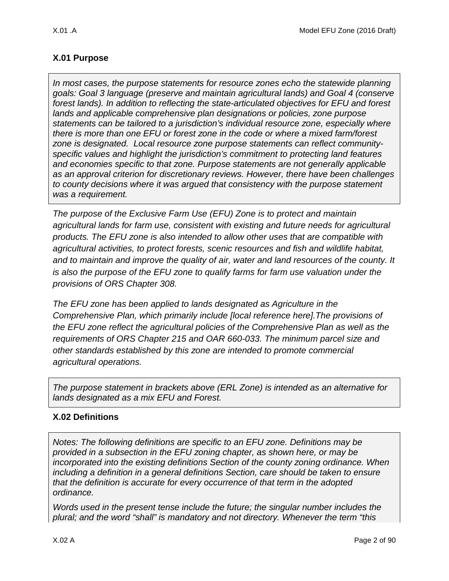# <span id="page-1-0"></span>**X.01 Purpose**

*In most cases, the purpose statements for resource zones echo the statewide planning goals: Goal 3 language (preserve and maintain agricultural lands) and Goal 4 (conserve forest lands). In addition to reflecting the state-articulated objectives for EFU and forest lands and applicable comprehensive plan designations or policies, zone purpose statements can be tailored to a jurisdiction's individual resource zone, especially where there is more than one EFU or forest zone in the code or where a mixed farm/forest zone is designated. Local resource zone purpose statements can reflect communityspecific values and highlight the jurisdiction's commitment to protecting land features and economies specific to that zone. Purpose statements are not generally applicable as an approval criterion for discretionary reviews. However, there have been challenges to county decisions where it was argued that consistency with the purpose statement was a requirement.* 

*The purpose of the Exclusive Farm Use (EFU) Zone is to protect and maintain agricultural lands for farm use, consistent with existing and future needs for agricultural products. The EFU zone is also intended to allow other uses that are compatible with agricultural activities, to protect forests, scenic resources and fish and wildlife habitat, and to maintain and improve the quality of air, water and land resources of the county. It is also the purpose of the EFU zone to qualify farms for farm use valuation under the provisions of ORS Chapter 308.*

*The EFU zone has been applied to lands designated as Agriculture in the Comprehensive Plan, which primarily include [local reference here].The provisions of the EFU zone reflect the agricultural policies of the Comprehensive Plan as well as the requirements of ORS Chapter 215 and OAR 660-033. The minimum parcel size and other standards established by this zone are intended to promote commercial agricultural operations.*

*The purpose statement in brackets above (ERL Zone) is intended as an alternative for lands designated as a mix EFU and Forest.*

## <span id="page-1-1"></span>**X.02 Definitions**

*Notes: The following definitions are specific to an EFU zone. Definitions may be provided in a subsection in the EFU zoning chapter, as shown here, or may be incorporated into the existing definitions Section of the county zoning ordinance. When including a definition in a general definitions Section, care should be taken to ensure that the definition is accurate for every occurrence of that term in the adopted ordinance.* 

*Words used in the present tense include the future; the singular number includes the plural; and the word "shall" is mandatory and not directory. Whenever the term "this*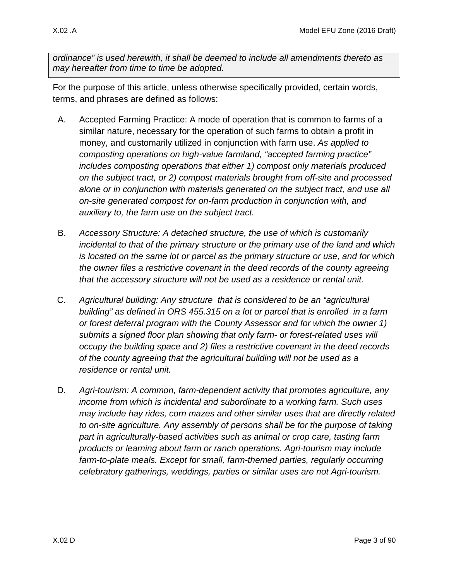*ordinance" is used herewith, it shall be deemed to include all amendments thereto as may hereafter from time to time be adopted.*

For the purpose of this article, unless otherwise specifically provided, certain words, terms, and phrases are defined as follows:

- A. Accepted Farming Practice: A mode of operation that is common to farms of a similar nature, necessary for the operation of such farms to obtain a profit in money, and customarily utilized in conjunction with farm use. *As applied to composting operations on high-value farmland, "accepted farming practice" includes composting operations that either 1) compost only materials produced on the subject tract, or 2) compost materials brought from off-site and processed alone or in conjunction with materials generated on the subject tract, and use all on-site generated compost for on-farm production in conjunction with, and auxiliary to, the farm use on the subject tract.*
- B. *Accessory Structure: A detached structure, the use of which is customarily incidental to that of the primary structure or the primary use of the land and which is located on the same lot or parcel as the primary structure or use, and for which the owner files a restrictive covenant in the deed records of the county agreeing that the accessory structure will not be used as a residence or rental unit.*
- C. *Agricultural building: Any structure that is considered to be an "agricultural building" as defined in ORS 455.315 on a lot or parcel that is enrolled in a farm or forest deferral program with the County Assessor and for which the owner 1) submits a signed floor plan showing that only farm- or forest-related uses will occupy the building space and 2) files a restrictive covenant in the deed records of the county agreeing that the agricultural building will not be used as a residence or rental unit.*
- D. *Agri-tourism: A common, farm-dependent activity that promotes agriculture, any income from which is incidental and subordinate to a working farm. Such uses may include hay rides, corn mazes and other similar uses that are directly related to on-site agriculture. Any assembly of persons shall be for the purpose of taking part in agriculturally-based activities such as animal or crop care, tasting farm products or learning about farm or ranch operations. Agri-tourism may include*  farm-to-plate meals. Except for small, farm-themed parties, regularly occurring *celebratory gatherings, weddings, parties or similar uses are not Agri-tourism.*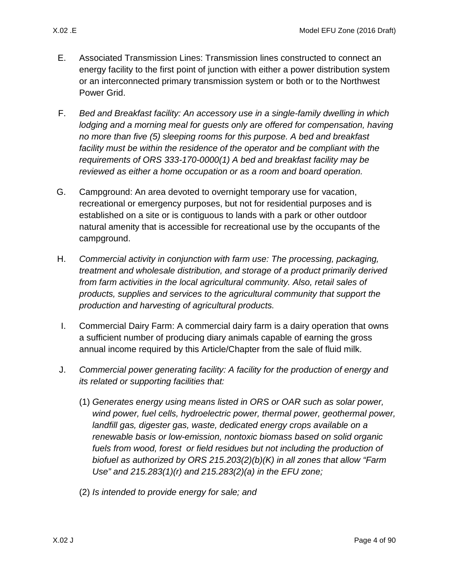- E. Associated Transmission Lines: Transmission lines constructed to connect an energy facility to the first point of junction with either a power distribution system or an interconnected primary transmission system or both or to the Northwest Power Grid.
- F. *Bed and Breakfast facility: An accessory use in a single-family dwelling in which lodging and a morning meal for guests only are offered for compensation, having no more than five (5) sleeping rooms for this purpose. A bed and breakfast*  facility must be within the residence of the operator and be compliant with the *requirements of ORS 333-170-0000(1) A bed and breakfast facility may be reviewed as either a home occupation or as a room and board operation.*
- G. Campground: An area devoted to overnight temporary use for vacation, recreational or emergency purposes, but not for residential purposes and is established on a site or is contiguous to lands with a park or other outdoor natural amenity that is accessible for recreational use by the occupants of the campground.
- H. *Commercial activity in conjunction with farm use: The processing, packaging, treatment and wholesale distribution, and storage of a product primarily derived from farm activities in the local agricultural community. Also, retail sales of products, supplies and services to the agricultural community that support the production and harvesting of agricultural products.*
- I. Commercial Dairy Farm: A commercial dairy farm is a dairy operation that owns a sufficient number of producing diary animals capable of earning the gross annual income required by this Article/Chapter from the sale of fluid milk.
- J. *Commercial power generating facility: A facility for the production of energy and its related or supporting facilities that:* 
	- (1) *Generates energy using means listed in ORS or OAR such as solar power, wind power, fuel cells, hydroelectric power, thermal power, geothermal power, landfill gas, digester gas, waste, dedicated energy crops available on a renewable basis or low-emission, nontoxic biomass based on solid organic fuels from wood, forest or field residues but not including the production of biofuel as authorized by ORS 215.203(2)(b)(K) in all zones that allow "Farm Use" and 215.283(1)(r) and 215.283(2)(a) in the EFU zone;*
	- (2) *Is intended to provide energy for sale; and*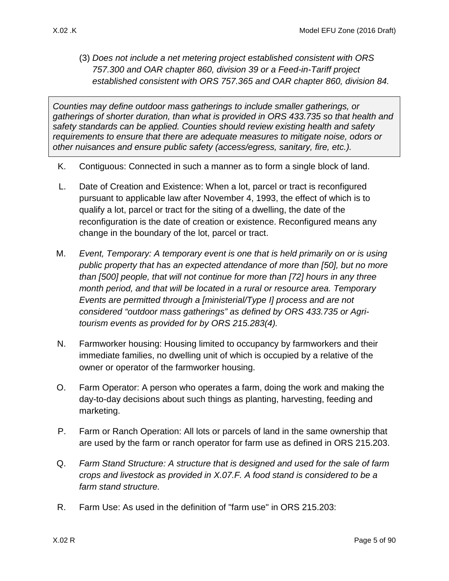(3) *Does not include a net metering project established consistent with ORS 757.300 and OAR chapter 860, division 39 or a Feed-in-Tariff project established consistent with ORS 757.365 and OAR chapter 860, division 84.*

*Counties may define outdoor mass gatherings to include smaller gatherings, or gatherings of shorter duration, than what is provided in ORS 433.735 so that health and safety standards can be applied. Counties should review existing health and safety requirements to ensure that there are adequate measures to mitigate noise, odors or other nuisances and ensure public safety (access/egress, sanitary, fire, etc.).* 

- K. Contiguous: Connected in such a manner as to form a single block of land.
- L. Date of Creation and Existence: When a lot, parcel or tract is reconfigured pursuant to applicable law after November 4, 1993, the effect of which is to qualify a lot, parcel or tract for the siting of a dwelling, the date of the reconfiguration is the date of creation or existence. Reconfigured means any change in the boundary of the lot, parcel or tract.
- M. *Event, Temporary: A temporary event is one that is held primarily on or is using public property that has an expected attendance of more than [50], but no more than [500] people, that will not continue for more than [72] hours in any three month period, and that will be located in a rural or resource area. Temporary Events are permitted through a [ministerial/Type I] process and are not considered "outdoor mass gatherings" as defined by ORS 433.735 or Agritourism events as provided for by ORS 215.283(4).*
- N. Farmworker housing: Housing limited to occupancy by farmworkers and their immediate families, no dwelling unit of which is occupied by a relative of the owner or operator of the farmworker housing.
- O. Farm Operator: A person who operates a farm, doing the work and making the day-to-day decisions about such things as planting, harvesting, feeding and marketing.
- P. Farm or Ranch Operation: All lots or parcels of land in the same ownership that are used by the farm or ranch operator for farm use as defined in ORS 215.203.
- Q. *Farm Stand Structure: A structure that is designed and used for the sale of farm crops and livestock as provided in X.07.F. A food stand is considered to be a farm stand structure.*
- R. Farm Use: As used in the definition of "farm use" in ORS 215.203: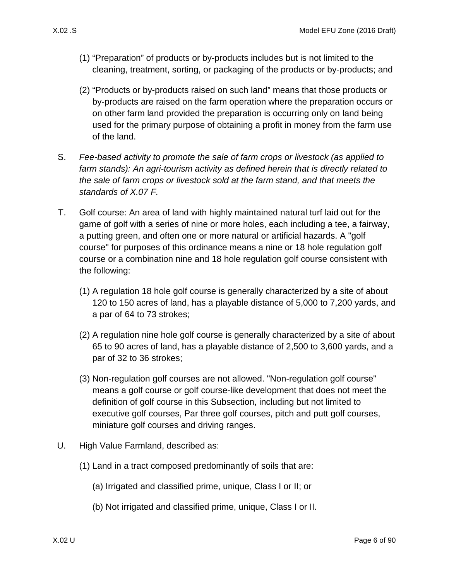- (1) "Preparation" of products or by-products includes but is not limited to the cleaning, treatment, sorting, or packaging of the products or by-products; and
- (2) "Products or by-products raised on such land" means that those products or by-products are raised on the farm operation where the preparation occurs or on other farm land provided the preparation is occurring only on land being used for the primary purpose of obtaining a profit in money from the farm use of the land.
- S. *Fee-based activity to promote the sale of farm crops or livestock (as applied to farm stands): An agri-tourism activity as defined herein that is directly related to the sale of farm crops or livestock sold at the farm stand, and that meets the standards of [X.07 F.](#page-19-0)*
- T. Golf course: An area of land with highly maintained natural turf laid out for the game of golf with a series of nine or more holes, each including a tee, a fairway, a putting green, and often one or more natural or artificial hazards. A "golf course" for purposes of this ordinance means a nine or 18 hole regulation golf course or a combination nine and 18 hole regulation golf course consistent with the following:
	- (1) A regulation 18 hole golf course is generally characterized by a site of about 120 to 150 acres of land, has a playable distance of 5,000 to 7,200 yards, and a par of 64 to 73 strokes;
	- (2) A regulation nine hole golf course is generally characterized by a site of about 65 to 90 acres of land, has a playable distance of 2,500 to 3,600 yards, and a par of 32 to 36 strokes;
	- (3) Non-regulation golf courses are not allowed. "Non-regulation golf course" means a golf course or golf course-like development that does not meet the definition of golf course in this Subsection, including but not limited to executive golf courses, Par three golf courses, pitch and putt golf courses, miniature golf courses and driving ranges.
- <span id="page-5-0"></span>U. High Value Farmland, described as:
	- (1) Land in a tract composed predominantly of soils that are:
		- (a) Irrigated and classified prime, unique, Class I or II; or
		- (b) Not irrigated and classified prime, unique, Class I or II.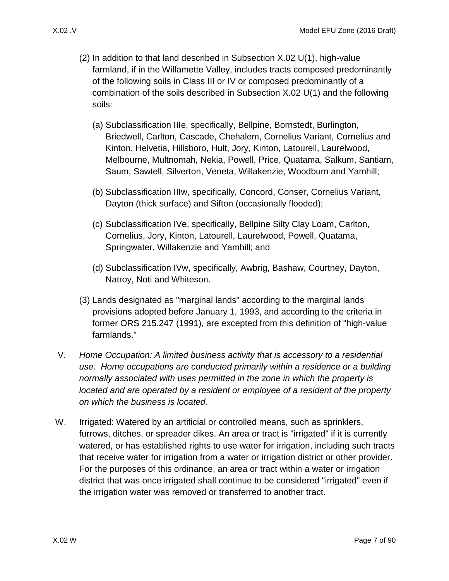- (2) In addition to that land described in Subsection [X.02 U\(1\),](#page-5-0) high-value farmland, if in the Willamette Valley, includes tracts composed predominantly of the following soils in Class III or IV or composed predominantly of a combination of the soils described in Subsection [X.02 U\(1\)](#page-5-0) and the following soils:
	- (a) Subclassification IIIe, specifically, Bellpine, Bornstedt, Burlington, Briedwell, Carlton, Cascade, Chehalem, Cornelius Variant, Cornelius and Kinton, Helvetia, Hillsboro, Hult, Jory, Kinton, Latourell, Laurelwood, Melbourne, Multnomah, Nekia, Powell, Price, Quatama, Salkum, Santiam, Saum, Sawtell, Silverton, Veneta, Willakenzie, Woodburn and Yamhill;
	- (b) Subclassification IIIw, specifically, Concord, Conser, Cornelius Variant, Dayton (thick surface) and Sifton (occasionally flooded);
	- (c) Subclassification IVe, specifically, Bellpine Silty Clay Loam, Carlton, Cornelius, Jory, Kinton, Latourell, Laurelwood, Powell, Quatama, Springwater, Willakenzie and Yamhill; and
	- (d) Subclassification IVw, specifically, Awbrig, Bashaw, Courtney, Dayton, Natroy, Noti and Whiteson.
- (3) Lands designated as "marginal lands" according to the marginal lands provisions adopted before January 1, 1993, and according to the criteria in former ORS 215.247 (1991), are excepted from this definition of "high-value farmlands."
- V. *Home Occupation: A limited business activity that is accessory to a residential use. Home occupations are conducted primarily within a residence or a building normally associated with uses permitted in the zone in which the property is located and are operated by a resident or employee of a resident of the property on which the business is located.*
- W. Irrigated: Watered by an artificial or controlled means, such as sprinklers, furrows, ditches, or spreader dikes. An area or tract is "irrigated" if it is currently watered, or has established rights to use water for irrigation, including such tracts that receive water for irrigation from a water or irrigation district or other provider. For the purposes of this ordinance, an area or tract within a water or irrigation district that was once irrigated shall continue to be considered "irrigated" even if the irrigation water was removed or transferred to another tract.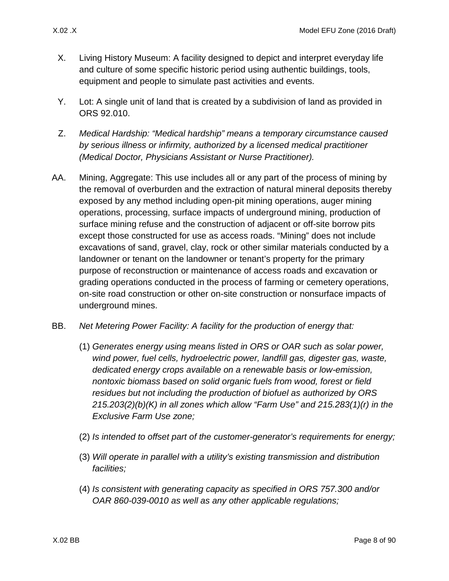- X. Living History Museum: A facility designed to depict and interpret everyday life and culture of some specific historic period using authentic buildings, tools, equipment and people to simulate past activities and events.
- Y. Lot: A single unit of land that is created by a subdivision of land as provided in ORS 92.010.
- Z. *Medical Hardship: "Medical hardship" means a temporary circumstance caused by serious illness or infirmity, authorized by a licensed medical practitioner (Medical Doctor, Physicians Assistant or Nurse Practitioner).*
- AA. Mining, Aggregate: This use includes all or any part of the process of mining by the removal of overburden and the extraction of natural mineral deposits thereby exposed by any method including open-pit mining operations, auger mining operations, processing, surface impacts of underground mining, production of surface mining refuse and the construction of adjacent or off-site borrow pits except those constructed for use as access roads. "Mining" does not include excavations of sand, gravel, clay, rock or other similar materials conducted by a landowner or tenant on the landowner or tenant's property for the primary purpose of reconstruction or maintenance of access roads and excavation or grading operations conducted in the process of farming or cemetery operations, on-site road construction or other on-site construction or nonsurface impacts of underground mines.
- BB. *Net Metering Power Facility: A facility for the production of energy that:*
	- (1) *Generates energy using means listed in ORS or OAR such as solar power, wind power, fuel cells, hydroelectric power, landfill gas, digester gas, waste, dedicated energy crops available on a renewable basis or low-emission, nontoxic biomass based on solid organic fuels from wood, forest or field residues but not including the production of biofuel as authorized by ORS 215.203(2)(b)(K) in all zones which allow "Farm Use" and 215.283(1)(r) in the Exclusive Farm Use zone;*
	- (2) *Is intended to offset part of the customer-generator's requirements for energy;*
	- (3) *Will operate in parallel with a utility's existing transmission and distribution facilities;*
	- (4) *Is consistent with generating capacity as specified in ORS 757.300 and/or OAR 860-039-0010 as well as any other applicable regulations;*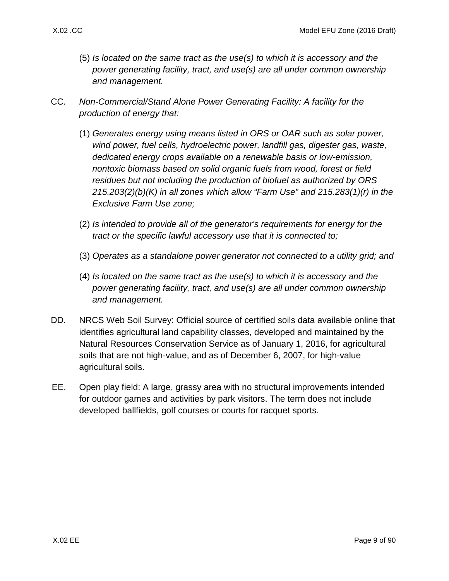- (5) *Is located on the same tract as the use(s) to which it is accessory and the power generating facility, tract, and use(s) are all under common ownership and management.*
- CC. *Non-Commercial/Stand Alone Power Generating Facility: A facility for the production of energy that:*
	- (1) *Generates energy using means listed in ORS or OAR such as solar power, wind power, fuel cells, hydroelectric power, landfill gas, digester gas, waste, dedicated energy crops available on a renewable basis or low-emission, nontoxic biomass based on solid organic fuels from wood, forest or field residues but not including the production of biofuel as authorized by ORS 215.203(2)(b)(K) in all zones which allow "Farm Use" and 215.283(1)(r) in the Exclusive Farm Use zone;*
	- (2) *Is intended to provide all of the generator's requirements for energy for the tract or the specific lawful accessory use that it is connected to;*
	- (3) *Operates as a standalone power generator not connected to a utility grid; and*
	- (4) *Is located on the same tract as the use(s) to which it is accessory and the power generating facility, tract, and use(s) are all under common ownership and management.*
- DD. NRCS Web Soil Survey: Official source of certified soils data available online that identifies agricultural land capability classes, developed and maintained by the Natural Resources Conservation Service as of January 1, 2016, for agricultural soils that are not high-value, and as of December 6, 2007, for high-value agricultural soils.
- EE. Open play field: A large, grassy area with no structural improvements intended for outdoor games and activities by park visitors. The term does not include developed ballfields, golf courses or courts for racquet sports.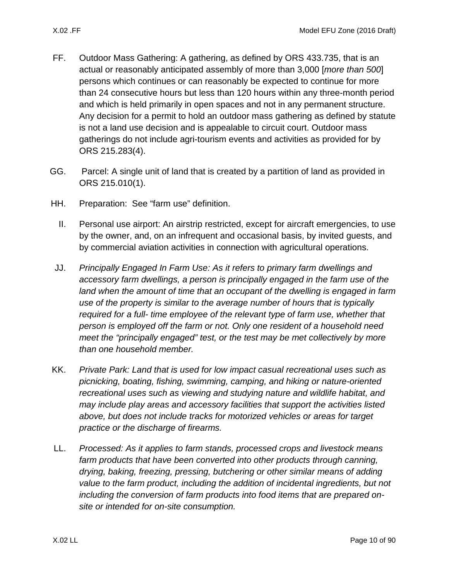- FF. Outdoor Mass Gathering: A gathering, as defined by ORS 433.735, that is an actual or reasonably anticipated assembly of more than 3,000 [*more than 500*] persons which continues or can reasonably be expected to continue for more than 24 consecutive hours but less than 120 hours within any three-month period and which is held primarily in open spaces and not in any permanent structure. Any decision for a permit to hold an outdoor mass gathering as defined by statute is not a land use decision and is appealable to circuit court. Outdoor mass gatherings do not include agri-tourism events and activities as provided for by ORS 215.283(4).
- GG. Parcel: A single unit of land that is created by a partition of land as provided in ORS 215.010(1).
- HH. Preparation: See "farm use" definition.
	- II. Personal use airport: An airstrip restricted, except for aircraft emergencies, to use by the owner, and, on an infrequent and occasional basis, by invited guests, and by commercial aviation activities in connection with agricultural operations.
- JJ. *Principally Engaged In Farm Use: As it refers to primary farm dwellings and accessory farm dwellings, a person is principally engaged in the farm use of the*  land when the amount of time that an occupant of the dwelling is engaged in farm *use of the property is similar to the average number of hours that is typically required for a full- time employee of the relevant type of farm use, whether that person is employed off the farm or not. Only one resident of a household need meet the "principally engaged" test, or the test may be met collectively by more than one household member.*
- KK. *Private Park: Land that is used for low impact casual recreational uses such as picnicking, boating, fishing, swimming, camping, and hiking or nature-oriented recreational uses such as viewing and studying nature and wildlife habitat, and may include play areas and accessory facilities that support the activities listed above, but does not include tracks for motorized vehicles or areas for target practice or the discharge of firearms.*
- LL. *Processed: As it applies to farm stands, processed crops and livestock means farm products that have been converted into other products through canning, drying, baking, freezing, pressing, butchering or other similar means of adding value to the farm product, including the addition of incidental ingredients, but not including the conversion of farm products into food items that are prepared onsite or intended for on-site consumption.*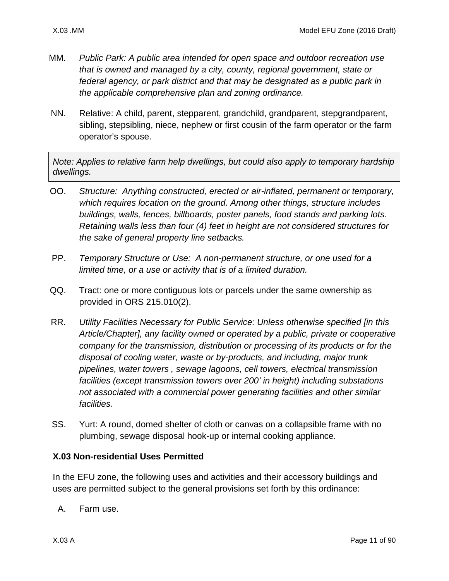- MM. *Public Park: A public area intended for open space and outdoor recreation use that is owned and managed by a city, county, regional government, state or federal agency, or park district and that may be designated as a public park in the applicable comprehensive plan and zoning ordinance.*
- NN. Relative: A child, parent, stepparent, grandchild, grandparent, stepgrandparent, sibling, stepsibling, niece, nephew or first cousin of the farm operator or the farm operator's spouse.

*Note: Applies to relative farm help dwellings, but could also apply to temporary hardship dwellings.* 

- OO. *Structure: Anything constructed, erected or air-inflated, permanent or temporary, which requires location on the ground. Among other things, structure includes buildings, walls, fences, billboards, poster panels, food stands and parking lots. Retaining walls less than four (4) feet in height are not considered structures for the sake of general property line setbacks.*
- PP. *Temporary Structure or Use: A non-permanent structure, or one used for a limited time, or a use or activity that is of a limited duration.*
- QQ. Tract: one or more contiguous lots or parcels under the same ownership as provided in ORS 215.010(2).
- RR. *Utility Facilities Necessary for Public Service: Unless otherwise specified [in this Article/Chapter], any facility owned or operated by a public, private or cooperative company for the transmission, distribution or processing of its products or for the disposal of cooling water, waste or by-products, and including, major trunk pipelines, water towers , sewage lagoons, cell towers, electrical transmission facilities (except transmission towers over 200' in height) including substations not associated with a commercial power generating facilities and other similar facilities.*
- SS. Yurt: A round, domed shelter of cloth or canvas on a collapsible frame with no plumbing, sewage disposal hook-up or internal cooking appliance.

### <span id="page-10-0"></span>**X.03 Non-residential Uses Permitted**

In the EFU zone, the following uses and activities and their accessory buildings and uses are permitted subject to the general provisions set forth by this ordinance:

A. Farm use.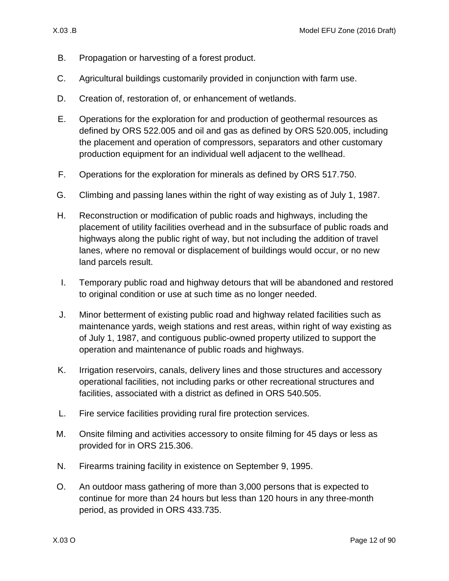- B. Propagation or harvesting of a forest product.
- C. Agricultural buildings customarily provided in conjunction with farm use.
- D. Creation of, restoration of, or enhancement of wetlands.
- E. Operations for the exploration for and production of geothermal resources as defined by ORS 522.005 and oil and gas as defined by ORS 520.005, including the placement and operation of compressors, separators and other customary production equipment for an individual well adjacent to the wellhead.
- F. Operations for the exploration for minerals as defined by ORS 517.750.
- G. Climbing and passing lanes within the right of way existing as of July 1, 1987.
- H. Reconstruction or modification of public roads and highways, including the placement of utility facilities overhead and in the subsurface of public roads and highways along the public right of way, but not including the addition of travel lanes, where no removal or displacement of buildings would occur, or no new land parcels result.
- I. Temporary public road and highway detours that will be abandoned and restored to original condition or use at such time as no longer needed.
- J. Minor betterment of existing public road and highway related facilities such as maintenance yards, weigh stations and rest areas, within right of way existing as of July 1, 1987, and contiguous public-owned property utilized to support the operation and maintenance of public roads and highways.
- K. Irrigation reservoirs, canals, delivery lines and those structures and accessory operational facilities, not including parks or other recreational structures and facilities, associated with a district as defined in ORS 540.505.
- L. Fire service facilities providing rural fire protection services.
- M. Onsite filming and activities accessory to onsite filming for 45 days or less as provided for in ORS 215.306.
- N. Firearms training facility in existence on September 9, 1995.
- O. An outdoor mass gathering of more than 3,000 persons that is expected to continue for more than 24 hours but less than 120 hours in any three-month period, as provided in ORS 433.735.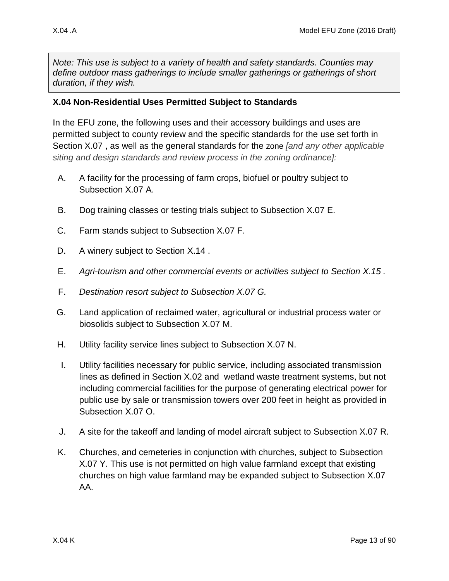*Note: This use is subject to a variety of health and safety standards. Counties may define outdoor mass gatherings to include smaller gatherings or gatherings of short duration, if they wish.*

#### <span id="page-12-0"></span>**X.04 Non-Residential Uses Permitted Subject to Standards**

In the EFU zone, the following uses and their accessory buildings and uses are permitted subject to county review and the specific standards for the use set forth in Section [X.07 ,](#page-17-0) as well as the general standards for the zone *[and any other applicable siting and design standards and review process in the zoning ordinance]:*

- <span id="page-12-2"></span>A. A facility for the processing of farm crops, biofuel or poultry subject to Subsection [X.07 A.](#page-17-1)
- <span id="page-12-1"></span>B. Dog training classes or testing trials subject to Subsection [X.07 E.](#page-19-1)
- C. Farm stands subject to Subsection [X.07 F.](#page-19-0)
- D. A winery subject to Section X.14.
- E. *Agri-tourism and other commercial events or activities subject to Section [X.15 .](#page-60-0)*
- F. *Destination resort subject to Subsection [X.07 G.](#page-21-0)*
- G. Land application of reclaimed water, agricultural or industrial process water or biosolids subject to Subsection [X.07 M.](#page-25-0)
- H. Utility facility service lines subject to Subsection [X.07 N.](#page-26-0)
- I. Utility facilities necessary for public service, including associated transmission lines as defined in Section [X.02 a](#page-1-1)nd wetland waste treatment systems, but not including commercial facilities for the purpose of generating electrical power for public use by sale or transmission towers over 200 feet in height as provided in Subsection [X.07 O.](#page-26-1)
- J. A site for the takeoff and landing of model aircraft subject to Subsection [X.07 R.](#page-31-0)
- K. Churches, and cemeteries in conjunction with churches, subject to Subsection [X.07 Y.](#page-34-0) This use is not permitted on high value farmland except that existing churches on high value farmland may be expanded subject to Subsection [X.07](#page-35-1)  [AA.](#page-35-1)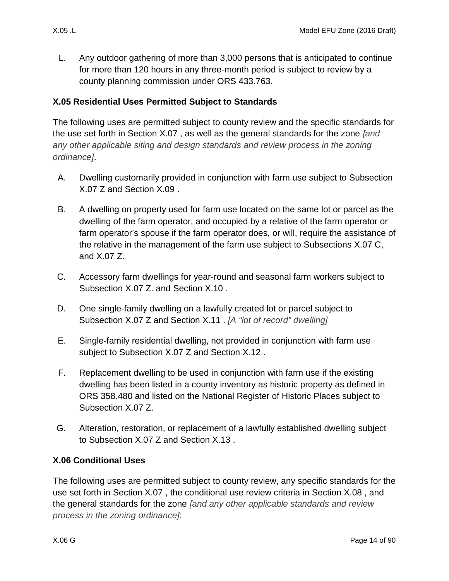L. Any outdoor gathering of more than 3,000 persons that is anticipated to continue for more than 120 hours in any three-month period is subject to review by a county planning commission under ORS 433.763.

## <span id="page-13-0"></span>**X.05 Residential Uses Permitted Subject to Standards**

The following uses are permitted subject to county review and the specific standards for the use set forth in Section [X.07 ,](#page-17-0) as well as the general standards for the zone *[and any other applicable siting and design standards and review process in the zoning ordinance]*.

- A. Dwelling customarily provided in conjunction with farm use subject to Subsection [X.07 Z](#page-35-2) and Section [X.09 .](#page-36-0)
- B. A dwelling on property used for farm use located on the same lot or parcel as the dwelling of the farm operator, and occupied by a relative of the farm operator or farm operator's spouse if the farm operator does, or will, require the assistance of the relative in the management of the farm use subject to Subsections [X.07 C,](#page-18-0) and [X.07 Z.](#page-35-2)
- C. Accessory farm dwellings for year-round and seasonal farm workers subject to Subsection [X.07 Z.](#page-35-2) and Section [X.10 .](#page-42-0)
- D. One single-family dwelling on a lawfully created lot or parcel subject to Subsection [X.07 Z](#page-35-2) and Section [X.11 .](#page-44-0) *[A "lot of record" dwelling]*
- E. Single-family residential dwelling, not provided in conjunction with farm use subject to Subsection [X.07 Z](#page-35-2) and Section [X.12 .](#page-48-0)
- F. Replacement dwelling to be used in conjunction with farm use if the existing dwelling has been listed in a county inventory as historic property as defined in ORS 358.480 and listed on the National Register of Historic Places subject to Subsection [X.07 Z.](#page-35-2)
- <span id="page-13-2"></span>G. Alteration, restoration, or replacement of a lawfully established dwelling subject to Subsection [X.07 Z](#page-35-2) and Section [X.13 .](#page-49-0)

## <span id="page-13-1"></span>**X.06 Conditional Uses**

The following uses are permitted subject to county review, any specific standards for the use set forth in Section [X.07 ,](#page-17-0) the conditional use review criteria in Section [X.08 ,](#page-35-0) and the general standards for the zone *[and any other applicable standards and review process in the zoning ordinance]*: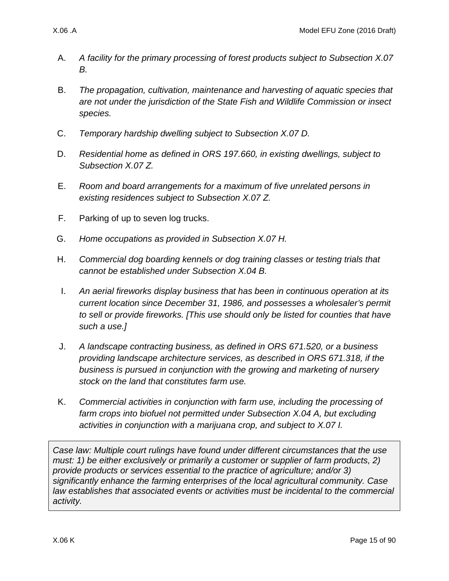- A. *A facility for the primary processing of forest products subject to Subsection [X.07](#page-17-2)  [B.](#page-17-2)*
- B. *The propagation, cultivation, maintenance and harvesting of aquatic species that are not under the jurisdiction of the State Fish and Wildlife Commission or insect species.*
- C. *Temporary hardship dwelling subject to Subsection [X.07 D.](#page-18-1)*
- D. *Residential home as defined in ORS 197.660, in existing dwellings, subject to Subsection [X.07 Z.](#page-35-2)*
- E. *Room and board arrangements for a maximum of five unrelated persons in existing residences subject to Subsection [X.07 Z.](#page-35-2)*
- F. Parking of up to seven log trucks.
- G. *Home occupations as provided in Subsection [X.07 H.](#page-21-1)*
- H. *Commercial dog boarding kennels or dog training classes or testing trials that cannot be established under Subsection [X.04 B.](#page-12-1)*
- I. *An aerial fireworks display business that has been in continuous operation at its current location since December 31, 1986, and possesses a wholesaler's permit to sell or provide fireworks. [This use should only be listed for counties that have such a use.]*
- J. *A landscape contracting business, as defined in ORS 671.520, or a business providing landscape architecture services, as described in ORS 671.318, if the business is pursued in conjunction with the growing and marketing of nursery stock on the land that constitutes farm use.*
- K. *Commercial activities in conjunction with farm use, including the processing of farm crops into biofuel not permitted under Subsection [X.04 A,](#page-12-2) but excluding activities in conjunction with a marijuana crop, and subject to [X.07 I.](#page-24-0)*

*Case law: Multiple court rulings have found under different circumstances that the use must: 1) be either exclusively or primarily a customer or supplier of farm products, 2) provide products or services essential to the practice of agriculture; and/or 3) significantly enhance the farming enterprises of the local agricultural community. Case law establishes that associated events or activities must be incidental to the commercial activity.*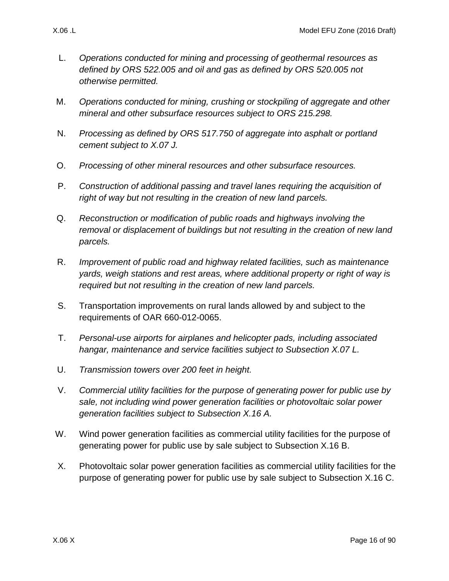- L. *Operations conducted for mining and processing of geothermal resources as defined by ORS 522.005 and oil and gas as defined by ORS 520.005 not otherwise permitted.*
- M. *Operations conducted for mining, crushing or stockpiling of aggregate and other mineral and other subsurface resources subject to ORS 215.298.*
- N. *Processing as defined by ORS 517.750 of aggregate into asphalt or portland cement subject to [X.07 J.](#page-25-1)*
- O. *Processing of other mineral resources and other subsurface resources.*
- P. *Construction of additional passing and travel lanes requiring the acquisition of right of way but not resulting in the creation of new land parcels.*
- Q. *Reconstruction or modification of public roads and highways involving the removal or displacement of buildings but not resulting in the creation of new land parcels.*
- R. *Improvement of public road and highway related facilities, such as maintenance yards, weigh stations and rest areas, where additional property or right of way is required but not resulting in the creation of new land parcels.*
- S. Transportation improvements on rural lands allowed by and subject to the requirements of OAR 660-012-0065.
- T. *Personal-use airports for airplanes and helicopter pads, including associated hangar, maintenance and service facilities subject to Subsection [X.07 L.](#page-25-2)*
- U. *Transmission towers over 200 feet in height.*
- V. *Commercial utility facilities for the purpose of generating power for public use by sale, not including wind power generation facilities or photovoltaic solar power generation facilities subject to Subsection [X.16 A.](#page-66-1)*
- W. Wind power generation facilities as commercial utility facilities for the purpose of generating power for public use by sale subject to Subsection [X.16 B.](#page-67-0)
- X. Photovoltaic solar power generation facilities as commercial utility facilities for the purpose of generating power for public use by sale subject to Subsection [X.16 C.](#page-70-0)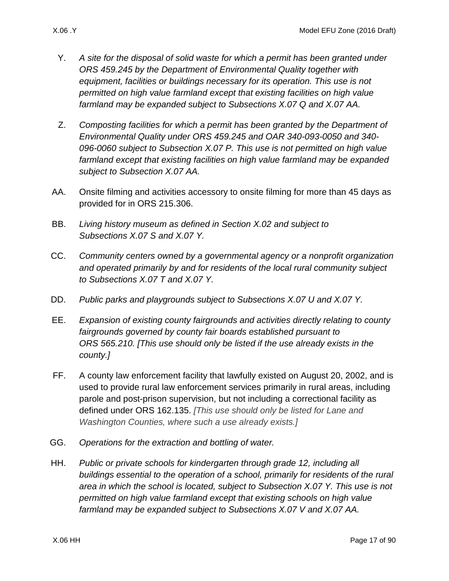- Y. *A site for the disposal of solid waste for which a permit has been granted under ORS 459.245 by the Department of Environmental Quality together with equipment, facilities or buildings necessary for its operation. This use is not permitted on high value farmland except that existing facilities on high value farmland may be expanded subject to Subsections [X.07 Q](#page-29-0) and [X.07 AA.](#page-35-1)*
- Z. *Composting facilities for which a permit has been granted by the Department of Environmental Quality under ORS 459.245 and OAR 340-093-0050 and 340- 096-0060 subject to Subsection [X.07 P.](#page-29-1) This use is not permitted on high value farmland except that existing facilities on high value farmland may be expanded subject to Subsection [X.07 AA.](#page-35-1)*
- AA. Onsite filming and activities accessory to onsite filming for more than 45 days as provided for in ORS 215.306.
- BB. *Living history museum as defined in Section [X.02 a](#page-1-1)nd subject to Subsections [X.07 S](#page-31-1) and [X.07 Y.](#page-34-0)*
- CC. *Community centers owned by a governmental agency or a nonprofit organization and operated primarily by and for residents of the local rural community subject to Subsections [X.07 T](#page-31-2) and [X.07 Y.](#page-34-0)*
- DD. *Public parks and playgrounds subject to Subsections [X.07 U](#page-31-3) and [X.07 Y.](#page-34-0)*
- EE. *Expansion of existing county fairgrounds and activities directly relating to county fairgrounds governed by county fair boards established pursuant to ORS 565.210. [This use should only be listed if the use already exists in the county.]*
- FF. A county law enforcement facility that lawfully existed on August 20, 2002, and is used to provide rural law enforcement services primarily in rural areas, including parole and post-prison supervision, but not including a correctional facility as defined under ORS 162.135. *[This use should only be listed for Lane and Washington Counties, where such a use already exists.]*
- GG. *Operations for the extraction and bottling of water.*
- HH. *Public or private schools for kindergarten through grade 12, including all buildings essential to the operation of a school, primarily for residents of the rural area in which the school is located, subject to Subsection [X.07 Y.](#page-34-0) This use is not permitted on high value farmland except that existing schools on high value farmland may be expanded subject to Subsections [X.07 V](#page-33-0) and [X.07 AA.](#page-35-1)*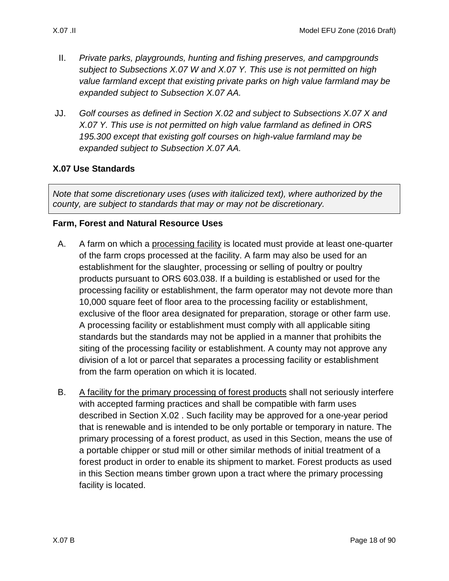- II. *Private parks, playgrounds, hunting and fishing preserves, and campgrounds subject to Subsections [X.07 W](#page-33-1) and [X.07 Y.](#page-34-0) This use is not permitted on high value farmland except that existing private parks on high value farmland may be expanded subject to Subsection [X.07 AA.](#page-35-1)*
- <span id="page-17-3"></span>JJ. *Golf courses as defined in Section [X.02 a](#page-1-1)nd subject to Subsections [X.07 X](#page-33-2) and [X.07 Y.](#page-34-0) This use is not permitted on high value farmland as defined in ORS 195.300 except that existing golf courses on high-value farmland may be expanded subject to Subsection [X.07 AA.](#page-35-1)*

### <span id="page-17-0"></span>**X.07 Use Standards**

*Note that some discretionary uses (uses with italicized text), where authorized by the county, are subject to standards that may or may not be discretionary.* 

#### **Farm, Forest and Natural Resource Uses**

- <span id="page-17-1"></span>A. A farm on which a processing facility is located must provide at least one-quarter of the farm crops processed at the facility. A farm may also be used for an establishment for the slaughter, processing or selling of poultry or poultry products pursuant to ORS 603.038. If a building is established or used for the processing facility or establishment, the farm operator may not devote more than 10,000 square feet of floor area to the processing facility or establishment, exclusive of the floor area designated for preparation, storage or other farm use. A processing facility or establishment must comply with all applicable siting standards but the standards may not be applied in a manner that prohibits the siting of the processing facility or establishment. A county may not approve any division of a lot or parcel that separates a processing facility or establishment from the farm operation on which it is located.
- <span id="page-17-2"></span>B. A facility for the primary processing of forest products shall not seriously interfere with accepted farming practices and shall be compatible with farm uses described in Section [X.02 .](#page-1-1) Such facility may be approved for a one-year period that is renewable and is intended to be only portable or temporary in nature. The primary processing of a forest product, as used in this Section, means the use of a portable chipper or stud mill or other similar methods of initial treatment of a forest product in order to enable its shipment to market. Forest products as used in this Section means timber grown upon a tract where the primary processing facility is located.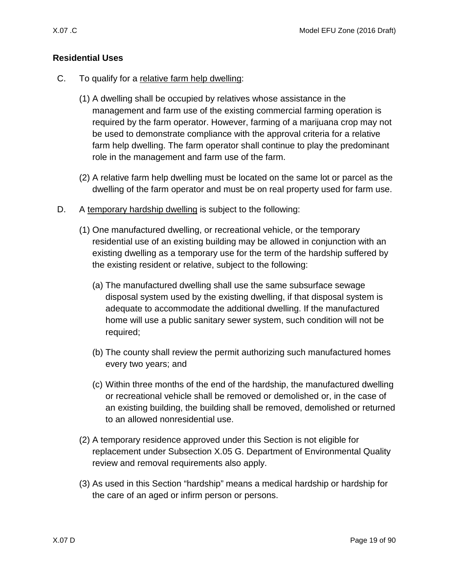- <span id="page-18-0"></span>C. To qualify for a relative farm help dwelling:
	- (1) A dwelling shall be occupied by relatives whose assistance in the management and farm use of the existing commercial farming operation is required by the farm operator. However, farming of a marijuana crop may not be used to demonstrate compliance with the approval criteria for a relative farm help dwelling. The farm operator shall continue to play the predominant role in the management and farm use of the farm.
	- (2) A relative farm help dwelling must be located on the same lot or parcel as the dwelling of the farm operator and must be on real property used for farm use.
- <span id="page-18-1"></span>D. A temporary hardship dwelling is subject to the following:
	- (1) One manufactured dwelling, or recreational vehicle, or the temporary residential use of an existing building may be allowed in conjunction with an existing dwelling as a temporary use for the term of the hardship suffered by the existing resident or relative, subject to the following:
		- (a) The manufactured dwelling shall use the same subsurface sewage disposal system used by the existing dwelling, if that disposal system is adequate to accommodate the additional dwelling. If the manufactured home will use a public sanitary sewer system, such condition will not be required;
		- (b) The county shall review the permit authorizing such manufactured homes every two years; and
		- (c) Within three months of the end of the hardship, the manufactured dwelling or recreational vehicle shall be removed or demolished or, in the case of an existing building, the building shall be removed, demolished or returned to an allowed nonresidential use.
	- (2) A temporary residence approved under this Section is not eligible for replacement under Subsection [X.05 G.](#page-13-2) Department of Environmental Quality review and removal requirements also apply.
	- (3) As used in this Section "hardship" means a medical hardship or hardship for the care of an aged or infirm person or persons.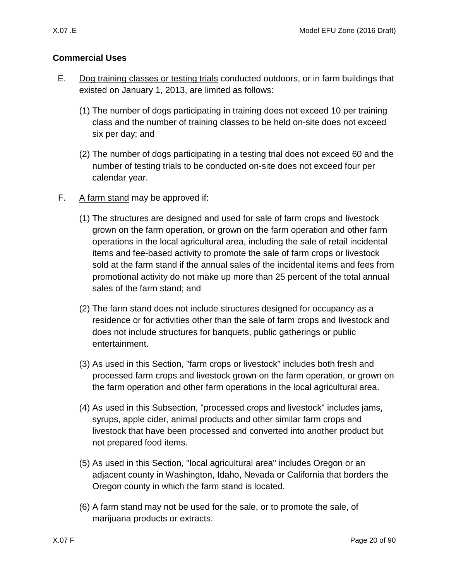### **Commercial Uses**

- <span id="page-19-1"></span>E. Dog training classes or testing trials conducted outdoors, or in farm buildings that existed on January 1, 2013, are limited as follows:
	- (1) The number of dogs participating in training does not exceed 10 per training class and the number of training classes to be held on-site does not exceed six per day; and
	- (2) The number of dogs participating in a testing trial does not exceed 60 and the number of testing trials to be conducted on-site does not exceed four per calendar year.
- <span id="page-19-0"></span>F. A farm stand may be approved if:
	- (1) The structures are designed and used for sale of farm crops and livestock grown on the farm operation, or grown on the farm operation and other farm operations in the local agricultural area, including the sale of retail incidental items and fee-based activity to promote the sale of farm crops or livestock sold at the farm stand if the annual sales of the incidental items and fees from promotional activity do not make up more than 25 percent of the total annual sales of the farm stand; and
	- (2) The farm stand does not include structures designed for occupancy as a residence or for activities other than the sale of farm crops and livestock and does not include structures for banquets, public gatherings or public entertainment.
	- (3) As used in this Section, "farm crops or livestock" includes both fresh and processed farm crops and livestock grown on the farm operation, or grown on the farm operation and other farm operations in the local agricultural area.
	- (4) As used in this Subsection, "processed crops and livestock" includes jams, syrups, apple cider, animal products and other similar farm crops and livestock that have been processed and converted into another product but not prepared food items.
	- (5) As used in this Section, "local agricultural area" includes Oregon or an adjacent county in Washington, Idaho, Nevada or California that borders the Oregon county in which the farm stand is located.
	- (6) A farm stand may not be used for the sale, or to promote the sale, of marijuana products or extracts.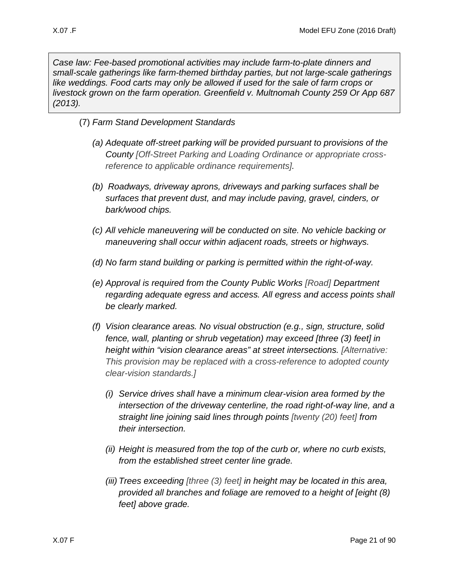*Case law: Fee-based promotional activities may include farm-to-plate dinners and small-scale gatherings like farm-themed birthday parties, but not large-scale gatherings like weddings. Food carts may only be allowed if used for the sale of farm crops or livestock grown on the farm operation. Greenfield v. Multnomah County 259 Or App 687 (2013).*

- (7) *Farm Stand Development Standards*
	- *(a) Adequate off-street parking will be provided pursuant to provisions of the County [Off-Street Parking and Loading Ordinance or appropriate crossreference to applicable ordinance requirements].*
	- *(b) Roadways, driveway aprons, driveways and parking surfaces shall be surfaces that prevent dust, and may include paving, gravel, cinders, or bark/wood chips.*
	- *(c) All vehicle maneuvering will be conducted on site. No vehicle backing or maneuvering shall occur within adjacent roads, streets or highways.*
	- *(d) No farm stand building or parking is permitted within the right-of-way.*
	- *(e) Approval is required from the County Public Works [Road] Department regarding adequate egress and access. All egress and access points shall be clearly marked.*
	- *(f) Vision clearance areas. No visual obstruction (e.g., sign, structure, solid fence, wall, planting or shrub vegetation) may exceed [three (3) feet] in height within "vision clearance areas" at street intersections. [Alternative: This provision may be replaced with a cross-reference to adopted county clear-vision standards.]*
		- *(i) Service drives shall have a minimum clear-vision area formed by the intersection of the driveway centerline, the road right-of-way line, and a straight line joining said lines through points [twenty (20) feet] from their intersection.*
		- *(ii) Height is measured from the top of the curb or, where no curb exists, from the established street center line grade.*
		- *(iii) Trees exceeding [three (3) feet] in height may be located in this area, provided all branches and foliage are removed to a height of [eight (8) feet] above grade.*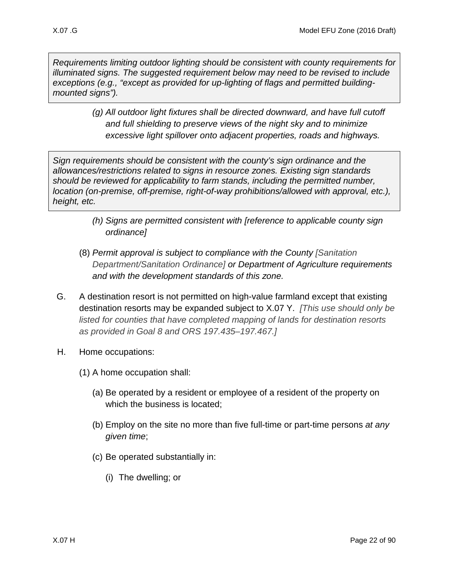*Requirements limiting outdoor lighting should be consistent with county requirements for illuminated signs. The suggested requirement below may need to be revised to include exceptions (e.g., "except as provided for up-lighting of flags and permitted buildingmounted signs").*

> *(g) All outdoor light fixtures shall be directed downward, and have full cutoff and full shielding to preserve views of the night sky and to minimize excessive light spillover onto adjacent properties, roads and highways.*

*Sign requirements should be consistent with the county's sign ordinance and the allowances/restrictions related to signs in resource zones. Existing sign standards should be reviewed for applicability to farm stands, including the permitted number, location (on-premise, off-premise, right-of-way prohibitions/allowed with approval, etc.), height, etc.*

- *(h) Signs are permitted consistent with [reference to applicable county sign ordinance]*
- (8) *Permit approval is subject to compliance with the County [Sanitation Department/Sanitation Ordinance] or Department of Agriculture requirements and with the development standards of this zone.*
- <span id="page-21-0"></span>G. A destination resort is not permitted on high-value farmland except that existing destination resorts may be expanded subject to [X.07 Y.](#page-34-0) *[This use should only be listed for counties that have completed mapping of lands for destination resorts as provided in Goal 8 and ORS 197.435–197.467.]*
- <span id="page-21-2"></span><span id="page-21-1"></span>H. Home occupations:
	- (1) A home occupation shall:
		- (a) Be operated by a resident or employee of a resident of the property on which the business is located:
		- (b) Employ on the site no more than five full-time or part-time persons *at any given time*;
		- (c) Be operated substantially in:
			- (i) The dwelling; or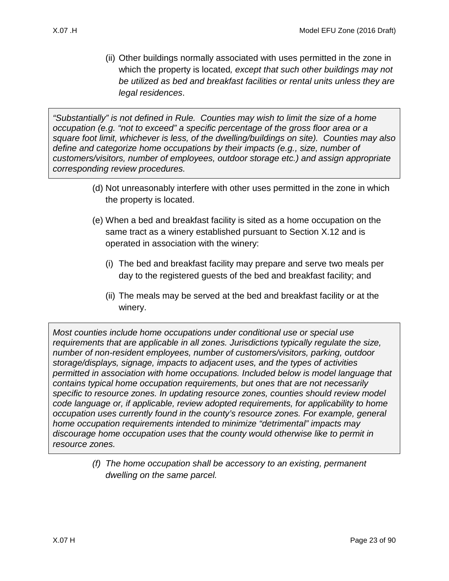(ii) Other buildings normally associated with uses permitted in the zone in which the property is located*, except that such other buildings may not be utilized as bed and breakfast facilities or rental units unless they are legal residences*.

*"Substantially" is not defined in Rule. Counties may wish to limit the size of a home occupation (e.g. "not to exceed" a specific percentage of the gross floor area or a square foot limit, whichever is less, of the dwelling/buildings on site). Counties may also define and categorize home occupations by their impacts (e.g., size, number of customers/visitors, number of employees, outdoor storage etc.) and assign appropriate corresponding review procedures.*

- <span id="page-22-1"></span>(d) Not unreasonably interfere with other uses permitted in the zone in which the property is located.
- (e) When a bed and breakfast facility is sited as a home occupation on the same tract as a winery established pursuant to Section [X.12 a](#page-48-0)nd is operated in association with the winery:
	- (i) The bed and breakfast facility may prepare and serve two meals per day to the registered guests of the bed and breakfast facility; and
	- (ii) The meals may be served at the bed and breakfast facility or at the winery.

<span id="page-22-0"></span>*Most counties include home occupations under conditional use or special use requirements that are applicable in all zones. Jurisdictions typically regulate the size, number of non-resident employees, number of customers/visitors, parking, outdoor storage/displays, signage, impacts to adjacent uses, and the types of activities permitted in association with home occupations. Included below is model language that contains typical home occupation requirements, but ones that are not necessarily specific to resource zones. In updating resource zones, counties should review model code language or, if applicable, review adopted requirements, for applicability to home occupation uses currently found in the county's resource zones. For example, general home occupation requirements intended to minimize "detrimental" impacts may discourage home occupation uses that the county would otherwise like to permit in resource zones.*

> <span id="page-22-2"></span>*(f) The home occupation shall be accessory to an existing, permanent dwelling on the same parcel.*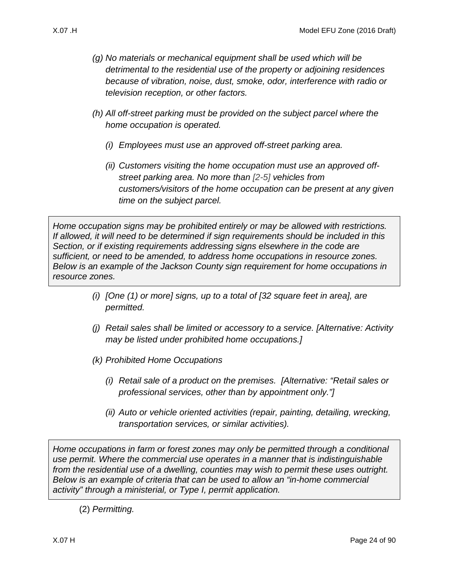- <span id="page-23-0"></span>*(g) No materials or mechanical equipment shall be used which will be detrimental to the residential use of the property or adjoining residences because of vibration, noise, dust, smoke, odor, interference with radio or television reception, or other factors.*
- *(h) All off-street parking must be provided on the subject parcel where the home occupation is operated.*
	- *(i) Employees must use an approved off-street parking area.*
	- *(ii) Customers visiting the home occupation must use an approved offstreet parking area. No more than [2-5] vehicles from customers/visitors of the home occupation can be present at any given time on the subject parcel.*

*Home occupation signs may be prohibited entirely or may be allowed with restrictions. If allowed, it will need to be determined if sign requirements should be included in this Section, or if existing requirements addressing signs elsewhere in the code are sufficient, or need to be amended, to address home occupations in resource zones. Below is an example of the Jackson County sign requirement for home occupations in resource zones.*

- *(i) [One (1) or more] signs, up to a total of [32 square feet in area], are permitted.*
- *(j) Retail sales shall be limited or accessory to a service. [Alternative: Activity may be listed under prohibited home occupations.]*
- *(k) Prohibited Home Occupations* 
	- *(i) Retail sale of a product on the premises. [Alternative: "Retail sales or professional services, other than by appointment only."]*
	- *(ii) Auto or vehicle oriented activities (repair, painting, detailing, wrecking, transportation services, or similar activities).*

*Home occupations in farm or forest zones may only be permitted through a conditional use permit. Where the commercial use operates in a manner that is indistinguishable from the residential use of a dwelling, counties may wish to permit these uses outright. Below is an example of criteria that can be used to allow an "in-home commercial activity" through a ministerial, or Type I, permit application.* 

(2) *Permitting.*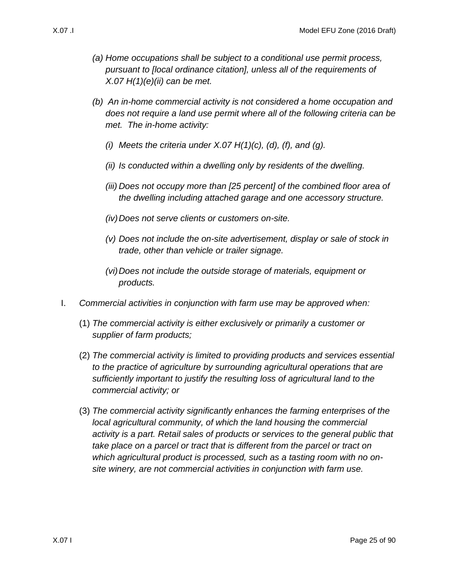- *(a) Home occupations shall be subject to a conditional use permit process, pursuant to [local ordinance citation], unless all of the requirements of [X.07 H\(1\)\(e\)\(ii\)](#page-22-0) can be met.*
- *(b) An in-home commercial activity is not considered a home occupation and does not require a land use permit where all of the following criteria can be met. The in-home activity:*
	- *(i) Meets the criteria under [X.07 H\(1\)\(c\),](#page-21-2) [\(d\),](#page-22-1) [\(f\),](#page-22-2) and [\(g\).](#page-23-0)*
	- *(ii) Is conducted within a dwelling only by residents of the dwelling.*
	- *(iii) Does not occupy more than [25 percent] of the combined floor area of the dwelling including attached garage and one accessory structure.*
	- *(iv)Does not serve clients or customers on-site.*
	- *(v) Does not include the on-site advertisement, display or sale of stock in trade, other than vehicle or trailer signage.*
	- *(vi)Does not include the outside storage of materials, equipment or products.*
- <span id="page-24-0"></span>I. *Commercial activities in conjunction with farm use may be approved when:*
	- (1) *The commercial activity is either exclusively or primarily a customer or supplier of farm products;*
	- (2) *The commercial activity is limited to providing products and services essential to the practice of agriculture by surrounding agricultural operations that are sufficiently important to justify the resulting loss of agricultural land to the commercial activity; or*
	- (3) *The commercial activity significantly enhances the farming enterprises of the local agricultural community, of which the land housing the commercial activity is a part. Retail sales of products or services to the general public that take place on a parcel or tract that is different from the parcel or tract on which agricultural product is processed, such as a tasting room with no onsite winery, are not commercial activities in conjunction with farm use.*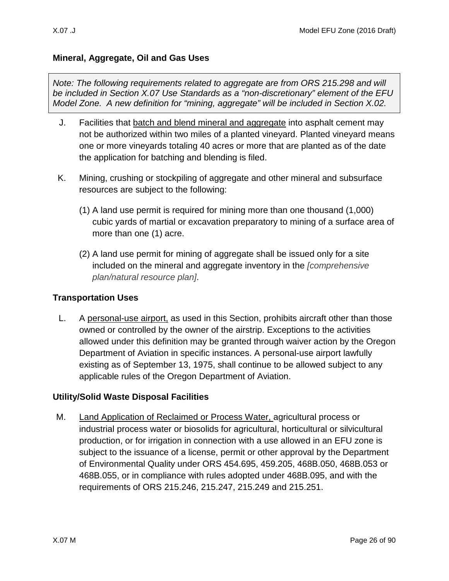### **Mineral, Aggregate, Oil and Gas Uses**

*Note: The following requirements related to aggregate are from ORS 215.298 and will be included in Section X.07 Use Standards as a "non-discretionary" element of the EFU Model Zone. A new definition for "mining, aggregate" will be included in Section X.02.*

- <span id="page-25-1"></span>J. Facilities that batch and blend mineral and aggregate into asphalt cement may not be authorized within two miles of a planted vineyard. Planted vineyard means one or more vineyards totaling 40 acres or more that are planted as of the date the application for batching and blending is filed.
- K. Mining, crushing or stockpiling of aggregate and other mineral and subsurface resources are subject to the following:
	- (1) A land use permit is required for mining more than one thousand (1,000) cubic yards of martial or excavation preparatory to mining of a surface area of more than one (1) acre.
	- (2) A land use permit for mining of aggregate shall be issued only for a site included on the mineral and aggregate inventory in the *[comprehensive plan/natural resource plan]*.

### **Transportation Uses**

<span id="page-25-2"></span>L. A personal-use airport, as used in this Section, prohibits aircraft other than those owned or controlled by the owner of the airstrip. Exceptions to the activities allowed under this definition may be granted through waiver action by the Oregon Department of Aviation in specific instances. A personal-use airport lawfully existing as of September 13, 1975, shall continue to be allowed subject to any applicable rules of the Oregon Department of Aviation.

### **Utility/Solid Waste Disposal Facilities**

<span id="page-25-0"></span>M. Land Application of Reclaimed or Process Water, agricultural process or industrial process water or biosolids for agricultural, horticultural or silvicultural production, or for irrigation in connection with a use allowed in an EFU zone is subject to the issuance of a license, permit or other approval by the Department of Environmental Quality under ORS 454.695, 459.205, 468B.050, 468B.053 or 468B.055, or in compliance with rules adopted under 468B.095, and with the requirements of ORS 215.246, 215.247, 215.249 and 215.251.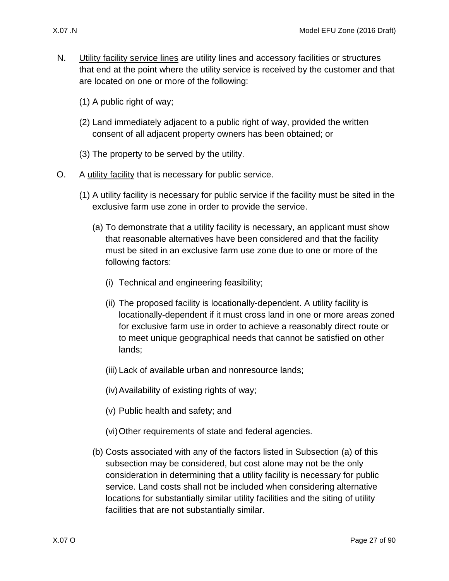- 
- <span id="page-26-0"></span>N. Utility facility service lines are utility lines and accessory facilities or structures that end at the point where the utility service is received by the customer and that are located on one or more of the following:
	- (1) A public right of way;
	- (2) Land immediately adjacent to a public right of way, provided the written consent of all adjacent property owners has been obtained; or
	- (3) The property to be served by the utility.
- <span id="page-26-3"></span><span id="page-26-2"></span><span id="page-26-1"></span>O. A utility facility that is necessary for public service.
	- (1) A utility facility is necessary for public service if the facility must be sited in the exclusive farm use zone in order to provide the service.
		- (a) To demonstrate that a utility facility is necessary, an applicant must show that reasonable alternatives have been considered and that the facility must be sited in an exclusive farm use zone due to one or more of the following factors:
			- (i) Technical and engineering feasibility;
			- (ii) The proposed facility is locationally-dependent. A utility facility is locationally-dependent if it must cross land in one or more areas zoned for exclusive farm use in order to achieve a reasonably direct route or to meet unique geographical needs that cannot be satisfied on other lands;
			- (iii) Lack of available urban and nonresource lands;
			- (iv)Availability of existing rights of way;
			- (v) Public health and safety; and
			- (vi)Other requirements of state and federal agencies.
		- (b) Costs associated with any of the factors listed in Subsection [\(a\)](#page-26-2) of this subsection may be considered, but cost alone may not be the only consideration in determining that a utility facility is necessary for public service. Land costs shall not be included when considering alternative locations for substantially similar utility facilities and the siting of utility facilities that are not substantially similar.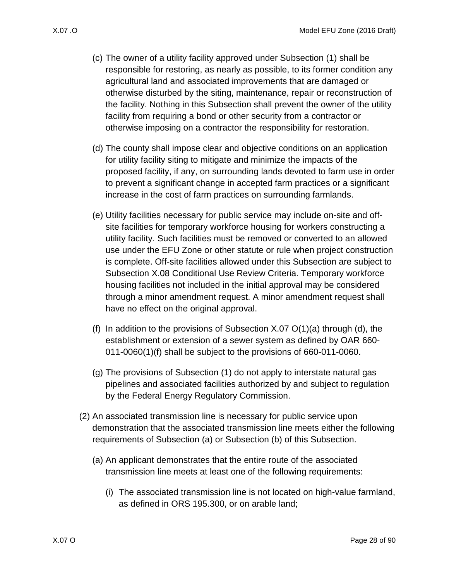- (c) The owner of a utility facility approved under Subsection [\(1\)](#page-26-3) shall be responsible for restoring, as nearly as possible, to its former condition any agricultural land and associated improvements that are damaged or otherwise disturbed by the siting, maintenance, repair or reconstruction of the facility. Nothing in this Subsection shall prevent the owner of the utility facility from requiring a bond or other security from a contractor or otherwise imposing on a contractor the responsibility for restoration.
- <span id="page-27-0"></span>(d) The county shall impose clear and objective conditions on an application for utility facility siting to mitigate and minimize the impacts of the proposed facility, if any, on surrounding lands devoted to farm use in order to prevent a significant change in accepted farm practices or a significant increase in the cost of farm practices on surrounding farmlands.
- (e) Utility facilities necessary for public service may include on-site and offsite facilities for temporary workforce housing for workers constructing a utility facility. Such facilities must be removed or converted to an allowed use under the EFU Zone or other statute or rule when project construction is complete. Off-site facilities allowed under this Subsection are subject to Subsection [X.08 C](#page-35-0)onditional Use Review Criteria. Temporary workforce housing facilities not included in the initial approval may be considered through a minor amendment request. A minor amendment request shall have no effect on the original approval.
- (f) In addition to the provisions of Subsection  $X.07 \mathcal{O}(1)(a)$  through [\(d\),](#page-27-0) the establishment or extension of a sewer system as defined by OAR 660- 011-0060(1)(f) shall be subject to the provisions of 660-011-0060.
- (g) The provisions of Subsection [\(1\)](#page-26-3) do not apply to interstate natural gas pipelines and associated facilities authorized by and subject to regulation by the Federal Energy Regulatory Commission.
- <span id="page-27-1"></span>(2) An associated transmission line is necessary for public service upon demonstration that the associated transmission line meets either the following requirements of Subsection [\(a\)](#page-27-1) or Subsection [\(b\)](#page-28-0) of this Subsection.
	- (a) An applicant demonstrates that the entire route of the associated transmission line meets at least one of the following requirements:
		- (i) The associated transmission line is not located on high-value farmland, as defined in ORS 195.300, or on arable land;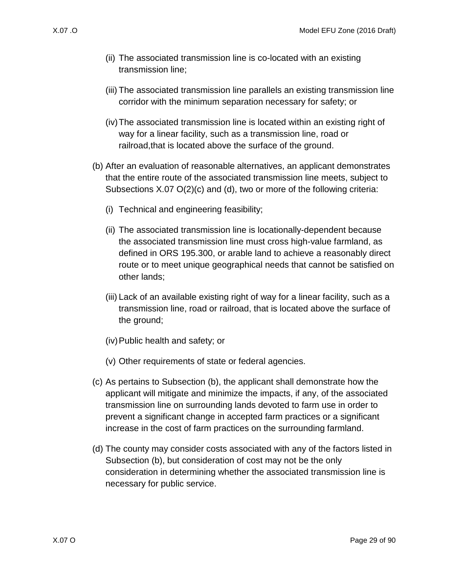- (ii) The associated transmission line is co-located with an existing transmission line;
- (iii) The associated transmission line parallels an existing transmission line corridor with the minimum separation necessary for safety; or
- (iv)The associated transmission line is located within an existing right of way for a linear facility, such as a transmission line, road or railroad,that is located above the surface of the ground.
- <span id="page-28-0"></span>(b) After an evaluation of reasonable alternatives, an applicant demonstrates that the entire route of the associated transmission line meets, subject to Subsections [X.07 O\(2\)\(c\)](#page-28-1) and [\(d\),](#page-28-2) two or more of the following criteria:
	- (i) Technical and engineering feasibility;
	- (ii) The associated transmission line is locationally-dependent because the associated transmission line must cross high-value farmland, as defined in ORS 195.300, or arable land to achieve a reasonably direct route or to meet unique geographical needs that cannot be satisfied on other lands;
	- (iii) Lack of an available existing right of way for a linear facility, such as a transmission line, road or railroad, that is located above the surface of the ground;
	- (iv)Public health and safety; or
	- (v) Other requirements of state or federal agencies.
- <span id="page-28-1"></span>(c) As pertains to Subsection [\(b\),](#page-28-0) the applicant shall demonstrate how the applicant will mitigate and minimize the impacts, if any, of the associated transmission line on surrounding lands devoted to farm use in order to prevent a significant change in accepted farm practices or a significant increase in the cost of farm practices on the surrounding farmland.
- <span id="page-28-2"></span>(d) The county may consider costs associated with any of the factors listed in Subsection [\(b\),](#page-28-0) but consideration of cost may not be the only consideration in determining whether the associated transmission line is necessary for public service.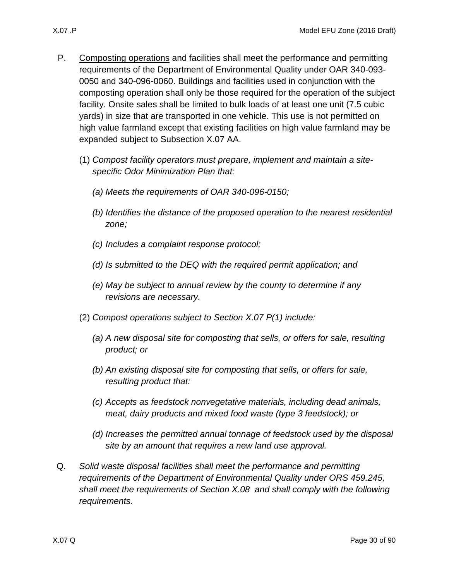- 
- <span id="page-29-2"></span><span id="page-29-1"></span>P. Composting operations and facilities shall meet the performance and permitting requirements of the Department of Environmental Quality under OAR 340-093- 0050 and 340-096-0060. Buildings and facilities used in conjunction with the composting operation shall only be those required for the operation of the subject facility. Onsite sales shall be limited to bulk loads of at least one unit (7.5 cubic yards) in size that are transported in one vehicle. This use is not permitted on high value farmland except that existing facilities on high value farmland may be expanded subject to Subsection [X.07 AA.](#page-35-1)
	- (1) *Compost facility operators must prepare, implement and maintain a sitespecific Odor Minimization Plan that:*
		- *(a) Meets the requirements of OAR 340-096-0150;*
		- *(b) Identifies the distance of the proposed operation to the nearest residential zone;*
		- *(c) Includes a complaint response protocol;*
		- *(d) Is submitted to the DEQ with the required permit application; and*
		- *(e) May be subject to annual review by the county to determine if any revisions are necessary.*
	- (2) *Compost operations subject to Section [X.07 P\(1\)](#page-29-2) include:*
		- *(a) A new disposal site for composting that sells, or offers for sale, resulting product; or*
		- *(b) An existing disposal site for composting that sells, or offers for sale, resulting product that:*
		- *(c) Accepts as feedstock nonvegetative materials, including dead animals, meat, dairy products and mixed food waste (type 3 feedstock); or*
		- *(d) Increases the permitted annual tonnage of feedstock used by the disposal site by an amount that requires a new land use approval.*
- <span id="page-29-0"></span>Q. *Solid waste disposal facilities shall meet the performance and permitting requirements of the Department of Environmental Quality under ORS 459.245, shall meet the requirements of Section [X.08](#page-35-0) and shall comply with the following requirements.*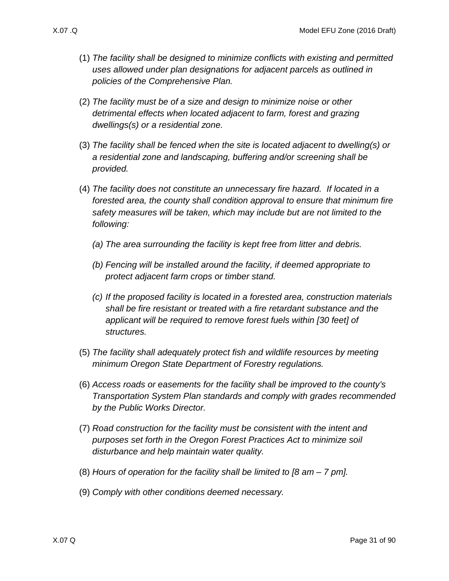- - (1) *The facility shall be designed to minimize conflicts with existing and permitted uses allowed under plan designations for adjacent parcels as outlined in policies of the Comprehensive Plan.*
	- (2) *The facility must be of a size and design to minimize noise or other detrimental effects when located adjacent to farm, forest and grazing dwellings(s) or a residential zone.*
	- (3) *The facility shall be fenced when the site is located adjacent to dwelling(s) or a residential zone and landscaping, buffering and/or screening shall be provided.*
	- (4) *The facility does not constitute an unnecessary fire hazard. If located in a forested area, the county shall condition approval to ensure that minimum fire safety measures will be taken, which may include but are not limited to the following:* 
		- *(a) The area surrounding the facility is kept free from litter and debris.*
		- *(b) Fencing will be installed around the facility, if deemed appropriate to protect adjacent farm crops or timber stand.*
		- *(c) If the proposed facility is located in a forested area, construction materials shall be fire resistant or treated with a fire retardant substance and the applicant will be required to remove forest fuels within [30 feet] of structures.*
	- (5) *The facility shall adequately protect fish and wildlife resources by meeting minimum Oregon State Department of Forestry regulations.*
	- (6) *Access roads or easements for the facility shall be improved to the county's Transportation System Plan standards and comply with grades recommended by the Public Works Director.*
	- (7) *Road construction for the facility must be consistent with the intent and purposes set forth in the Oregon Forest Practices Act to minimize soil disturbance and help maintain water quality.*
	- (8) *Hours of operation for the facility shall be limited to [8 am – 7 pm].*
	- (9) *Comply with other conditions deemed necessary.*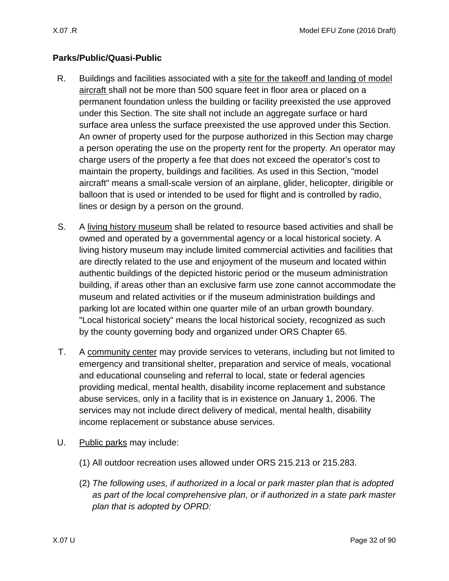## **Parks/Public/Quasi-Public**

- <span id="page-31-0"></span>R. Buildings and facilities associated with a site for the takeoff and landing of model aircraft shall not be more than 500 square feet in floor area or placed on a permanent foundation unless the building or facility preexisted the use approved under this Section. The site shall not include an aggregate surface or hard surface area unless the surface preexisted the use approved under this Section. An owner of property used for the purpose authorized in this Section may charge a person operating the use on the property rent for the property. An operator may charge users of the property a fee that does not exceed the operator's cost to maintain the property, buildings and facilities. As used in this Section, "model aircraft" means a small-scale version of an airplane, glider, helicopter, dirigible or balloon that is used or intended to be used for flight and is controlled by radio, lines or design by a person on the ground.
- <span id="page-31-1"></span>S. A living history museum shall be related to resource based activities and shall be owned and operated by a governmental agency or a local historical society. A living history museum may include limited commercial activities and facilities that are directly related to the use and enjoyment of the museum and located within authentic buildings of the depicted historic period or the museum administration building, if areas other than an exclusive farm use zone cannot accommodate the museum and related activities or if the museum administration buildings and parking lot are located within one quarter mile of an urban growth boundary. "Local historical society" means the local historical society, recognized as such by the county governing body and organized under ORS Chapter 65.
- <span id="page-31-2"></span>T. A community center may provide services to veterans, including but not limited to emergency and transitional shelter, preparation and service of meals, vocational and educational counseling and referral to local, state or federal agencies providing medical, mental health, disability income replacement and substance abuse services, only in a facility that is in existence on January 1, 2006. The services may not include direct delivery of medical, mental health, disability income replacement or substance abuse services.
- <span id="page-31-3"></span>U. Public parks may include:
	- (1) All outdoor recreation uses allowed under ORS 215.213 or 215.283.
	- (2) *The following uses, if authorized in a local or park master plan that is adopted as part of the local comprehensive plan, or if authorized in a state park master plan that is adopted by OPRD:*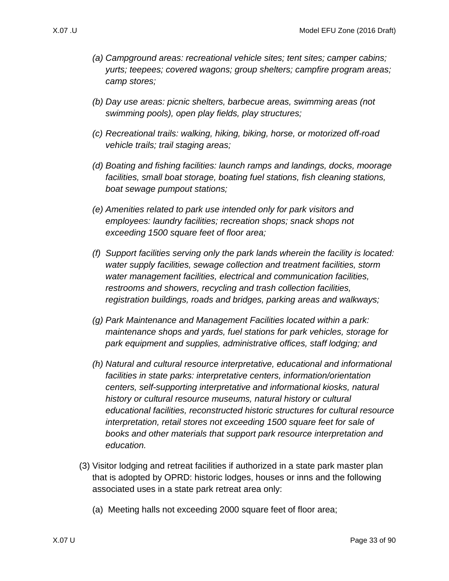- *(a) Campground areas: recreational vehicle sites; tent sites; camper cabins; yurts; teepees; covered wagons; group shelters; campfire program areas; camp stores;*
- *(b) Day use areas: picnic shelters, barbecue areas, swimming areas (not swimming pools), open play fields, play structures;*
- *(c) Recreational trails: walking, hiking, biking, horse, or motorized off-road vehicle trails; trail staging areas;*
- *(d) Boating and fishing facilities: launch ramps and landings, docks, moorage facilities, small boat storage, boating fuel stations, fish cleaning stations, boat sewage pumpout stations;*
- *(e) Amenities related to park use intended only for park visitors and employees: laundry facilities; recreation shops; snack shops not exceeding 1500 square feet of floor area;*
- *(f) Support facilities serving only the park lands wherein the facility is located: water supply facilities, sewage collection and treatment facilities, storm water management facilities, electrical and communication facilities, restrooms and showers, recycling and trash collection facilities, registration buildings, roads and bridges, parking areas and walkways;*
- *(g) Park Maintenance and Management Facilities located within a park: maintenance shops and yards, fuel stations for park vehicles, storage for park equipment and supplies, administrative offices, staff lodging; and*
- *(h) Natural and cultural resource interpretative, educational and informational facilities in state parks: interpretative centers, information/orientation centers, self-supporting interpretative and informational kiosks, natural history or cultural resource museums, natural history or cultural educational facilities, reconstructed historic structures for cultural resource interpretation, retail stores not exceeding 1500 square feet for sale of books and other materials that support park resource interpretation and education.*
- (3) Visitor lodging and retreat facilities if authorized in a state park master plan that is adopted by OPRD: historic lodges, houses or inns and the following associated uses in a state park retreat area only:
	- (a) Meeting halls not exceeding 2000 square feet of floor area;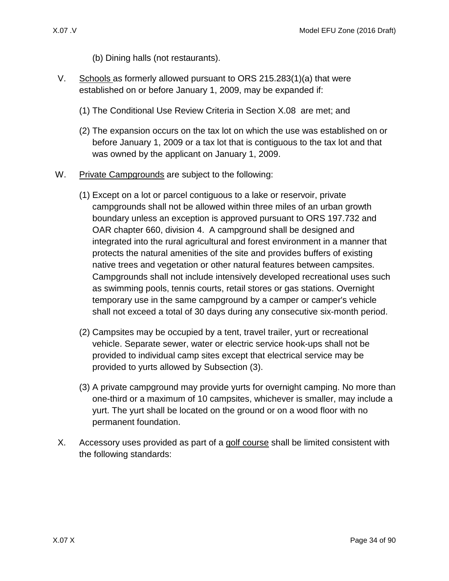- (b) Dining halls (not restaurants).
- <span id="page-33-0"></span>V. Schools as formerly allowed pursuant to ORS 215.283(1)(a) that were established on or before January 1, 2009, may be expanded if:
	- (1) The Conditional Use Review Criteria in Section [X.08](#page-35-0) are met; and
	- (2) The expansion occurs on the tax lot on which the use was established on or before January 1, 2009 or a tax lot that is contiguous to the tax lot and that was owned by the applicant on January 1, 2009.
- <span id="page-33-1"></span>W. Private Campgrounds are subject to the following:
	- (1) Except on a lot or parcel contiguous to a lake or reservoir, private campgrounds shall not be allowed within three miles of an urban growth boundary unless an exception is approved pursuant to ORS 197.732 and OAR chapter 660, division 4. A campground shall be designed and integrated into the rural agricultural and forest environment in a manner that protects the natural amenities of the site and provides buffers of existing native trees and vegetation or other natural features between campsites. Campgrounds shall not include intensively developed recreational uses such as swimming pools, tennis courts, retail stores or gas stations. Overnight temporary use in the same campground by a camper or camper's vehicle shall not exceed a total of 30 days during any consecutive six-month period.
	- (2) Campsites may be occupied by a tent, travel trailer, yurt or recreational vehicle. Separate sewer, water or electric service hook-ups shall not be provided to individual camp sites except that electrical service may be provided to yurts allowed by Subsection [\(3\).](#page-33-3)
	- (3) A private campground may provide yurts for overnight camping. No more than one-third or a maximum of 10 campsites, whichever is smaller, may include a yurt. The yurt shall be located on the ground or on a wood floor with no permanent foundation.
- <span id="page-33-3"></span><span id="page-33-2"></span>X. Accessory uses provided as part of a golf course shall be limited consistent with the following standards: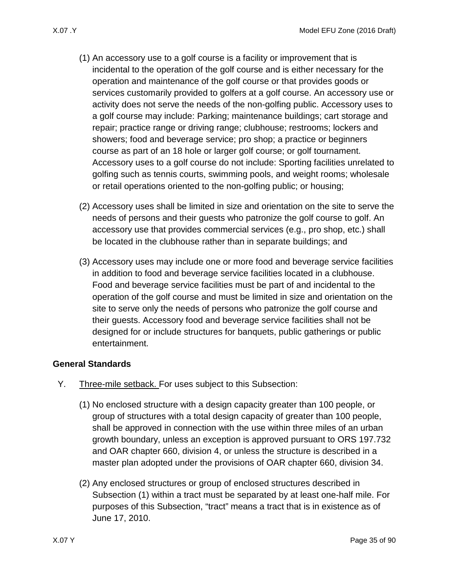- (1) An accessory use to a golf course is a facility or improvement that is incidental to the operation of the golf course and is either necessary for the operation and maintenance of the golf course or that provides goods or services customarily provided to golfers at a golf course. An accessory use or activity does not serve the needs of the non-golfing public. Accessory uses to a golf course may include: Parking; maintenance buildings; cart storage and repair; practice range or driving range; clubhouse; restrooms; lockers and showers; food and beverage service; pro shop; a practice or beginners course as part of an 18 hole or larger golf course; or golf tournament. Accessory uses to a golf course do not include: Sporting facilities unrelated to golfing such as tennis courts, swimming pools, and weight rooms; wholesale or retail operations oriented to the non-golfing public; or housing;
- (2) Accessory uses shall be limited in size and orientation on the site to serve the needs of persons and their guests who patronize the golf course to golf. An accessory use that provides commercial services (e.g., pro shop, etc.) shall be located in the clubhouse rather than in separate buildings; and
- (3) Accessory uses may include one or more food and beverage service facilities in addition to food and beverage service facilities located in a clubhouse. Food and beverage service facilities must be part of and incidental to the operation of the golf course and must be limited in size and orientation on the site to serve only the needs of persons who patronize the golf course and their guests. Accessory food and beverage service facilities shall not be designed for or include structures for banquets, public gatherings or public entertainment.

### **General Standards**

- <span id="page-34-1"></span><span id="page-34-0"></span>Y. Three-mile setback. For uses subject to this Subsection:
	- (1) No enclosed structure with a design capacity greater than 100 people, or group of structures with a total design capacity of greater than 100 people, shall be approved in connection with the use within three miles of an urban growth boundary, unless an exception is approved pursuant to ORS 197.732 and OAR chapter 660, division 4, or unless the structure is described in a master plan adopted under the provisions of OAR chapter 660, division 34.
	- (2) Any enclosed structures or group of enclosed structures described in Subsection [\(1\)](#page-34-1) within a tract must be separated by at least one-half mile. For purposes of this Subsection, "tract" means a tract that is in existence as of June 17, 2010.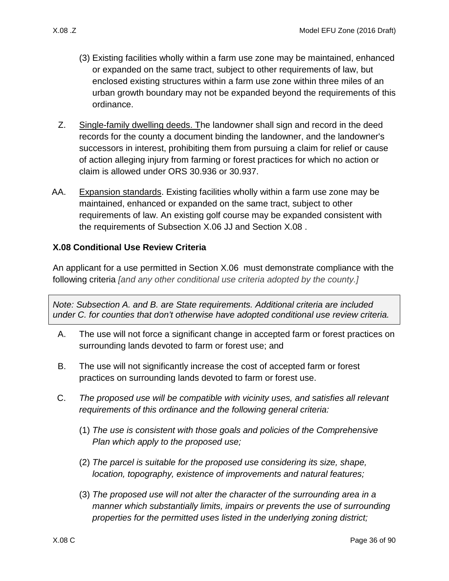- (3) Existing facilities wholly within a farm use zone may be maintained, enhanced or expanded on the same tract, subject to other requirements of law, but enclosed existing structures within a farm use zone within three miles of an urban growth boundary may not be expanded beyond the requirements of this ordinance.
- <span id="page-35-2"></span>Z. Single-family dwelling deeds. The landowner shall sign and record in the deed records for the county a document binding the landowner, and the landowner's successors in interest, prohibiting them from pursuing a claim for relief or cause of action alleging injury from farming or forest practices for which no action or claim is allowed under ORS 30.936 or 30.937.
- <span id="page-35-1"></span>AA. Expansion standards. Existing facilities wholly within a farm use zone may be maintained, enhanced or expanded on the same tract, subject to other requirements of law. An existing golf course may be expanded consistent with the requirements of Subsection [X.06 JJ](#page-17-3) and Section [X.08 .](#page-35-0)

### <span id="page-35-0"></span>**X.08 Conditional Use Review Criteria**

An applicant for a use permitted in Section [X.06](#page-13-1) must demonstrate compliance with the following criteria *[and any other conditional use criteria adopted by the county.]*

*Note: Subsection A. and B. are State requirements. Additional criteria are included under C. for counties that don't otherwise have adopted conditional use review criteria.*

- A. The use will not force a significant change in accepted farm or forest practices on surrounding lands devoted to farm or forest use; and
- B. The use will not significantly increase the cost of accepted farm or forest practices on surrounding lands devoted to farm or forest use.
- C. *The proposed use will be compatible with vicinity uses, and satisfies all relevant requirements of this ordinance and the following general criteria:*
	- (1) *The use is consistent with those goals and policies of the Comprehensive Plan which apply to the proposed use;*
	- (2) *The parcel is suitable for the proposed use considering its size, shape, location, topography, existence of improvements and natural features;*
	- (3) *The proposed use will not alter the character of the surrounding area in a manner which substantially limits, impairs or prevents the use of surrounding properties for the permitted uses listed in the underlying zoning district;*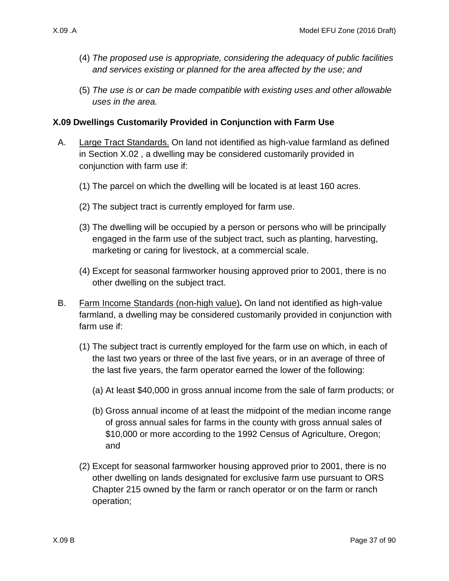- (4) *The proposed use is appropriate, considering the adequacy of public facilities and services existing or planned for the area affected by the use; and*
- (5) *The use is or can be made compatible with existing uses and other allowable uses in the area.*

### **X.09 Dwellings Customarily Provided in Conjunction with Farm Use**

- A. Large Tract Standards. On land not identified as high-value farmland as defined in Section [X.02 ,](#page-1-0) a dwelling may be considered customarily provided in conjunction with farm use if:
	- (1) The parcel on which the dwelling will be located is at least 160 acres.
	- (2) The subject tract is currently employed for farm use.
	- (3) The dwelling will be occupied by a person or persons who will be principally engaged in the farm use of the subject tract, such as planting, harvesting, marketing or caring for livestock, at a commercial scale.
	- (4) Except for seasonal farmworker housing approved prior to 2001, there is no other dwelling on the subject tract.
- <span id="page-36-1"></span><span id="page-36-0"></span>B. Farm Income Standards (non-high value)**.** On land not identified as high-value farmland, a dwelling may be considered customarily provided in conjunction with farm use if:
	- (1) The subject tract is currently employed for the farm use on which, in each of the last two years or three of the last five years, or in an average of three of the last five years, the farm operator earned the lower of the following:
		- (a) At least \$40,000 in gross annual income from the sale of farm products; or
		- (b) Gross annual income of at least the midpoint of the median income range of gross annual sales for farms in the county with gross annual sales of \$10,000 or more according to the 1992 Census of Agriculture, Oregon; and
	- (2) Except for seasonal farmworker housing approved prior to 2001, there is no other dwelling on lands designated for exclusive farm use pursuant to ORS Chapter 215 owned by the farm or ranch operator or on the farm or ranch operation;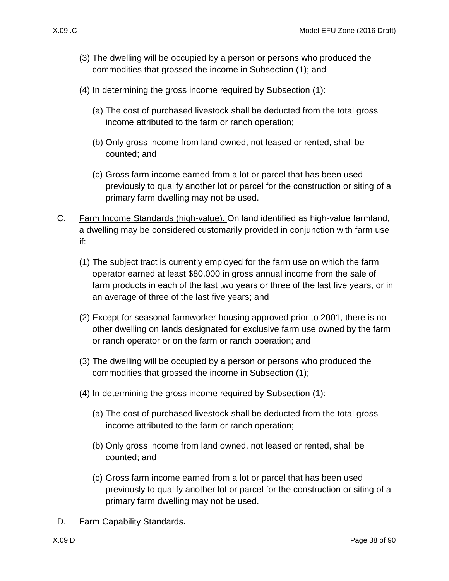- (3) The dwelling will be occupied by a person or persons who produced the commodities that grossed the income in Subsection [\(1\);](#page-36-0) and
- (4) In determining the gross income required by Subsection [\(1\):](#page-36-0)
	- (a) The cost of purchased livestock shall be deducted from the total gross income attributed to the farm or ranch operation;
	- (b) Only gross income from land owned, not leased or rented, shall be counted; and
	- (c) Gross farm income earned from a lot or parcel that has been used previously to qualify another lot or parcel for the construction or siting of a primary farm dwelling may not be used.
- <span id="page-37-1"></span><span id="page-37-0"></span>C. Farm Income Standards (high-value). On land identified as high-value farmland, a dwelling may be considered customarily provided in conjunction with farm use if:
	- (1) The subject tract is currently employed for the farm use on which the farm operator earned at least \$80,000 in gross annual income from the sale of farm products in each of the last two years or three of the last five years, or in an average of three of the last five years; and
	- (2) Except for seasonal farmworker housing approved prior to 2001, there is no other dwelling on lands designated for exclusive farm use owned by the farm or ranch operator or on the farm or ranch operation; and
	- (3) The dwelling will be occupied by a person or persons who produced the commodities that grossed the income in Subsection [\(1\);](#page-37-0)
	- (4) In determining the gross income required by Subsection [\(1\):](#page-37-0)
		- (a) The cost of purchased livestock shall be deducted from the total gross income attributed to the farm or ranch operation;
		- (b) Only gross income from land owned, not leased or rented, shall be counted; and
		- (c) Gross farm income earned from a lot or parcel that has been used previously to qualify another lot or parcel for the construction or siting of a primary farm dwelling may not be used.
- D. Farm Capability Standards**.**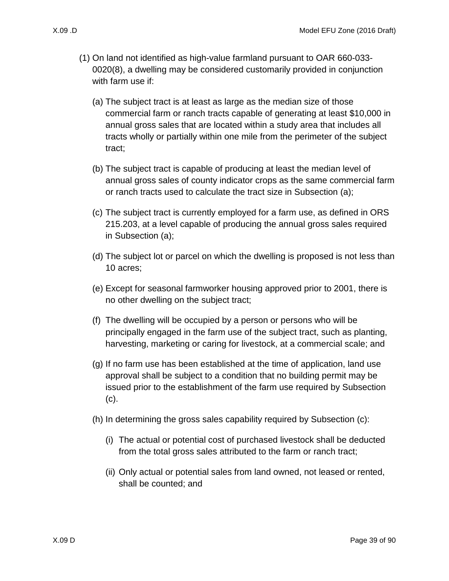- <span id="page-38-1"></span><span id="page-38-0"></span>
	- (1) On land not identified as high-value farmland pursuant to OAR 660-033- 0020(8), a dwelling may be considered customarily provided in conjunction with farm use if:
		- (a) The subject tract is at least as large as the median size of those commercial farm or ranch tracts capable of generating at least \$10,000 in annual gross sales that are located within a study area that includes all tracts wholly or partially within one mile from the perimeter of the subject tract;
		- (b) The subject tract is capable of producing at least the median level of annual gross sales of county indicator crops as the same commercial farm or ranch tracts used to calculate the tract size in Subsection [\(a\);](#page-38-0)
		- (c) The subject tract is currently employed for a farm use, as defined in ORS 215.203, at a level capable of producing the annual gross sales required in Subsection [\(a\);](#page-38-0)
		- (d) The subject lot or parcel on which the dwelling is proposed is not less than 10 acres;
		- (e) Except for seasonal farmworker housing approved prior to 2001, there is no other dwelling on the subject tract;
		- (f) The dwelling will be occupied by a person or persons who will be principally engaged in the farm use of the subject tract, such as planting, harvesting, marketing or caring for livestock, at a commercial scale; and
		- (g) If no farm use has been established at the time of application, land use approval shall be subject to a condition that no building permit may be issued prior to the establishment of the farm use required by Subsection [\(c\).](#page-38-1)
		- (h) In determining the gross sales capability required by Subsection [\(c\):](#page-38-1)
			- (i) The actual or potential cost of purchased livestock shall be deducted from the total gross sales attributed to the farm or ranch tract;
			- (ii) Only actual or potential sales from land owned, not leased or rented, shall be counted; and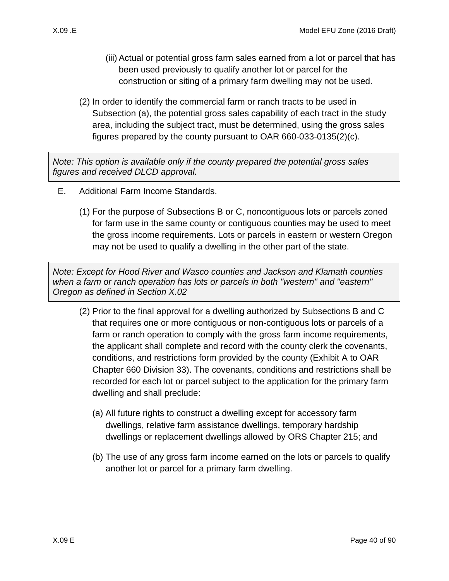- (iii) Actual or potential gross farm sales earned from a lot or parcel that has been used previously to qualify another lot or parcel for the construction or siting of a primary farm dwelling may not be used.
- (2) In order to identify the commercial farm or ranch tracts to be used in Subsection [\(a\),](#page-38-0) the potential gross sales capability of each tract in the study area, including the subject tract, must be determined, using the gross sales figures prepared by the county pursuant to OAR 660-033-0135(2)(c).

*Note: This option is available only if the county prepared the potential gross sales figures and received DLCD approval.*

- E. Additional Farm Income Standards.
	- (1) For the purpose of Subsections [B](#page-36-1) or [C,](#page-37-1) noncontiguous lots or parcels zoned for farm use in the same county or contiguous counties may be used to meet the gross income requirements. Lots or parcels in eastern or western Oregon may not be used to qualify a dwelling in the other part of the state.

*Note: Except for Hood River and Wasco counties and Jackson and Klamath counties when a farm or ranch operation has lots or parcels in both "western" and "eastern" Oregon as defined in Section X.02*

- (2) Prior to the final approval for a dwelling authorized by Subsections [B](#page-36-1) and [C](#page-37-1)  that requires one or more contiguous or non-contiguous lots or parcels of a farm or ranch operation to comply with the gross farm income requirements, the applicant shall complete and record with the county clerk the covenants, conditions, and restrictions form provided by the county (Exhibit A to OAR Chapter 660 Division 33). The covenants, conditions and restrictions shall be recorded for each lot or parcel subject to the application for the primary farm dwelling and shall preclude:
	- (a) All future rights to construct a dwelling except for accessory farm dwellings, relative farm assistance dwellings, temporary hardship dwellings or replacement dwellings allowed by ORS Chapter 215; and
	- (b) The use of any gross farm income earned on the lots or parcels to qualify another lot or parcel for a primary farm dwelling.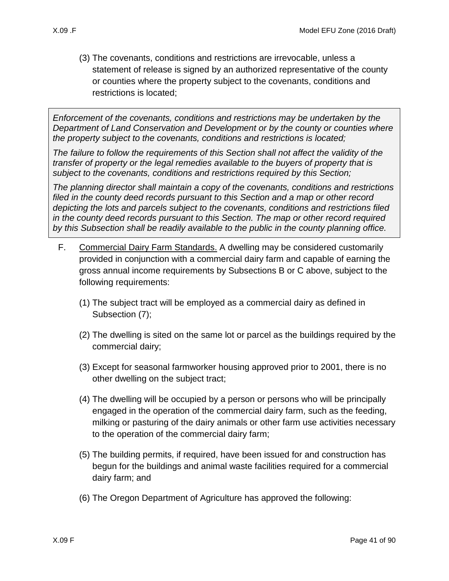(3) The covenants, conditions and restrictions are irrevocable, unless a statement of release is signed by an authorized representative of the county or counties where the property subject to the covenants, conditions and restrictions is located;

*Enforcement of the covenants, conditions and restrictions may be undertaken by the Department of Land Conservation and Development or by the county or counties where the property subject to the covenants, conditions and restrictions is located;*

*The failure to follow the requirements of this Section shall not affect the validity of the transfer of property or the legal remedies available to the buyers of property that is subject to the covenants, conditions and restrictions required by this Section;* 

*The planning director shall maintain a copy of the covenants, conditions and restrictions filed in the county deed records pursuant to this Section and a map or other record depicting the lots and parcels subject to the covenants, conditions and restrictions filed in the county deed records pursuant to this Section. The map or other record required by this Subsection shall be readily available to the public in the county planning office.* 

- F. Commercial Dairy Farm Standards. A dwelling may be considered customarily provided in conjunction with a commercial dairy farm and capable of earning the gross annual income requirements by Subsections [B](#page-36-1) or [C](#page-37-1) above, subject to the following requirements:
	- (1) The subject tract will be employed as a commercial dairy as defined in Subsection [\(7\);](#page-41-0)
	- (2) The dwelling is sited on the same lot or parcel as the buildings required by the commercial dairy;
	- (3) Except for seasonal farmworker housing approved prior to 2001, there is no other dwelling on the subject tract;
	- (4) The dwelling will be occupied by a person or persons who will be principally engaged in the operation of the commercial dairy farm, such as the feeding, milking or pasturing of the dairy animals or other farm use activities necessary to the operation of the commercial dairy farm;
	- (5) The building permits, if required, have been issued for and construction has begun for the buildings and animal waste facilities required for a commercial dairy farm; and
	- (6) The Oregon Department of Agriculture has approved the following: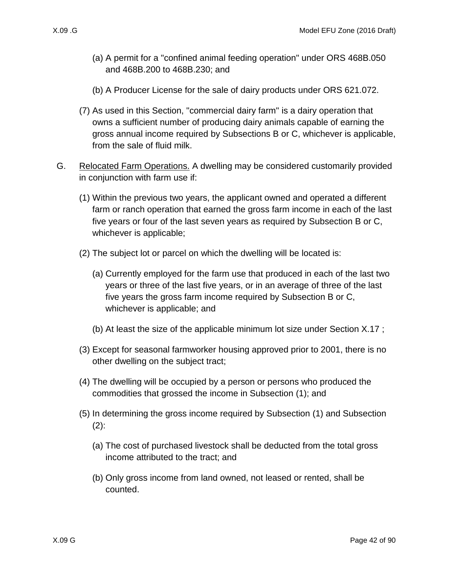- (a) A permit for a "confined animal feeding operation" under ORS 468B.050 and 468B.200 to 468B.230; and
- (b) A Producer License for the sale of dairy products under ORS 621.072.
- <span id="page-41-0"></span>(7) As used in this Section, "commercial dairy farm" is a dairy operation that owns a sufficient number of producing dairy animals capable of earning the gross annual income required by Subsections [B](#page-36-1) or [C,](#page-37-1) whichever is applicable, from the sale of fluid milk.
- <span id="page-41-3"></span><span id="page-41-2"></span><span id="page-41-1"></span>G. Relocated Farm Operations. A dwelling may be considered customarily provided in conjunction with farm use if:
	- (1) Within the previous two years, the applicant owned and operated a different farm or ranch operation that earned the gross farm income in each of the last five years or four of the last seven years as required by Subsection [B](#page-36-1) or [C,](#page-37-1) whichever is applicable;
	- (2) The subject lot or parcel on which the dwelling will be located is:
		- (a) Currently employed for the farm use that produced in each of the last two years or three of the last five years, or in an average of three of the last five years the gross farm income required by Subsection [B](#page-36-1) or [C,](#page-37-1) whichever is applicable; and
		- (b) At least the size of the applicable minimum lot size under Section [X.17 ;](#page-76-0)
	- (3) Except for seasonal farmworker housing approved prior to 2001, there is no other dwelling on the subject tract;
	- (4) The dwelling will be occupied by a person or persons who produced the commodities that grossed the income in Subsection [\(1\);](#page-41-1) and
	- (5) In determining the gross income required by Subsection [\(1\)](#page-41-1) and Subsection [\(2\):](#page-41-2)
		- (a) The cost of purchased livestock shall be deducted from the total gross income attributed to the tract; and
		- (b) Only gross income from land owned, not leased or rented, shall be counted.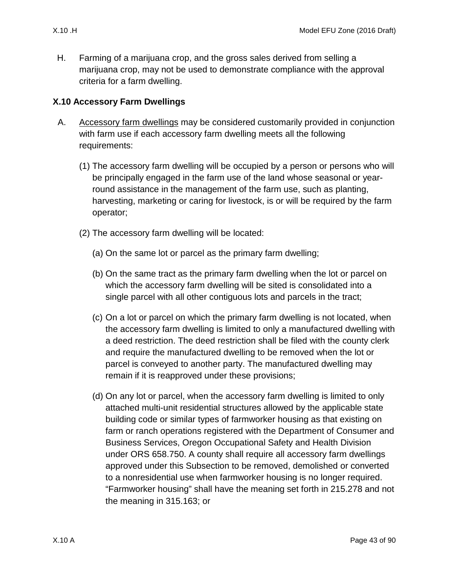H. Farming of a marijuana crop, and the gross sales derived from selling a marijuana crop, may not be used to demonstrate compliance with the approval criteria for a farm dwelling.

## **X.10 Accessory Farm Dwellings**

- <span id="page-42-0"></span>A. Accessory farm dwellings may be considered customarily provided in conjunction with farm use if each accessory farm dwelling meets all the following requirements:
	- (1) The accessory farm dwelling will be occupied by a person or persons who will be principally engaged in the farm use of the land whose seasonal or yearround assistance in the management of the farm use, such as planting, harvesting, marketing or caring for livestock, is or will be required by the farm operator;
	- (2) The accessory farm dwelling will be located:
		- (a) On the same lot or parcel as the primary farm dwelling;
		- (b) On the same tract as the primary farm dwelling when the lot or parcel on which the accessory farm dwelling will be sited is consolidated into a single parcel with all other contiguous lots and parcels in the tract;
		- (c) On a lot or parcel on which the primary farm dwelling is not located, when the accessory farm dwelling is limited to only a manufactured dwelling with a deed restriction. The deed restriction shall be filed with the county clerk and require the manufactured dwelling to be removed when the lot or parcel is conveyed to another party. The manufactured dwelling may remain if it is reapproved under these provisions;
		- (d) On any lot or parcel, when the accessory farm dwelling is limited to only attached multi-unit residential structures allowed by the applicable state building code or similar types of farmworker housing as that existing on farm or ranch operations registered with the Department of Consumer and Business Services, Oregon Occupational Safety and Health Division under ORS 658.750. A county shall require all accessory farm dwellings approved under this Subsection to be removed, demolished or converted to a nonresidential use when farmworker housing is no longer required. "Farmworker housing" shall have the meaning set forth in 215.278 and not the meaning in 315.163; or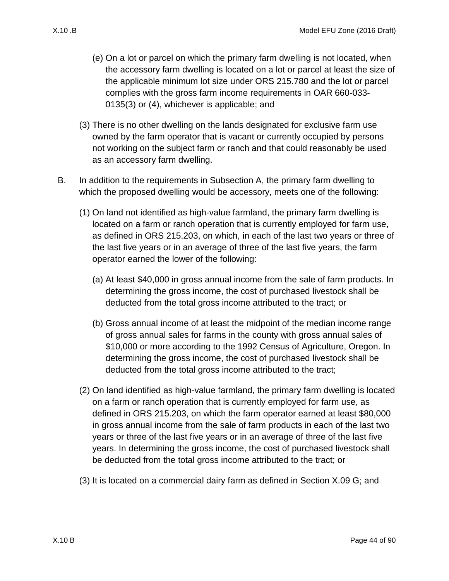- (e) On a lot or parcel on which the primary farm dwelling is not located, when the accessory farm dwelling is located on a lot or parcel at least the size of the applicable minimum lot size under ORS 215.780 and the lot or parcel complies with the gross farm income requirements in OAR 660-033- 0135(3) or (4), whichever is applicable; and
- (3) There is no other dwelling on the lands designated for exclusive farm use owned by the farm operator that is vacant or currently occupied by persons not working on the subject farm or ranch and that could reasonably be used as an accessory farm dwelling.
- B. In addition to the requirements in Subsection [A,](#page-42-0) the primary farm dwelling to which the proposed dwelling would be accessory, meets one of the following:
	- (1) On land not identified as high-value farmland, the primary farm dwelling is located on a farm or ranch operation that is currently employed for farm use, as defined in ORS 215.203, on which, in each of the last two years or three of the last five years or in an average of three of the last five years, the farm operator earned the lower of the following:
		- (a) At least \$40,000 in gross annual income from the sale of farm products. In determining the gross income, the cost of purchased livestock shall be deducted from the total gross income attributed to the tract; or
		- (b) Gross annual income of at least the midpoint of the median income range of gross annual sales for farms in the county with gross annual sales of \$10,000 or more according to the 1992 Census of Agriculture, Oregon. In determining the gross income, the cost of purchased livestock shall be deducted from the total gross income attributed to the tract;
	- (2) On land identified as high-value farmland, the primary farm dwelling is located on a farm or ranch operation that is currently employed for farm use, as defined in ORS 215.203, on which the farm operator earned at least \$80,000 in gross annual income from the sale of farm products in each of the last two years or three of the last five years or in an average of three of the last five years. In determining the gross income, the cost of purchased livestock shall be deducted from the total gross income attributed to the tract; or
	- (3) It is located on a commercial dairy farm as defined in Section [X.09 G;](#page-41-3) and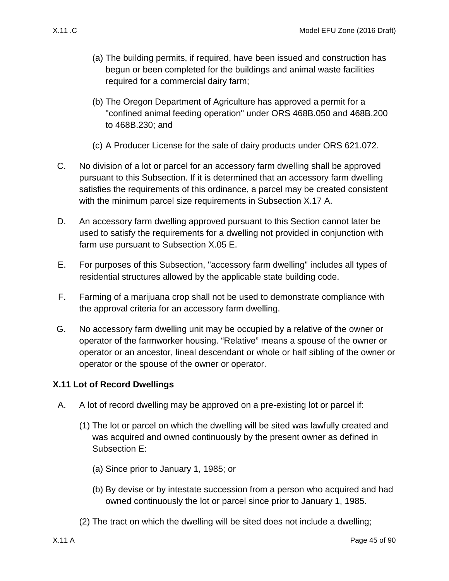- (a) The building permits, if required, have been issued and construction has begun or been completed for the buildings and animal waste facilities required for a commercial dairy farm;
- (b) The Oregon Department of Agriculture has approved a permit for a "confined animal feeding operation" under ORS 468B.050 and 468B.200 to 468B.230; and
- (c) A Producer License for the sale of dairy products under ORS 621.072.
- C. No division of a lot or parcel for an accessory farm dwelling shall be approved pursuant to this Subsection. If it is determined that an accessory farm dwelling satisfies the requirements of this ordinance, a parcel may be created consistent with the minimum parcel size requirements in Subsection [X.17 A.](#page-76-1)
- D. An accessory farm dwelling approved pursuant to this Section cannot later be used to satisfy the requirements for a dwelling not provided in conjunction with farm use pursuant to Subsection [X.05 E.](#page-13-0)
- E. For purposes of this Subsection, "accessory farm dwelling" includes all types of residential structures allowed by the applicable state building code.
- F. Farming of a marijuana crop shall not be used to demonstrate compliance with the approval criteria for an accessory farm dwelling.
- G. No accessory farm dwelling unit may be occupied by a relative of the owner or operator of the farmworker housing. "Relative" means a spouse of the owner or operator or an ancestor, lineal descendant or whole or half sibling of the owner or operator or the spouse of the owner or operator.

# **X.11 Lot of Record Dwellings**

- <span id="page-44-1"></span><span id="page-44-0"></span>A. A lot of record dwelling may be approved on a pre-existing lot or parcel if:
	- (1) The lot or parcel on which the dwelling will be sited was lawfully created and was acquired and owned continuously by the present owner as defined in Subsection [E:](#page-47-0)
		- (a) Since prior to January 1, 1985; or
		- (b) By devise or by intestate succession from a person who acquired and had owned continuously the lot or parcel since prior to January 1, 1985.
	- (2) The tract on which the dwelling will be sited does not include a dwelling;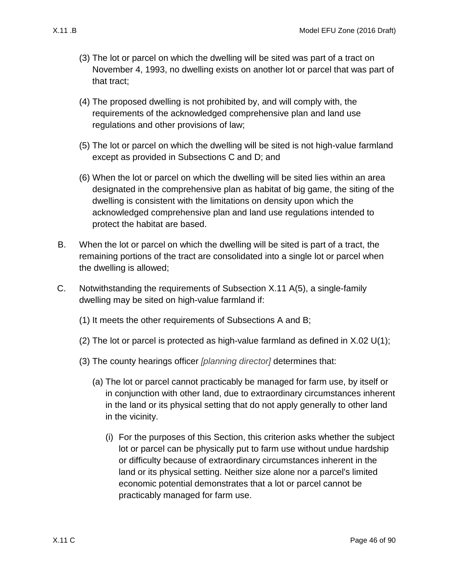- (3) The lot or parcel on which the dwelling will be sited was part of a tract on November 4, 1993, no dwelling exists on another lot or parcel that was part of that tract;
- (4) The proposed dwelling is not prohibited by, and will comply with, the requirements of the acknowledged comprehensive plan and land use regulations and other provisions of law;
- <span id="page-45-1"></span>(5) The lot or parcel on which the dwelling will be sited is not high-value farmland except as provided in Subsections [C](#page-45-0) and [D;](#page-46-0) and
- (6) When the lot or parcel on which the dwelling will be sited lies within an area designated in the comprehensive plan as habitat of big game, the siting of the dwelling is consistent with the limitations on density upon which the acknowledged comprehensive plan and land use regulations intended to protect the habitat are based.
- <span id="page-45-2"></span>B. When the lot or parcel on which the dwelling will be sited is part of a tract, the remaining portions of the tract are consolidated into a single lot or parcel when the dwelling is allowed;
- <span id="page-45-3"></span><span id="page-45-0"></span>C. Notwithstanding the requirements of Subsection [X.11 A\(5\),](#page-45-1) a single-family dwelling may be sited on high-value farmland if:
	- (1) It meets the other requirements of Subsections [A](#page-44-0) and [B;](#page-45-2)
	- (2) The lot or parcel is protected as high-value farmland as defined in [X.02 U\(1\);](#page-5-0)
	- (3) The county hearings officer *[planning director]* determines that:
		- (a) The lot or parcel cannot practicably be managed for farm use, by itself or in conjunction with other land, due to extraordinary circumstances inherent in the land or its physical setting that do not apply generally to other land in the vicinity.
			- (i) For the purposes of this Section, this criterion asks whether the subject lot or parcel can be physically put to farm use without undue hardship or difficulty because of extraordinary circumstances inherent in the land or its physical setting. Neither size alone nor a parcel's limited economic potential demonstrates that a lot or parcel cannot be practicably managed for farm use.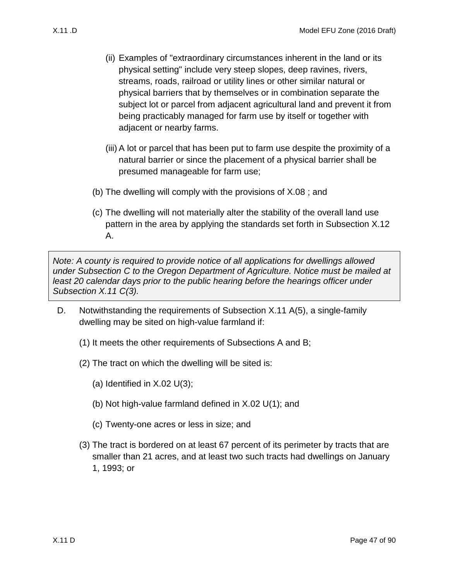- (ii) Examples of "extraordinary circumstances inherent in the land or its physical setting" include very steep slopes, deep ravines, rivers, streams, roads, railroad or utility lines or other similar natural or physical barriers that by themselves or in combination separate the subject lot or parcel from adjacent agricultural land and prevent it from being practicably managed for farm use by itself or together with adjacent or nearby farms.
- (iii) A lot or parcel that has been put to farm use despite the proximity of a natural barrier or since the placement of a physical barrier shall be presumed manageable for farm use;
- (b) The dwelling will comply with the provisions of [X.08 ;](#page-35-0) and
- (c) The dwelling will not materially alter the stability of the overall land use pattern in the area by applying the standards set forth in Subsection [X.12](#page-48-0)  [A.](#page-48-0)

*Note: A county is required to provide notice of all applications for dwellings allowed under Subsection [C](#page-45-0) to the Oregon Department of Agriculture. Notice must be mailed at least 20 calendar days prior to the public hearing before the hearings officer under Subsection [X.11 C\(3\).](#page-45-3)*

- <span id="page-46-0"></span>D. Notwithstanding the requirements of Subsection [X.11 A\(5\),](#page-45-1) a single-family dwelling may be sited on high-value farmland if:
	- (1) It meets the other requirements of Subsections [A](#page-44-0) and [B;](#page-45-2)
	- (2) The tract on which the dwelling will be sited is:
		- (a) Identified in  $X.02 \cup (3)$ ;
		- (b) Not high-value farmland defined in [X.02 U\(1\);](#page-5-0) and
		- (c) Twenty-one acres or less in size; and
	- (3) The tract is bordered on at least 67 percent of its perimeter by tracts that are smaller than 21 acres, and at least two such tracts had dwellings on January 1, 1993; or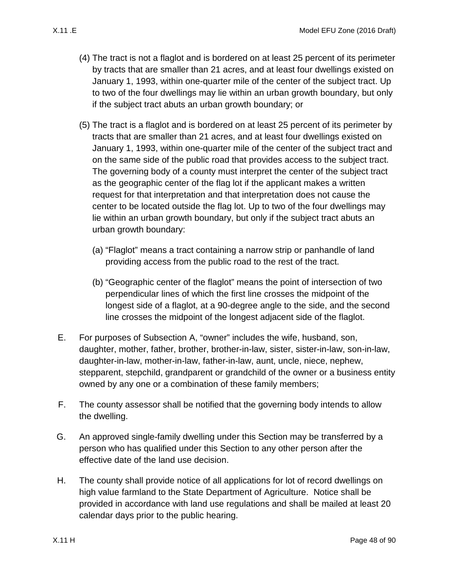- (4) The tract is not a flaglot and is bordered on at least 25 percent of its perimeter by tracts that are smaller than 21 acres, and at least four dwellings existed on January 1, 1993, within one-quarter mile of the center of the subject tract. Up to two of the four dwellings may lie within an urban growth boundary, but only if the subject tract abuts an urban growth boundary; or
- (5) The tract is a flaglot and is bordered on at least 25 percent of its perimeter by tracts that are smaller than 21 acres, and at least four dwellings existed on January 1, 1993, within one-quarter mile of the center of the subject tract and on the same side of the public road that provides access to the subject tract. The governing body of a county must interpret the center of the subject tract as the geographic center of the flag lot if the applicant makes a written request for that interpretation and that interpretation does not cause the center to be located outside the flag lot. Up to two of the four dwellings may lie within an urban growth boundary, but only if the subject tract abuts an urban growth boundary:
	- (a) "Flaglot" means a tract containing a narrow strip or panhandle of land providing access from the public road to the rest of the tract.
	- (b) "Geographic center of the flaglot" means the point of intersection of two perpendicular lines of which the first line crosses the midpoint of the longest side of a flaglot, at a 90-degree angle to the side, and the second line crosses the midpoint of the longest adjacent side of the flaglot.
- <span id="page-47-0"></span>E. For purposes of Subsection [A,](#page-44-0) "owner" includes the wife, husband, son, daughter, mother, father, brother, brother-in-law, sister, sister-in-law, son-in-law, daughter-in-law, mother-in-law, father-in-law, aunt, uncle, niece, nephew, stepparent, stepchild, grandparent or grandchild of the owner or a business entity owned by any one or a combination of these family members;
- F. The county assessor shall be notified that the governing body intends to allow the dwelling.
- G. An approved single-family dwelling under this Section may be transferred by a person who has qualified under this Section to any other person after the effective date of the land use decision.
- H. The county shall provide notice of all applications for lot of record dwellings on high value farmland to the State Department of Agriculture. Notice shall be provided in accordance with land use regulations and shall be mailed at least 20 calendar days prior to the public hearing.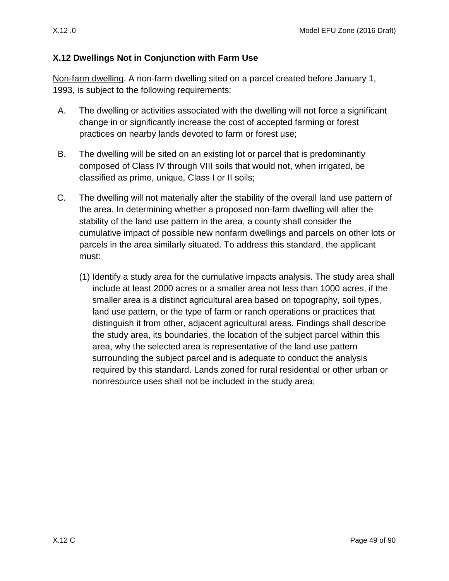## <span id="page-48-1"></span>**X.12 Dwellings Not in Conjunction with Farm Use**

Non-farm dwelling. A non-farm dwelling sited on a parcel created before January 1, 1993, is subject to the following requirements:

- <span id="page-48-0"></span>A. The dwelling or activities associated with the dwelling will not force a significant change in or significantly increase the cost of accepted farming or forest practices on nearby lands devoted to farm or forest use;
- B. The dwelling will be sited on an existing lot or parcel that is predominantly composed of Class IV through VIII soils that would not, when irrigated, be classified as prime, unique, Class I or II soils;
- C. The dwelling will not materially alter the stability of the overall land use pattern of the area. In determining whether a proposed non-farm dwelling will alter the stability of the land use pattern in the area, a county shall consider the cumulative impact of possible new nonfarm dwellings and parcels on other lots or parcels in the area similarly situated. To address this standard, the applicant must:
	- (1) Identify a study area for the cumulative impacts analysis. The study area shall include at least 2000 acres or a smaller area not less than 1000 acres, if the smaller area is a distinct agricultural area based on topography, soil types, land use pattern, or the type of farm or ranch operations or practices that distinguish it from other, adjacent agricultural areas. Findings shall describe the study area, its boundaries, the location of the subject parcel within this area, why the selected area is representative of the land use pattern surrounding the subject parcel and is adequate to conduct the analysis required by this standard. Lands zoned for rural residential or other urban or nonresource uses shall not be included in the study area;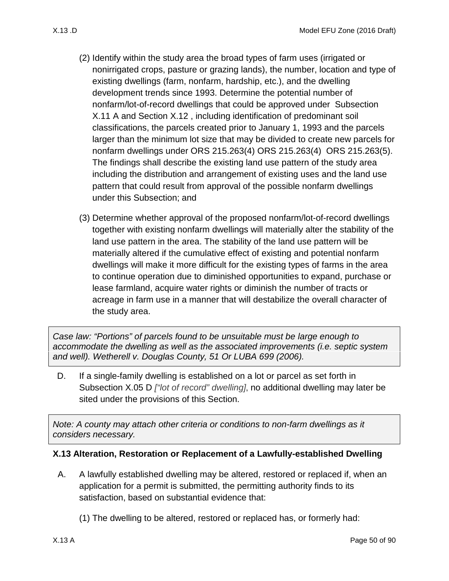- (2) Identify within the study area the broad types of farm uses (irrigated or nonirrigated crops, pasture or grazing lands), the number, location and type of existing dwellings (farm, nonfarm, hardship, etc.), and the dwelling development trends since 1993. Determine the potential number of nonfarm/lot-of-record dwellings that could be approved under Subsection [X.11 A](#page-44-1) and Section [X.12 ,](#page-48-1) including identification of predominant soil classifications, the parcels created prior to January 1, 1993 and the parcels larger than the minimum lot size that may be divided to create new parcels for nonfarm dwellings under ORS 215.263(4) ORS 215.263(4) ORS 215.263(5). The findings shall describe the existing land use pattern of the study area including the distribution and arrangement of existing uses and the land use pattern that could result from approval of the possible nonfarm dwellings under this Subsection; and
- (3) Determine whether approval of the proposed nonfarm/lot-of-record dwellings together with existing nonfarm dwellings will materially alter the stability of the land use pattern in the area. The stability of the land use pattern will be materially altered if the cumulative effect of existing and potential nonfarm dwellings will make it more difficult for the existing types of farms in the area to continue operation due to diminished opportunities to expand, purchase or lease farmland, acquire water rights or diminish the number of tracts or acreage in farm use in a manner that will destabilize the overall character of the study area.

*Case law: "Portions" of parcels found to be unsuitable must be large enough to accommodate the dwelling as well as the associated improvements (i.e. septic system and well). Wetherell v. Douglas County, 51 Or LUBA 699 (2006).*

D. If a single-family dwelling is established on a lot or parcel as set forth in Subsection [X.05 D](#page-13-1) *["lot of record" dwelling]*, no additional dwelling may later be sited under the provisions of this Section.

*Note: A county may attach other criteria or conditions to non-farm dwellings as it considers necessary.*

#### **X.13 Alteration, Restoration or Replacement of a Lawfully-established Dwelling**

- <span id="page-49-0"></span>A. A lawfully established dwelling may be altered, restored or replaced if, when an application for a permit is submitted, the permitting authority finds to its satisfaction, based on substantial evidence that:
	- (1) The dwelling to be altered, restored or replaced has, or formerly had: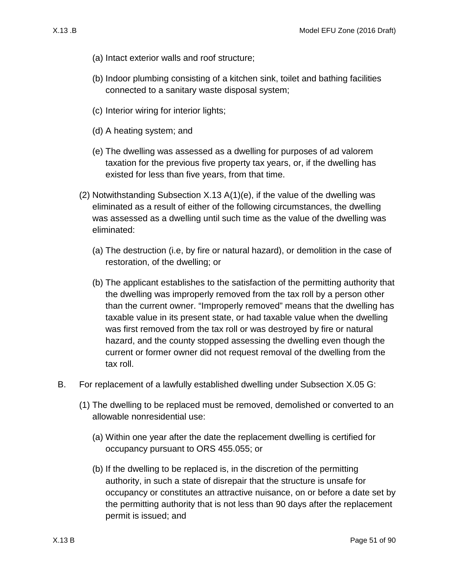- (a) Intact exterior walls and roof structure;
- (b) Indoor plumbing consisting of a kitchen sink, toilet and bathing facilities connected to a sanitary waste disposal system;
- (c) Interior wiring for interior lights;
- (d) A heating system; and
- <span id="page-50-0"></span>(e) The dwelling was assessed as a dwelling for purposes of ad valorem taxation for the previous five property tax years, or, if the dwelling has existed for less than five years, from that time.
- <span id="page-50-1"></span>(2) Notwithstanding Subsection [X.13 A\(1\)\(e\),](#page-50-0) if the value of the dwelling was eliminated as a result of either of the following circumstances, the dwelling was assessed as a dwelling until such time as the value of the dwelling was eliminated:
	- (a) The destruction (i.e, by fire or natural hazard), or demolition in the case of restoration, of the dwelling; or
	- (b) The applicant establishes to the satisfaction of the permitting authority that the dwelling was improperly removed from the tax roll by a person other than the current owner. "Improperly removed" means that the dwelling has taxable value in its present state, or had taxable value when the dwelling was first removed from the tax roll or was destroyed by fire or natural hazard, and the county stopped assessing the dwelling even though the current or former owner did not request removal of the dwelling from the tax roll.
- B. For replacement of a lawfully established dwelling under Subsection [X.05 G:](#page-13-2)
	- (1) The dwelling to be replaced must be removed, demolished or converted to an allowable nonresidential use:
		- (a) Within one year after the date the replacement dwelling is certified for occupancy pursuant to ORS 455.055; or
		- (b) If the dwelling to be replaced is, in the discretion of the permitting authority, in such a state of disrepair that the structure is unsafe for occupancy or constitutes an attractive nuisance, on or before a date set by the permitting authority that is not less than 90 days after the replacement permit is issued; and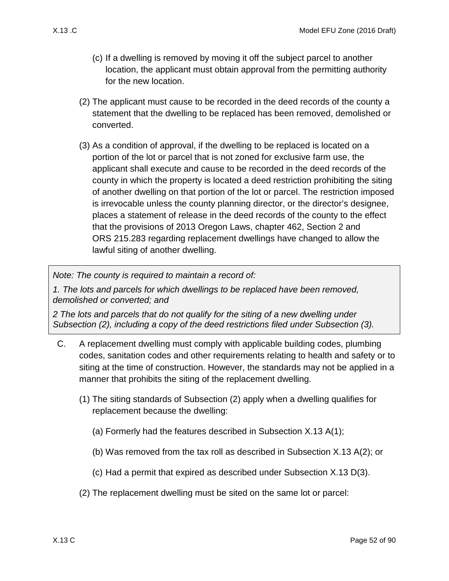- (c) If a dwelling is removed by moving it off the subject parcel to another location, the applicant must obtain approval from the permitting authority for the new location.
- <span id="page-51-0"></span>(2) The applicant must cause to be recorded in the deed records of the county a statement that the dwelling to be replaced has been removed, demolished or converted.
- <span id="page-51-1"></span>(3) As a condition of approval, if the dwelling to be replaced is located on a portion of the lot or parcel that is not zoned for exclusive farm use, the applicant shall execute and cause to be recorded in the deed records of the county in which the property is located a deed restriction prohibiting the siting of another dwelling on that portion of the lot or parcel. The restriction imposed is irrevocable unless the county planning director, or the director's designee, places a statement of release in the deed records of the county to the effect that the provisions of 2013 Oregon Laws, chapter 462, Section 2 and ORS 215.283 regarding replacement dwellings have changed to allow the lawful siting of another dwelling.

*Note: The county is required to maintain a record of:* 

*1. The lots and parcels for which dwellings to be replaced have been removed, demolished or converted; and* 

*2 The lots and parcels that do not qualify for the siting of a new dwelling under Subsection [\(2\),](#page-51-0) including a copy of the deed restrictions filed under Subsection [\(3\).](#page-51-1)*

- <span id="page-51-2"></span>C. A replacement dwelling must comply with applicable building codes, plumbing codes, sanitation codes and other requirements relating to health and safety or to siting at the time of construction. However, the standards may not be applied in a manner that prohibits the siting of the replacement dwelling.
	- (1) The siting standards of Subsection [\(2\)](#page-51-2) apply when a dwelling qualifies for replacement because the dwelling:
		- (a) Formerly had the features described in Subsection [X.13 A\(1\);](#page-49-0)
		- (b) Was removed from the tax roll as described in Subsection [X.13 A\(2\);](#page-50-1) or
		- (c) Had a permit that expired as described under Subsection [X.13 D\(3\).](#page-52-0)
	- (2) The replacement dwelling must be sited on the same lot or parcel: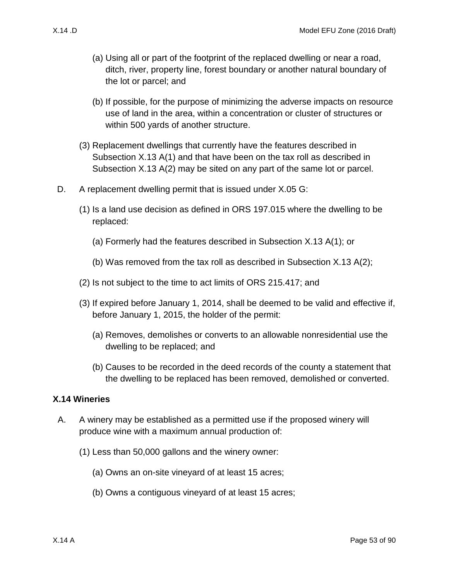- (a) Using all or part of the footprint of the replaced dwelling or near a road, ditch, river, property line, forest boundary or another natural boundary of the lot or parcel; and
- (b) If possible, for the purpose of minimizing the adverse impacts on resource use of land in the area, within a concentration or cluster of structures or within 500 yards of another structure.
- (3) Replacement dwellings that currently have the features described in Subsection [X.13 A\(1\)](#page-49-0) and that have been on the tax roll as described in Subsection [X.13 A\(2\)](#page-50-1) may be sited on any part of the same lot or parcel.
- D. A replacement dwelling permit that is issued under [X.05 G:](#page-13-2)
	- (1) Is a land use decision as defined in ORS 197.015 where the dwelling to be replaced:
		- (a) Formerly had the features described in Subsection [X.13 A\(1\);](#page-49-0) or
		- (b) Was removed from the tax roll as described in Subsection [X.13 A\(2\);](#page-50-1)
	- (2) Is not subject to the time to act limits of ORS 215.417; and
	- (3) If expired before January 1, 2014, shall be deemed to be valid and effective if, before January 1, 2015, the holder of the permit:
		- (a) Removes, demolishes or converts to an allowable nonresidential use the dwelling to be replaced; and
		- (b) Causes to be recorded in the deed records of the county a statement that the dwelling to be replaced has been removed, demolished or converted.

#### <span id="page-52-0"></span>**X.14 Wineries**

- <span id="page-52-3"></span><span id="page-52-2"></span><span id="page-52-1"></span>A. A winery may be established as a permitted use if the proposed winery will produce wine with a maximum annual production of:
	- (1) Less than 50,000 gallons and the winery owner:
		- (a) Owns an on-site vineyard of at least 15 acres;
		- (b) Owns a contiguous vineyard of at least 15 acres;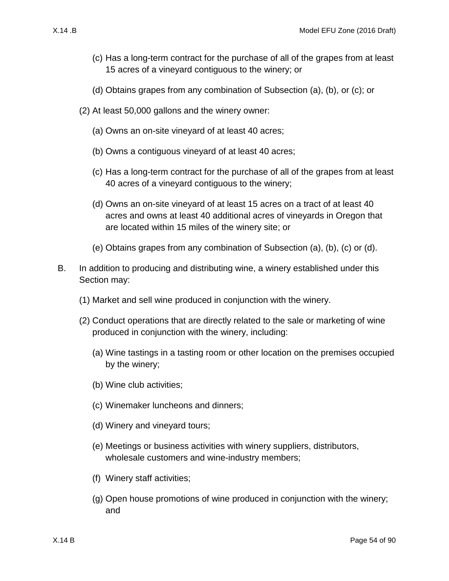- <span id="page-53-0"></span>(c) Has a long-term contract for the purchase of all of the grapes from at least 15 acres of a vineyard contiguous to the winery; or
- (d) Obtains grapes from any combination of Subsection [\(a\),](#page-52-1) [\(b\),](#page-52-2) or [\(c\);](#page-53-0) or
- <span id="page-53-1"></span>(2) At least 50,000 gallons and the winery owner:
	- (a) Owns an on-site vineyard of at least 40 acres;
	- (b) Owns a contiguous vineyard of at least 40 acres;
	- (c) Has a long-term contract for the purchase of all of the grapes from at least 40 acres of a vineyard contiguous to the winery;
	- (d) Owns an on-site vineyard of at least 15 acres on a tract of at least 40 acres and owns at least 40 additional acres of vineyards in Oregon that are located within 15 miles of the winery site; or
	- (e) Obtains grapes from any combination of Subsection [\(a\),](#page-52-1) [\(b\),](#page-52-2) [\(c\)](#page-53-0) or [\(d\).](#page-53-1)
- <span id="page-53-2"></span>B. In addition to producing and distributing wine, a winery established under this Section may:
	- (1) Market and sell wine produced in conjunction with the winery.
	- (2) Conduct operations that are directly related to the sale or marketing of wine produced in conjunction with the winery, including:
		- (a) Wine tastings in a tasting room or other location on the premises occupied by the winery;
		- (b) Wine club activities;
		- (c) Winemaker luncheons and dinners;
		- (d) Winery and vineyard tours;
		- (e) Meetings or business activities with winery suppliers, distributors, wholesale customers and wine-industry members;
		- (f) Winery staff activities;
		- (g) Open house promotions of wine produced in conjunction with the winery; and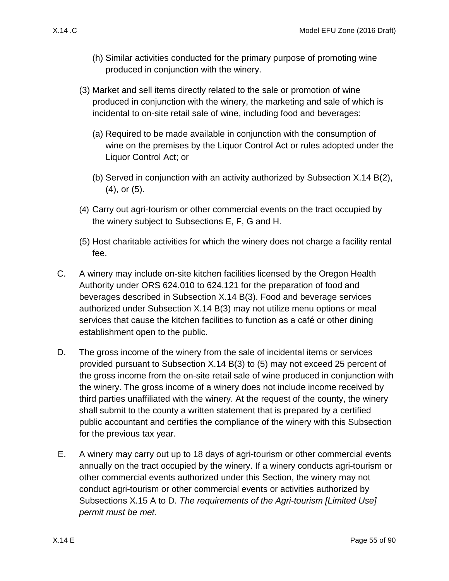- (h) Similar activities conducted for the primary purpose of promoting wine produced in conjunction with the winery.
- <span id="page-54-2"></span>(3) Market and sell items directly related to the sale or promotion of wine produced in conjunction with the winery, the marketing and sale of which is incidental to on-site retail sale of wine, including food and beverages:
	- (a) Required to be made available in conjunction with the consumption of wine on the premises by the Liquor Control Act or rules adopted under the Liquor Control Act; or
	- (b) Served in conjunction with an activity authorized by Subsection [X.14 B\(2\),](#page-53-2) [\(4\),](#page-54-0) or [\(5\).](#page-54-1)
- <span id="page-54-0"></span>(4) Carry out agri-tourism or other commercial events on the tract occupied by the winery subject to Subsections E, F, G and H.
- <span id="page-54-1"></span>(5) Host charitable activities for which the winery does not charge a facility rental fee.
- C. A winery may include on-site kitchen facilities licensed by the Oregon Health Authority under ORS 624.010 to 624.121 for the preparation of food and beverages described in Subsection [X.14 B\(3\).](#page-54-2) Food and beverage services authorized under Subsection [X.14 B\(3\)](#page-54-2) may not utilize menu options or meal services that cause the kitchen facilities to function as a café or other dining establishment open to the public.
- D. The gross income of the winery from the sale of incidental items or services provided pursuant to Subsection [X.14 B\(3\)](#page-54-2) to [\(5\)](#page-54-1) may not exceed 25 percent of the gross income from the on-site retail sale of wine produced in conjunction with the winery. The gross income of a winery does not include income received by third parties unaffiliated with the winery. At the request of the county, the winery shall submit to the county a written statement that is prepared by a certified public accountant and certifies the compliance of the winery with this Subsection for the previous tax year.
- <span id="page-54-3"></span>E. A winery may carry out up to 18 days of agri-tourism or other commercial events annually on the tract occupied by the winery. If a winery conducts agri-tourism or other commercial events authorized under this Section, the winery may not conduct agri-tourism or other commercial events or activities authorized by Subsections [X.15 A](#page-60-0) to [D.](#page-63-0) *The requirements of the Agri-tourism [Limited Use] permit must be met.*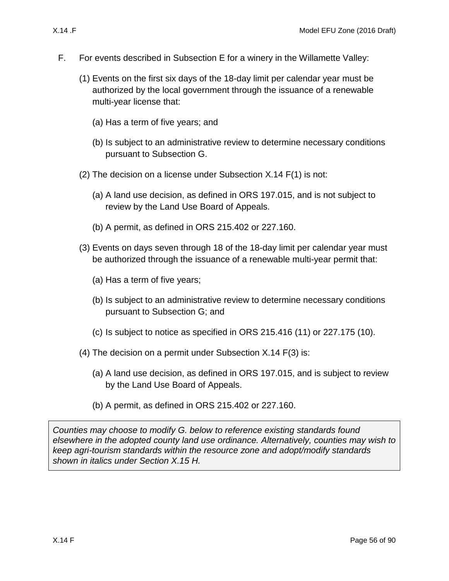- 
- <span id="page-55-2"></span><span id="page-55-0"></span>F. For events described in Subsection E for a winery in the Willamette Valley:
	- (1) Events on the first six days of the 18-day limit per calendar year must be authorized by the local government through the issuance of a renewable multi-year license that:
		- (a) Has a term of five years; and
		- (b) Is subject to an administrative review to determine necessary conditions pursuant to Subsection [G.](#page-56-0)
	- (2) The decision on a license under Subsection [X.14 F\(1\)](#page-55-0) is not:
		- (a) A land use decision, as defined in ORS 197.015, and is not subject to review by the Land Use Board of Appeals.
		- (b) A permit, as defined in ORS 215.402 or 227.160.
	- (3) Events on days seven through 18 of the 18-day limit per calendar year must be authorized through the issuance of a renewable multi-year permit that:
		- (a) Has a term of five years;
		- (b) Is subject to an administrative review to determine necessary conditions pursuant to Subsection G; and
		- $(c)$  Is subject to notice as specified in ORS 215.416  $(11)$  or 227.175  $(10)$ .
	- (4) The decision on a permit under Subsection [X.14 F\(3\)](#page-55-1) is:
		- (a) A land use decision, as defined in ORS 197.015, and is subject to review by the Land Use Board of Appeals.
		- (b) A permit, as defined in ORS 215.402 or 227.160.

<span id="page-55-1"></span>*Counties may choose to modify [G.](#page-56-0) below to reference existing standards found elsewhere in the adopted county land use ordinance. Alternatively, counties may wish to keep agri-tourism standards within the resource zone and adopt/modify standards shown in italics under Section [X.15 H.](#page-64-0)*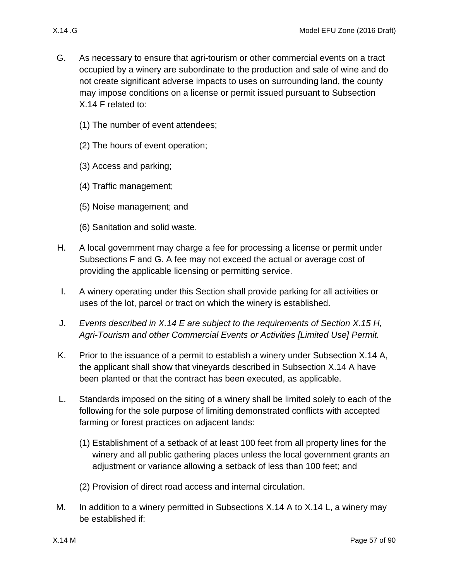- <span id="page-56-0"></span>G. As necessary to ensure that agri-tourism or other commercial events on a tract occupied by a winery are subordinate to the production and sale of wine and do not create significant adverse impacts to uses on surrounding land, the county may impose conditions on a license or permit issued pursuant to Subsection [X.14 F](#page-55-2) related to:
	- (1) The number of event attendees;
	- (2) The hours of event operation;
	- (3) Access and parking;
	- (4) Traffic management;
	- (5) Noise management; and
	- (6) Sanitation and solid waste.
- H. A local government may charge a fee for processing a license or permit under Subsections [F](#page-55-2) and [G.](#page-56-0) A fee may not exceed the actual or average cost of providing the applicable licensing or permitting service.
- I. A winery operating under this Section shall provide parking for all activities or uses of the lot, parcel or tract on which the winery is established.
- J. *Events described in [X.14 E](#page-54-3) are subject to the requirements of Section [X.15 H,](#page-64-0) Agri-Tourism and other Commercial Events or Activities [Limited Use] Permit.*
- K. Prior to the issuance of a permit to establish a winery under Subsection [X.14 A,](#page-52-3) the applicant shall show that vineyards described in Subsection [X.14 A](#page-52-3) have been planted or that the contract has been executed, as applicable.
- <span id="page-56-1"></span>L. Standards imposed on the siting of a winery shall be limited solely to each of the following for the sole purpose of limiting demonstrated conflicts with accepted farming or forest practices on adjacent lands:
	- (1) Establishment of a setback of at least 100 feet from all property lines for the winery and all public gathering places unless the local government grants an adjustment or variance allowing a setback of less than 100 feet; and
	- (2) Provision of direct road access and internal circulation.
- <span id="page-56-2"></span>M. In addition to a winery permitted in Subsections [X.14 A](#page-52-3) to [X.14 L,](#page-56-1) a winery may be established if: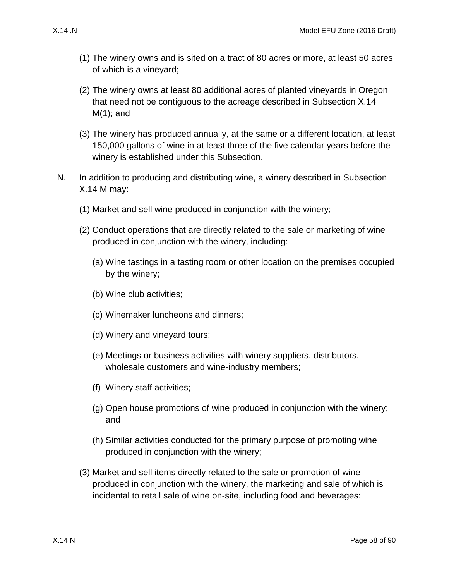- <span id="page-57-0"></span>(1) The winery owns and is sited on a tract of 80 acres or more, at least 50 acres of which is a vineyard;
- (2) The winery owns at least 80 additional acres of planted vineyards in Oregon that need not be contiguous to the acreage described in Subsection [X.14](#page-57-0)  [M\(1\);](#page-57-0) and
- (3) The winery has produced annually, at the same or a different location, at least 150,000 gallons of wine in at least three of the five calendar years before the winery is established under this Subsection.
- <span id="page-57-5"></span><span id="page-57-4"></span><span id="page-57-3"></span><span id="page-57-2"></span><span id="page-57-1"></span>N. In addition to producing and distributing wine, a winery described in Subsection [X.14 M](#page-56-2) may:
	- (1) Market and sell wine produced in conjunction with the winery;
	- (2) Conduct operations that are directly related to the sale or marketing of wine produced in conjunction with the winery, including:
		- (a) Wine tastings in a tasting room or other location on the premises occupied by the winery;
		- (b) Wine club activities;
		- (c) Winemaker luncheons and dinners;
		- (d) Winery and vineyard tours;
		- (e) Meetings or business activities with winery suppliers, distributors, wholesale customers and wine-industry members;
		- (f) Winery staff activities;
		- (g) Open house promotions of wine produced in conjunction with the winery; and
		- (h) Similar activities conducted for the primary purpose of promoting wine produced in conjunction with the winery;
	- (3) Market and sell items directly related to the sale or promotion of wine produced in conjunction with the winery, the marketing and sale of which is incidental to retail sale of wine on-site, including food and beverages: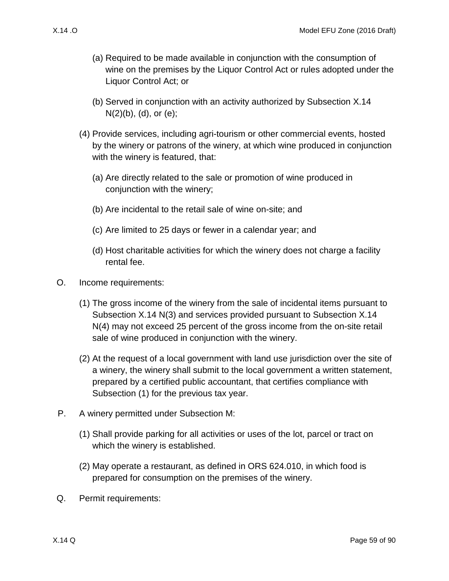- (a) Required to be made available in conjunction with the consumption of wine on the premises by the Liquor Control Act or rules adopted under the Liquor Control Act; or
- (b) Served in conjunction with an activity authorized by Subsection [X.14](#page-57-1)   $N(2)(b)$ ,  $(d)$ , or  $(e)$ ;
- <span id="page-58-0"></span>(4) Provide services, including agri-tourism or other commercial events, hosted by the winery or patrons of the winery, at which wine produced in conjunction with the winery is featured, that:
	- (a) Are directly related to the sale or promotion of wine produced in conjunction with the winery;
	- (b) Are incidental to the retail sale of wine on-site; and
	- (c) Are limited to 25 days or fewer in a calendar year; and
	- (d) Host charitable activities for which the winery does not charge a facility rental fee.
- O. Income requirements:
	- (1) The gross income of the winery from the sale of incidental items pursuant to Subsection [X.14 N\(3\)](#page-57-4) and services provided pursuant to Subsection [X.14](#page-58-0)  [N\(4\)](#page-58-0) may not exceed 25 percent of the gross income from the on-site retail sale of wine produced in conjunction with the winery.
	- (2) At the request of a local government with land use jurisdiction over the site of a winery, the winery shall submit to the local government a written statement, prepared by a certified public accountant, that certifies compliance with Subsection [\(1\)](#page-57-5) for the previous tax year.
- <span id="page-58-1"></span>P. A winery permitted under Subsection [M:](#page-56-2)
	- (1) Shall provide parking for all activities or uses of the lot, parcel or tract on which the winery is established.
	- (2) May operate a restaurant, as defined in ORS 624.010, in which food is prepared for consumption on the premises of the winery.
- Q. Permit requirements: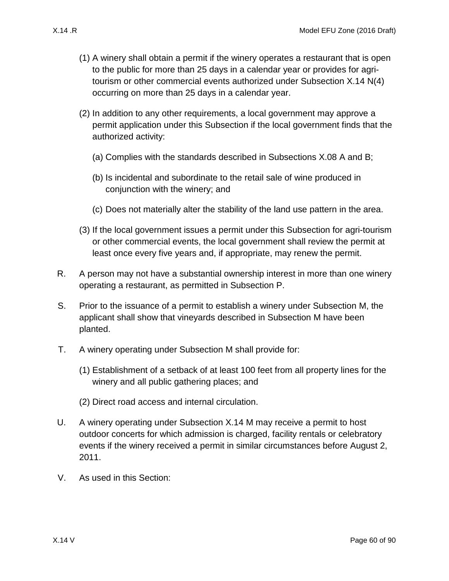- (1) A winery shall obtain a permit if the winery operates a restaurant that is open to the public for more than 25 days in a calendar year or provides for agritourism or other commercial events authorized under Subsection [X.14 N\(4\)](#page-58-0) occurring on more than 25 days in a calendar year.
- (2) In addition to any other requirements, a local government may approve a permit application under this Subsection if the local government finds that the authorized activity:
	- (a) Complies with the standards described in Subsections [X.08 A](#page-35-1) and [B;](#page-35-2)
	- (b) Is incidental and subordinate to the retail sale of wine produced in conjunction with the winery; and
	- (c) Does not materially alter the stability of the land use pattern in the area.
- (3) If the local government issues a permit under this Subsection for agri-tourism or other commercial events, the local government shall review the permit at least once every five years and, if appropriate, may renew the permit.
- R. A person may not have a substantial ownership interest in more than one winery operating a restaurant, as permitted in Subsection [P.](#page-58-1)
- S. Prior to the issuance of a permit to establish a winery under Subsection [M,](#page-56-2) the applicant shall show that vineyards described in Subsection [M](#page-56-2) have been planted.
- T. A winery operating under Subsection [M](#page-56-2) shall provide for:
	- (1) Establishment of a setback of at least 100 feet from all property lines for the winery and all public gathering places; and
	- (2) Direct road access and internal circulation.
- U. A winery operating under Subsection [X.14 M](#page-56-2) may receive a permit to host outdoor concerts for which admission is charged, facility rentals or celebratory events if the winery received a permit in similar circumstances before August 2, 2011.
- V. As used in this Section: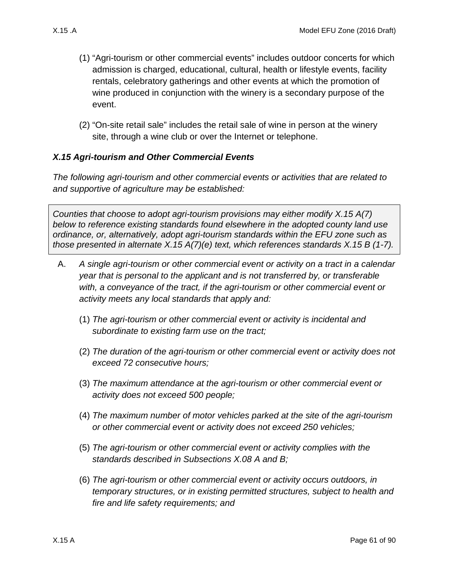- (1) "Agri-tourism or other commercial events" includes outdoor concerts for which admission is charged, educational, cultural, health or lifestyle events, facility rentals, celebratory gatherings and other events at which the promotion of wine produced in conjunction with the winery is a secondary purpose of the event.
- (2) "On-site retail sale" includes the retail sale of wine in person at the winery site, through a wine club or over the Internet or telephone.

#### *X.15 Agri-tourism and Other Commercial Events*

*The following agri-tourism and other commercial events or activities that are related to and supportive of agriculture may be established:*

*Counties that choose to adopt agri-tourism provisions may either modify [X.15 A\(7\)](#page-61-0) below to reference existing standards found elsewhere in the adopted county land use ordinance, or, alternatively, adopt agri-tourism standards within the EFU zone such as those presented in alternate [X.15 A\(7\)\(e\)](#page-61-1) text, which references standards [X.15 B](#page-61-2) (1-7).*

- <span id="page-60-0"></span>A. *A single agri-tourism or other commercial event or activity on a tract in a calendar year that is personal to the applicant and is not transferred by, or transferable with, a conveyance of the tract, if the agri-tourism or other commercial event or activity meets any local standards that apply and:*
	- (1) *The agri-tourism or other commercial event or activity is incidental and subordinate to existing farm use on the tract;*
	- (2) *The duration of the agri-tourism or other commercial event or activity does not exceed 72 consecutive hours;*
	- (3) *The maximum attendance at the agri-tourism or other commercial event or activity does not exceed 500 people;*
	- (4) *The maximum number of motor vehicles parked at the site of the agri-tourism or other commercial event or activity does not exceed 250 vehicles;*
	- (5) *The agri-tourism or other commercial event or activity complies with the standards described in Subsections [X.08 A](#page-35-1) and [B;](#page-35-2)*
	- (6) *The agri-tourism or other commercial event or activity occurs outdoors, in temporary structures, or in existing permitted structures, subject to health and fire and life safety requirements; and*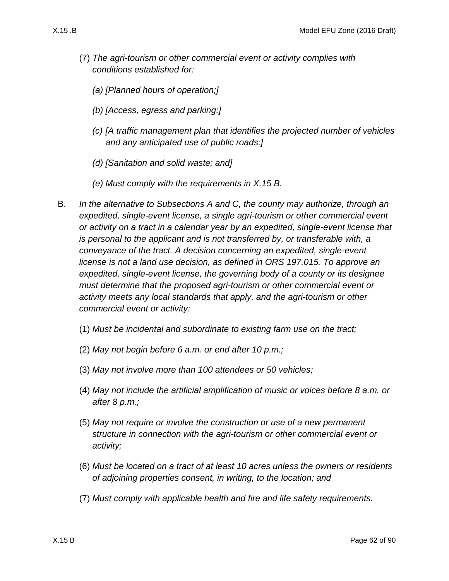- <span id="page-61-0"></span>(7) *The agri-tourism or other commercial event or activity complies with conditions established for:*
	- *(a) [Planned hours of operation;]*
	- *(b) [Access, egress and parking;]*
	- *(c) [A traffic management plan that identifies the projected number of vehicles and any anticipated use of public roads:]*
	- *(d) [Sanitation and solid waste; and]*
	- *(e) Must comply with the requirements in [X.15 B.](#page-61-2)*
- <span id="page-61-2"></span><span id="page-61-1"></span>B. *In the alternative to Subsections [A](#page-60-0) and [C,](#page-62-0) the county may authorize, through an expedited, single-event license, a single agri-tourism or other commercial event or activity on a tract in a calendar year by an expedited, single-event license that is personal to the applicant and is not transferred by, or transferable with, a conveyance of the tract. A decision concerning an expedited, single-event license is not a land use decision, as defined in ORS 197.015. To approve an expedited, single-event license, the governing body of a county or its designee must determine that the proposed agri-tourism or other commercial event or activity meets any local standards that apply, and the agri-tourism or other commercial event or activity:*
	- (1) *Must be incidental and subordinate to existing farm use on the tract;*
	- (2) *May not begin before 6 a.m. or end after 10 p.m.;*
	- (3) *May not involve more than 100 attendees or 50 vehicles;*
	- (4) *May not include the artificial amplification of music or voices before 8 a.m. or after 8 p.m.;*
	- (5) *May not require or involve the construction or use of a new permanent structure in connection with the agri-tourism or other commercial event or activity;*
	- (6) *Must be located on a tract of at least 10 acres unless the owners or residents of adjoining properties consent, in writing, to the location; and*
	- (7) *Must comply with applicable health and fire and life safety requirements.*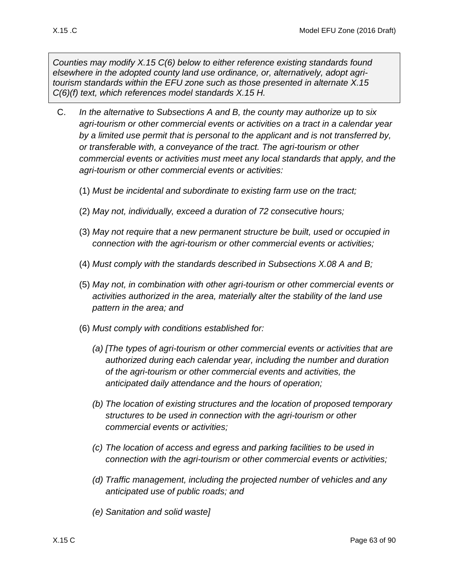*Counties may modify [X.15 C\(6\)](#page-62-1) below to either reference existing standards found elsewhere in the adopted county land use ordinance, or, alternatively, adopt agritourism standards within the EFU zone such as those presented in alternate [X.15](#page-63-1)  [C\(6\)\(f\)](#page-63-1) text, which references model standards [X.15 H.](#page-64-0)*

- <span id="page-62-4"></span><span id="page-62-3"></span><span id="page-62-2"></span><span id="page-62-1"></span><span id="page-62-0"></span>C. *In the alternative to Subsections [A](#page-60-0) and [B,](#page-61-2) the county may authorize up to six agri-tourism or other commercial events or activities on a tract in a calendar year by a limited use permit that is personal to the applicant and is not transferred by, or transferable with, a conveyance of the tract. The agri-tourism or other commercial events or activities must meet any local standards that apply, and the agri-tourism or other commercial events or activities:*
	- (1) *Must be incidental and subordinate to existing farm use on the tract;*
	- (2) *May not, individually, exceed a duration of 72 consecutive hours;*
	- (3) *May not require that a new permanent structure be built, used or occupied in connection with the agri-tourism or other commercial events or activities;*
	- (4) *Must comply with the standards described in Subsections [X.08 A](#page-35-1) and [B;](#page-35-2)*
	- (5) *May not, in combination with other agri-tourism or other commercial events or activities authorized in the area, materially alter the stability of the land use pattern in the area; and*
	- (6) *Must comply with conditions established for:*
		- *(a) [The types of agri-tourism or other commercial events or activities that are authorized during each calendar year, including the number and duration of the agri-tourism or other commercial events and activities, the anticipated daily attendance and the hours of operation;*
		- *(b) The location of existing structures and the location of proposed temporary structures to be used in connection with the agri-tourism or other commercial events or activities;*
		- *(c) The location of access and egress and parking facilities to be used in connection with the agri-tourism or other commercial events or activities;*
		- *(d) Traffic management, including the projected number of vehicles and any anticipated use of public roads; and*
		- *(e) Sanitation and solid waste]*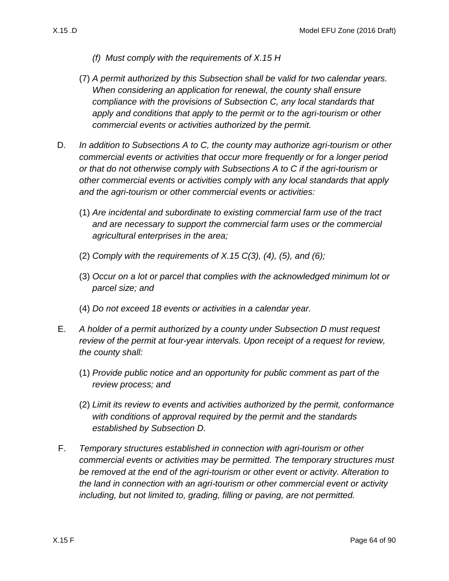- *(f) Must comply with the requirements of [X.15 H](#page-64-0)*
- <span id="page-63-1"></span>(7) *A permit authorized by this Subsection shall be valid for two calendar years. When considering an application for renewal, the county shall ensure compliance with the provisions of Subsection [C,](#page-62-0) any local standards that apply and conditions that apply to the permit or to the agri-tourism or other commercial events or activities authorized by the permit.*
- <span id="page-63-0"></span>D. *In addition to Subsections [A](#page-60-0) to [C,](#page-62-0) the county may authorize agri-tourism or other commercial events or activities that occur more frequently or for a longer period or that do not otherwise comply with Subsections [A](#page-60-0) to [C](#page-62-0) if the agri-tourism or other commercial events or activities comply with any local standards that apply and the agri-tourism or other commercial events or activities:*
	- (1) *Are incidental and subordinate to existing commercial farm use of the tract and are necessary to support the commercial farm uses or the commercial agricultural enterprises in the area;*
	- (2) *Comply with the requirements of [X.15 C\(3\),](#page-62-2) [\(4\),](#page-62-3) [\(5\),](#page-62-4) and [\(6\);](#page-62-1)*
	- (3) *Occur on a lot or parcel that complies with the acknowledged minimum lot or parcel size; and*
	- (4) *Do not exceed 18 events or activities in a calendar year.*
- E. *A holder of a permit authorized by a county under Subsection [D](#page-63-0) must request review of the permit at four-year intervals. Upon receipt of a request for review, the county shall:*
	- (1) *Provide public notice and an opportunity for public comment as part of the review process; and*
	- (2) *Limit its review to events and activities authorized by the permit, conformance with conditions of approval required by the permit and the standards established by Subsection [D.](#page-63-0)*
- F. *Temporary structures established in connection with agri-tourism or other commercial events or activities may be permitted. The temporary structures must be removed at the end of the agri-tourism or other event or activity. Alteration to the land in connection with an agri-tourism or other commercial event or activity including, but not limited to, grading, filling or paving, are not permitted.*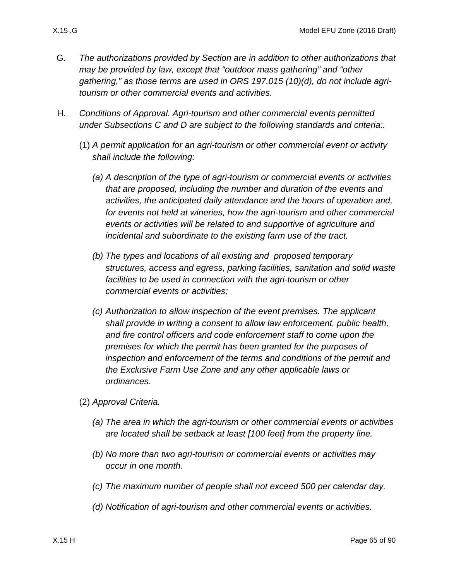- 
- G. *The authorizations provided by Section are in addition to other authorizations that may be provided by law, except that "outdoor mass gathering" and "other gathering," as those terms are used in ORS 197.015 (10)(d), do not include agritourism or other commercial events and activities.*
- <span id="page-64-0"></span>H. *Conditions of Approval. Agri-tourism and other commercial events permitted under Subsections C and D are subject to the following standards and criteria:.*
	- (1) *A permit application for an agri-tourism or other commercial event or activity shall include the following:*
		- *(a) A description of the type of agri-tourism or commercial events or activities that are proposed, including the number and duration of the events and activities, the anticipated daily attendance and the hours of operation and, for events not held at wineries, how the agri-tourism and other commercial events or activities will be related to and supportive of agriculture and incidental and subordinate to the existing farm use of the tract.*
		- *(b) The types and locations of all existing and proposed temporary structures, access and egress, parking facilities, sanitation and solid waste facilities to be used in connection with the agri-tourism or other commercial events or activities;*
		- *(c) Authorization to allow inspection of the event premises. The applicant shall provide in writing a consent to allow law enforcement, public health, and fire control officers and code enforcement staff to come upon the premises for which the permit has been granted for the purposes of inspection and enforcement of the terms and conditions of the permit and the Exclusive Farm Use Zone and any other applicable laws or ordinances.*
	- (2) *Approval Criteria.*
		- *(a) The area in which the agri-tourism or other commercial events or activities are located shall be setback at least [100 feet] from the property line.*
		- *(b) No more than two agri-tourism or commercial events or activities may occur in one month.*
		- *(c) The maximum number of people shall not exceed 500 per calendar day.*
		- *(d) Notification of agri-tourism and other commercial events or activities.*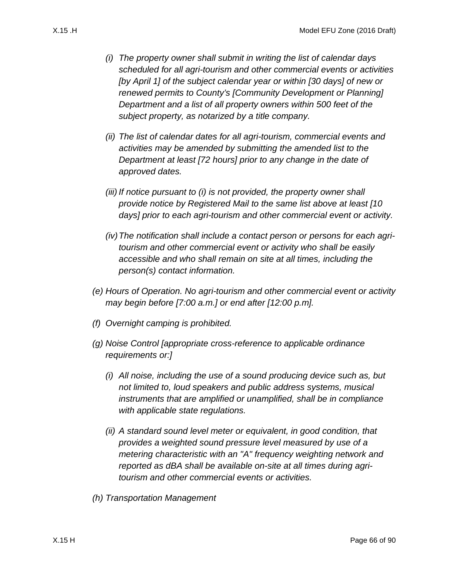<span id="page-65-0"></span>*(i) The property owner shall submit in writing the list of calendar days scheduled for all agri-tourism and other commercial events or activities [by April 1] of the subject calendar year or within [30 days] of new or renewed permits to County's [Community Development or Planning] Department and a list of all property owners within 500 feet of the* 

*subject property, as notarized by a title company.*

- *(ii) The list of calendar dates for all agri-tourism, commercial events and activities may be amended by submitting the amended list to the Department at least [72 hours] prior to any change in the date of approved dates.*
- *(iii) If notice pursuant to [\(i\)](#page-65-0) is not provided, the property owner shall provide notice by Registered Mail to the same list above at least [10 days] prior to each agri-tourism and other commercial event or activity.*
- *(iv)The notification shall include a contact person or persons for each agritourism and other commercial event or activity who shall be easily accessible and who shall remain on site at all times, including the person(s) contact information.*
- *(e) Hours of Operation. No agri-tourism and other commercial event or activity may begin before [7:00 a.m.] or end after [12:00 p.m].*
- *(f) Overnight camping is prohibited.*
- *(g) Noise Control [appropriate cross-reference to applicable ordinance requirements or:]*
	- *(i) All noise, including the use of a sound producing device such as, but not limited to, loud speakers and public address systems, musical instruments that are amplified or unamplified, shall be in compliance with applicable state regulations.*
	- *(ii) A standard sound level meter or equivalent, in good condition, that provides a weighted sound pressure level measured by use of a metering characteristic with an "A" frequency weighting network and reported as dBA shall be available on-site at all times during agritourism and other commercial events or activities.*
- *(h) Transportation Management*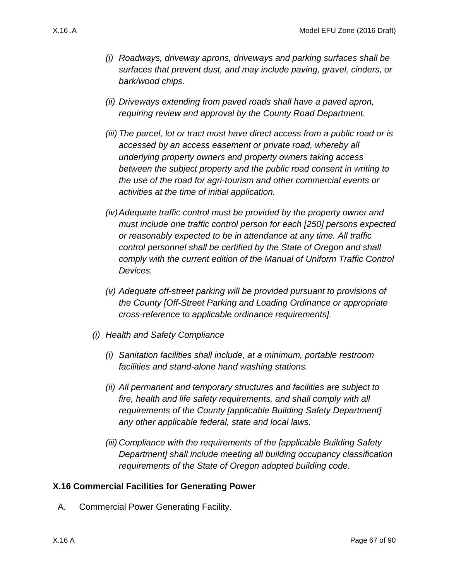- *(i) Roadways, driveway aprons, driveways and parking surfaces shall be surfaces that prevent dust, and may include paving, gravel, cinders, or bark/wood chips.*
- *(ii) Driveways extending from paved roads shall have a paved apron, requiring review and approval by the County Road Department.*
- *(iii) The parcel, lot or tract must have direct access from a public road or is accessed by an access easement or private road, whereby all underlying property owners and property owners taking access between the subject property and the public road consent in writing to the use of the road for agri-tourism and other commercial events or activities at the time of initial application.*
- *(iv)Adequate traffic control must be provided by the property owner and must include one traffic control person for each [250] persons expected or reasonably expected to be in attendance at any time. All traffic control personnel shall be certified by the State of Oregon and shall comply with the current edition of the Manual of Uniform Traffic Control Devices.*
- *(v) Adequate off-street parking will be provided pursuant to provisions of the County [Off-Street Parking and Loading Ordinance or appropriate cross-reference to applicable ordinance requirements].*
- *(i) Health and Safety Compliance*
	- *(i) Sanitation facilities shall include, at a minimum, portable restroom facilities and stand-alone hand washing stations.*
	- *(ii) All permanent and temporary structures and facilities are subject to fire, health and life safety requirements, and shall comply with all requirements of the County [applicable Building Safety Department] any other applicable federal, state and local laws.*
	- *(iii) Compliance with the requirements of the [applicable Building Safety Department] shall include meeting all building occupancy classification requirements of the State of Oregon adopted building code.*

#### **X.16 Commercial Facilities for Generating Power**

A. Commercial Power Generating Facility.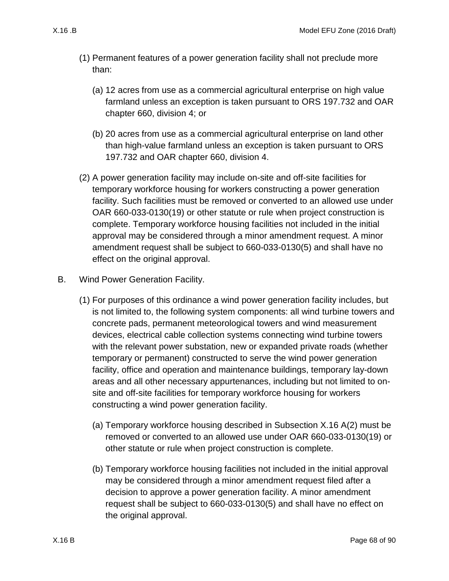- (1) Permanent features of a power generation facility shall not preclude more than:
	- (a) 12 acres from use as a commercial agricultural enterprise on high value farmland unless an exception is taken pursuant to ORS 197.732 and OAR chapter 660, division 4; or
	- (b) 20 acres from use as a commercial agricultural enterprise on land other than high-value farmland unless an exception is taken pursuant to ORS 197.732 and OAR chapter 660, division 4.
- <span id="page-67-0"></span>(2) A power generation facility may include on-site and off-site facilities for temporary workforce housing for workers constructing a power generation facility. Such facilities must be removed or converted to an allowed use under OAR 660-033-0130(19) or other statute or rule when project construction is complete. Temporary workforce housing facilities not included in the initial approval may be considered through a minor amendment request. A minor amendment request shall be subject to 660-033-0130(5) and shall have no effect on the original approval.
- B. Wind Power Generation Facility.
	- (1) For purposes of this ordinance a wind power generation facility includes, but is not limited to, the following system components: all wind turbine towers and concrete pads, permanent meteorological towers and wind measurement devices, electrical cable collection systems connecting wind turbine towers with the relevant power substation, new or expanded private roads (whether temporary or permanent) constructed to serve the wind power generation facility, office and operation and maintenance buildings, temporary lay-down areas and all other necessary appurtenances, including but not limited to onsite and off-site facilities for temporary workforce housing for workers constructing a wind power generation facility.
		- (a) Temporary workforce housing described in Subsection [X.16 A\(2\)](#page-67-0) must be removed or converted to an allowed use under OAR 660-033-0130(19) or other statute or rule when project construction is complete.
		- (b) Temporary workforce housing facilities not included in the initial approval may be considered through a minor amendment request filed after a decision to approve a power generation facility. A minor amendment request shall be subject to 660-033-0130(5) and shall have no effect on the original approval.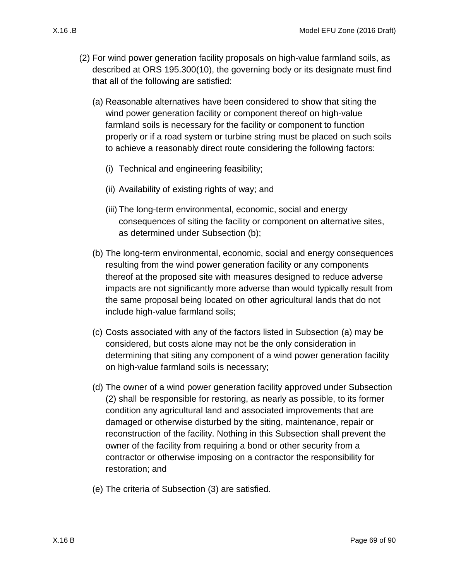- <span id="page-68-2"></span><span id="page-68-1"></span><span id="page-68-0"></span>(2) For wind power generation facility proposals on high-value farmland soils, as described at ORS 195.300(10), the governing body or its designate must find that all of the following are satisfied:
	- (a) Reasonable alternatives have been considered to show that siting the wind power generation facility or component thereof on high-value farmland soils is necessary for the facility or component to function properly or if a road system or turbine string must be placed on such soils to achieve a reasonably direct route considering the following factors:
		- (i) Technical and engineering feasibility;
		- (ii) Availability of existing rights of way; and
		- (iii) The long-term environmental, economic, social and energy consequences of siting the facility or component on alternative sites, as determined under Subsection [\(b\);](#page-68-0)
	- (b) The long-term environmental, economic, social and energy consequences resulting from the wind power generation facility or any components thereof at the proposed site with measures designed to reduce adverse impacts are not significantly more adverse than would typically result from the same proposal being located on other agricultural lands that do not include high-value farmland soils;
	- (c) Costs associated with any of the factors listed in Subsection [\(a\)](#page-68-1) may be considered, but costs alone may not be the only consideration in determining that siting any component of a wind power generation facility on high-value farmland soils is necessary;
	- (d) The owner of a wind power generation facility approved under Subsection [\(2\)](#page-68-2) shall be responsible for restoring, as nearly as possible, to its former condition any agricultural land and associated improvements that are damaged or otherwise disturbed by the siting, maintenance, repair or reconstruction of the facility. Nothing in this Subsection shall prevent the owner of the facility from requiring a bond or other security from a contractor or otherwise imposing on a contractor the responsibility for restoration; and
	- (e) The criteria of Subsection [\(3\)](#page-69-0) are satisfied.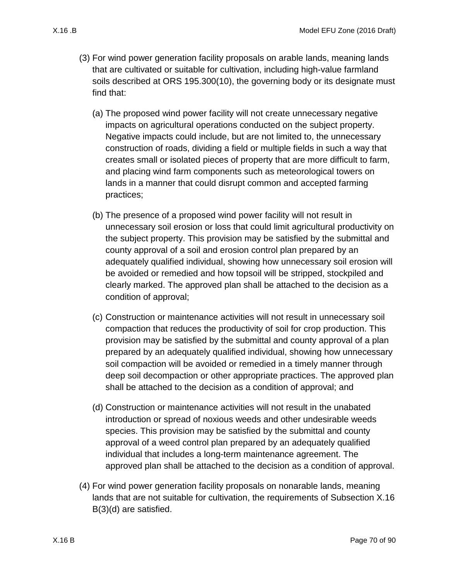- <span id="page-69-0"></span>(3) For wind power generation facility proposals on arable lands, meaning lands that are cultivated or suitable for cultivation, including high-value farmland soils described at ORS 195.300(10), the governing body or its designate must find that:
	- (a) The proposed wind power facility will not create unnecessary negative impacts on agricultural operations conducted on the subject property. Negative impacts could include, but are not limited to, the unnecessary construction of roads, dividing a field or multiple fields in such a way that creates small or isolated pieces of property that are more difficult to farm, and placing wind farm components such as meteorological towers on lands in a manner that could disrupt common and accepted farming practices;
	- (b) The presence of a proposed wind power facility will not result in unnecessary soil erosion or loss that could limit agricultural productivity on the subject property. This provision may be satisfied by the submittal and county approval of a soil and erosion control plan prepared by an adequately qualified individual, showing how unnecessary soil erosion will be avoided or remedied and how topsoil will be stripped, stockpiled and clearly marked. The approved plan shall be attached to the decision as a condition of approval;
	- (c) Construction or maintenance activities will not result in unnecessary soil compaction that reduces the productivity of soil for crop production. This provision may be satisfied by the submittal and county approval of a plan prepared by an adequately qualified individual, showing how unnecessary soil compaction will be avoided or remedied in a timely manner through deep soil decompaction or other appropriate practices. The approved plan shall be attached to the decision as a condition of approval; and
	- (d) Construction or maintenance activities will not result in the unabated introduction or spread of noxious weeds and other undesirable weeds species. This provision may be satisfied by the submittal and county approval of a weed control plan prepared by an adequately qualified individual that includes a long-term maintenance agreement. The approved plan shall be attached to the decision as a condition of approval.
- <span id="page-69-2"></span><span id="page-69-1"></span>(4) For wind power generation facility proposals on nonarable lands, meaning lands that are not suitable for cultivation, the requirements of Subsection [X.16](#page-69-1)  [B\(3\)\(d\)](#page-69-1) are satisfied.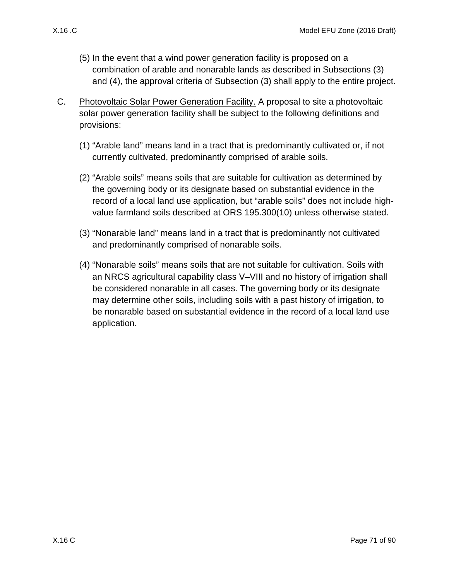- (5) In the event that a wind power generation facility is proposed on a combination of arable and nonarable lands as described in Subsections [\(3\)](#page-69-0) and [\(4\),](#page-69-2) the approval criteria of Subsection [\(3\)](#page-69-0) shall apply to the entire project.
- C. Photovoltaic Solar Power Generation Facility. A proposal to site a photovoltaic solar power generation facility shall be subject to the following definitions and provisions:
	- (1) "Arable land" means land in a tract that is predominantly cultivated or, if not currently cultivated, predominantly comprised of arable soils.
	- (2) "Arable soils" means soils that are suitable for cultivation as determined by the governing body or its designate based on substantial evidence in the record of a local land use application, but "arable soils" does not include highvalue farmland soils described at ORS 195.300(10) unless otherwise stated.
	- (3) "Nonarable land" means land in a tract that is predominantly not cultivated and predominantly comprised of nonarable soils.
	- (4) "Nonarable soils" means soils that are not suitable for cultivation. Soils with an NRCS agricultural capability class V–VIII and no history of irrigation shall be considered nonarable in all cases. The governing body or its designate may determine other soils, including soils with a past history of irrigation, to be nonarable based on substantial evidence in the record of a local land use application.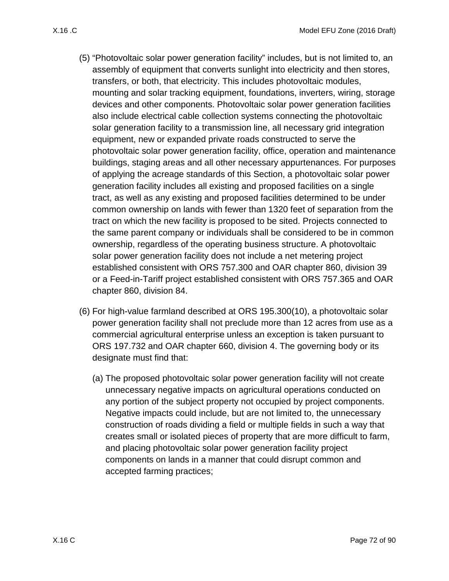- (5) "Photovoltaic solar power generation facility" includes, but is not limited to, an assembly of equipment that converts sunlight into electricity and then stores, transfers, or both, that electricity. This includes photovoltaic modules, mounting and solar tracking equipment, foundations, inverters, wiring, storage devices and other components. Photovoltaic solar power generation facilities also include electrical cable collection systems connecting the photovoltaic solar generation facility to a transmission line, all necessary grid integration equipment, new or expanded private roads constructed to serve the photovoltaic solar power generation facility, office, operation and maintenance buildings, staging areas and all other necessary appurtenances. For purposes of applying the acreage standards of this Section, a photovoltaic solar power generation facility includes all existing and proposed facilities on a single tract, as well as any existing and proposed facilities determined to be under common ownership on lands with fewer than 1320 feet of separation from the tract on which the new facility is proposed to be sited. Projects connected to the same parent company or individuals shall be considered to be in common ownership, regardless of the operating business structure. A photovoltaic solar power generation facility does not include a net metering project established consistent with ORS 757.300 and OAR chapter 860, division 39 or a Feed-in-Tariff project established consistent with ORS 757.365 and OAR chapter 860, division 84.
- (6) For high-value farmland described at ORS 195.300(10), a photovoltaic solar power generation facility shall not preclude more than 12 acres from use as a commercial agricultural enterprise unless an exception is taken pursuant to ORS 197.732 and OAR chapter 660, division 4. The governing body or its designate must find that:
	- (a) The proposed photovoltaic solar power generation facility will not create unnecessary negative impacts on agricultural operations conducted on any portion of the subject property not occupied by project components. Negative impacts could include, but are not limited to, the unnecessary construction of roads dividing a field or multiple fields in such a way that creates small or isolated pieces of property that are more difficult to farm, and placing photovoltaic solar power generation facility project components on lands in a manner that could disrupt common and accepted farming practices;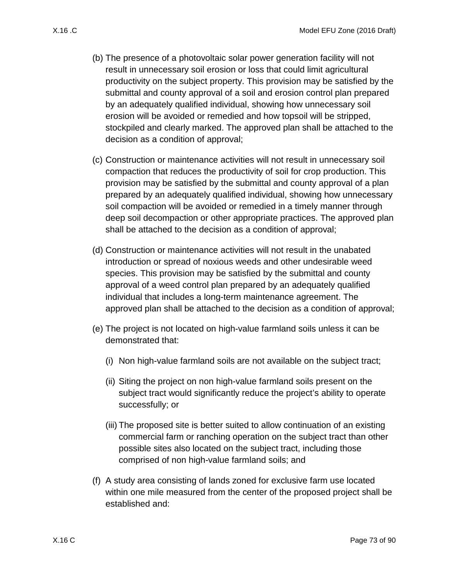- <span id="page-72-0"></span>(b) The presence of a photovoltaic solar power generation facility will not result in unnecessary soil erosion or loss that could limit agricultural productivity on the subject property. This provision may be satisfied by the submittal and county approval of a soil and erosion control plan prepared by an adequately qualified individual, showing how unnecessary soil erosion will be avoided or remedied and how topsoil will be stripped, stockpiled and clearly marked. The approved plan shall be attached to the decision as a condition of approval;
- <span id="page-72-1"></span>(c) Construction or maintenance activities will not result in unnecessary soil compaction that reduces the productivity of soil for crop production. This provision may be satisfied by the submittal and county approval of a plan prepared by an adequately qualified individual, showing how unnecessary soil compaction will be avoided or remedied in a timely manner through deep soil decompaction or other appropriate practices. The approved plan shall be attached to the decision as a condition of approval;
- <span id="page-72-2"></span>(d) Construction or maintenance activities will not result in the unabated introduction or spread of noxious weeds and other undesirable weed species. This provision may be satisfied by the submittal and county approval of a weed control plan prepared by an adequately qualified individual that includes a long-term maintenance agreement. The approved plan shall be attached to the decision as a condition of approval;
- (e) The project is not located on high-value farmland soils unless it can be demonstrated that:
	- (i) Non high-value farmland soils are not available on the subject tract;
	- (ii) Siting the project on non high-value farmland soils present on the subject tract would significantly reduce the project's ability to operate successfully; or
	- (iii) The proposed site is better suited to allow continuation of an existing commercial farm or ranching operation on the subject tract than other possible sites also located on the subject tract, including those comprised of non high-value farmland soils; and
- (f) A study area consisting of lands zoned for exclusive farm use located within one mile measured from the center of the proposed project shall be established and: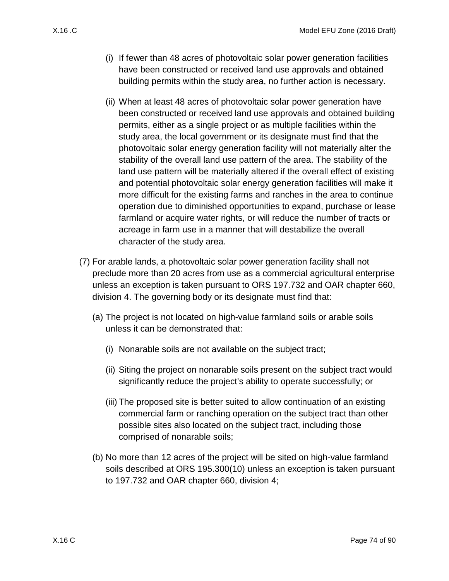- (i) If fewer than 48 acres of photovoltaic solar power generation facilities have been constructed or received land use approvals and obtained building permits within the study area, no further action is necessary.
- (ii) When at least 48 acres of photovoltaic solar power generation have been constructed or received land use approvals and obtained building permits, either as a single project or as multiple facilities within the study area, the local government or its designate must find that the photovoltaic solar energy generation facility will not materially alter the stability of the overall land use pattern of the area. The stability of the land use pattern will be materially altered if the overall effect of existing and potential photovoltaic solar energy generation facilities will make it more difficult for the existing farms and ranches in the area to continue operation due to diminished opportunities to expand, purchase or lease farmland or acquire water rights, or will reduce the number of tracts or acreage in farm use in a manner that will destabilize the overall character of the study area.
- (7) For arable lands, a photovoltaic solar power generation facility shall not preclude more than 20 acres from use as a commercial agricultural enterprise unless an exception is taken pursuant to ORS 197.732 and OAR chapter 660, division 4. The governing body or its designate must find that:
	- (a) The project is not located on high-value farmland soils or arable soils unless it can be demonstrated that:
		- (i) Nonarable soils are not available on the subject tract;
		- (ii) Siting the project on nonarable soils present on the subject tract would significantly reduce the project's ability to operate successfully; or
		- (iii) The proposed site is better suited to allow continuation of an existing commercial farm or ranching operation on the subject tract than other possible sites also located on the subject tract, including those comprised of nonarable soils;
	- (b) No more than 12 acres of the project will be sited on high-value farmland soils described at ORS 195.300(10) unless an exception is taken pursuant to 197.732 and OAR chapter 660, division 4;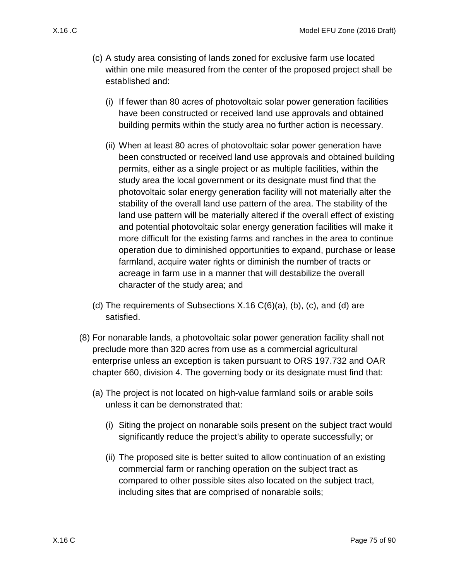- (c) A study area consisting of lands zoned for exclusive farm use located within one mile measured from the center of the proposed project shall be established and:
	- (i) If fewer than 80 acres of photovoltaic solar power generation facilities have been constructed or received land use approvals and obtained building permits within the study area no further action is necessary.
	- (ii) When at least 80 acres of photovoltaic solar power generation have been constructed or received land use approvals and obtained building permits, either as a single project or as multiple facilities, within the study area the local government or its designate must find that the photovoltaic solar energy generation facility will not materially alter the stability of the overall land use pattern of the area. The stability of the land use pattern will be materially altered if the overall effect of existing and potential photovoltaic solar energy generation facilities will make it more difficult for the existing farms and ranches in the area to continue operation due to diminished opportunities to expand, purchase or lease farmland, acquire water rights or diminish the number of tracts or acreage in farm use in a manner that will destabilize the overall character of the study area; and
- (d) The requirements of Subsections  $X.16 C(6)(a)$ , [\(b\),](#page-72-0) [\(c\),](#page-72-1) and [\(d\)](#page-72-2) are satisfied.
- (8) For nonarable lands, a photovoltaic solar power generation facility shall not preclude more than 320 acres from use as a commercial agricultural enterprise unless an exception is taken pursuant to ORS 197.732 and OAR chapter 660, division 4. The governing body or its designate must find that:
	- (a) The project is not located on high-value farmland soils or arable soils unless it can be demonstrated that:
		- (i) Siting the project on nonarable soils present on the subject tract would significantly reduce the project's ability to operate successfully; or
		- (ii) The proposed site is better suited to allow continuation of an existing commercial farm or ranching operation on the subject tract as compared to other possible sites also located on the subject tract, including sites that are comprised of nonarable soils;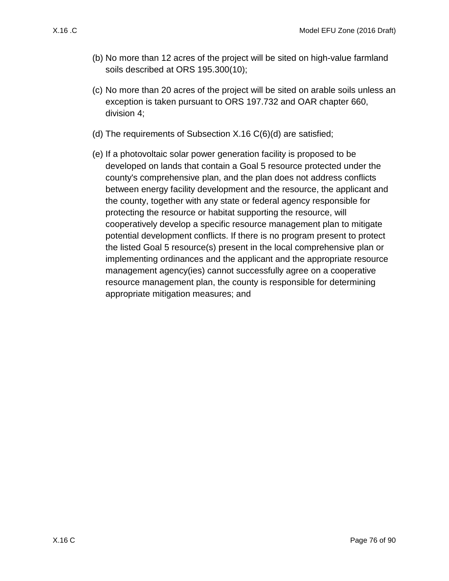- (b) No more than 12 acres of the project will be sited on high-value farmland soils described at ORS 195.300(10);
- (c) No more than 20 acres of the project will be sited on arable soils unless an exception is taken pursuant to ORS 197.732 and OAR chapter 660, division 4;
- (d) The requirements of Subsection [X.16 C\(6\)\(d\)](#page-72-2) are satisfied;
- (e) If a photovoltaic solar power generation facility is proposed to be developed on lands that contain a Goal 5 resource protected under the county's comprehensive plan, and the plan does not address conflicts between energy facility development and the resource, the applicant and the county, together with any state or federal agency responsible for protecting the resource or habitat supporting the resource, will cooperatively develop a specific resource management plan to mitigate potential development conflicts. If there is no program present to protect the listed Goal 5 resource(s) present in the local comprehensive plan or implementing ordinances and the applicant and the appropriate resource management agency(ies) cannot successfully agree on a cooperative resource management plan, the county is responsible for determining appropriate mitigation measures; and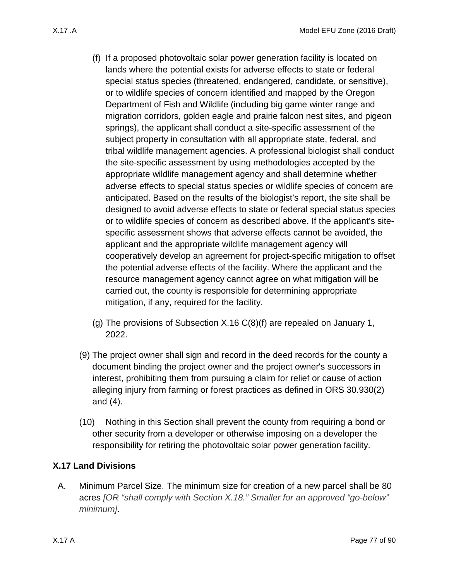- <span id="page-76-0"></span>(f) If a proposed photovoltaic solar power generation facility is located on lands where the potential exists for adverse effects to state or federal special status species (threatened, endangered, candidate, or sensitive), or to wildlife species of concern identified and mapped by the Oregon Department of Fish and Wildlife (including big game winter range and migration corridors, golden eagle and prairie falcon nest sites, and pigeon springs), the applicant shall conduct a site-specific assessment of the subject property in consultation with all appropriate state, federal, and tribal wildlife management agencies. A professional biologist shall conduct the site-specific assessment by using methodologies accepted by the appropriate wildlife management agency and shall determine whether adverse effects to special status species or wildlife species of concern are anticipated. Based on the results of the biologist's report, the site shall be designed to avoid adverse effects to state or federal special status species or to wildlife species of concern as described above. If the applicant's sitespecific assessment shows that adverse effects cannot be avoided, the applicant and the appropriate wildlife management agency will cooperatively develop an agreement for project-specific mitigation to offset the potential adverse effects of the facility. Where the applicant and the resource management agency cannot agree on what mitigation will be carried out, the county is responsible for determining appropriate mitigation, if any, required for the facility.
- (g) The provisions of Subsection [X.16 C\(8\)\(f\)](#page-76-0) are repealed on January 1, 2022.
- (9) The project owner shall sign and record in the deed records for the county a document binding the project owner and the project owner's successors in interest, prohibiting them from pursuing a claim for relief or cause of action alleging injury from farming or forest practices as defined in ORS 30.930(2) and (4).
- (10) Nothing in this Section shall prevent the county from requiring a bond or other security from a developer or otherwise imposing on a developer the responsibility for retiring the photovoltaic solar power generation facility.

## <span id="page-76-2"></span>**X.17 Land Divisions**

<span id="page-76-1"></span>A. Minimum Parcel Size. The minimum size for creation of a new parcel shall be 80 acres *[OR "shall comply with Section X.18." Smaller for an approved "go-below" minimum]*.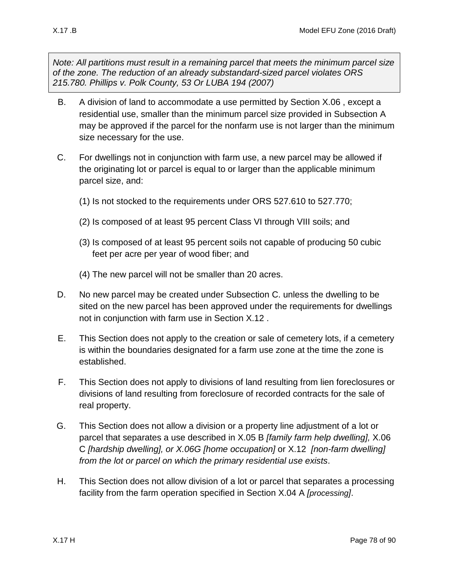*Note: All partitions must result in a remaining parcel that meets the minimum parcel size of the zone. The reduction of an already substandard-sized parcel violates ORS 215.780. Phillips v. Polk County, 53 Or LUBA 194 (2007)*

- <span id="page-77-0"></span>B. A division of land to accommodate a use permitted by Section [X.06 ,](#page-13-0) except a residential use, smaller than the minimum parcel size provided in Subsection [A](#page-76-1) may be approved if the parcel for the nonfarm use is not larger than the minimum size necessary for the use.
- <span id="page-77-1"></span>C. For dwellings not in conjunction with farm use, a new parcel may be allowed if the originating lot or parcel is equal to or larger than the applicable minimum parcel size, and:
	- (1) Is not stocked to the requirements under ORS 527.610 to 527.770;
	- (2) Is composed of at least 95 percent Class VI through VIII soils; and
	- (3) Is composed of at least 95 percent soils not capable of producing 50 cubic feet per acre per year of wood fiber; and
	- (4) The new parcel will not be smaller than 20 acres.
- D. No new parcel may be created under Subsection C. unless the dwelling to be sited on the new parcel has been approved under the requirements for dwellings not in conjunction with farm use in Section [X.12 .](#page-48-0)
- E. This Section does not apply to the creation or sale of cemetery lots, if a cemetery is within the boundaries designated for a farm use zone at the time the zone is established.
- F. This Section does not apply to divisions of land resulting from lien foreclosures or divisions of land resulting from foreclosure of recorded contracts for the sale of real property.
- G. This Section does not allow a division or a property line adjustment of a lot or parcel that separates a use described in [X.05 B](#page-13-1) *[family farm help dwelling],* [X.06](#page-14-0)  [C](#page-14-0) *[hardship dwelling], or X.06G [home occupation]* or [X.12](#page-48-0) *[non-farm dwelling] from the lot or parcel on which the primary residential use exists*.
- H. This Section does not allow division of a lot or parcel that separates a processing facility from the farm operation specified in Section [X.04 A](#page-12-0) *[processing]*.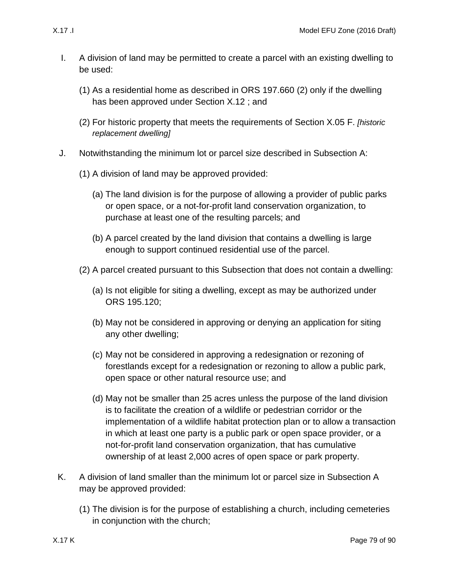- <span id="page-78-0"></span>I. A division of land may be permitted to create a parcel with an existing dwelling to be used:
	- (1) As a residential home as described in ORS 197.660 (2) only if the dwelling has been approved under Section [X.12 ;](#page-48-0) and
	- (2) For historic property that meets the requirements of Section [X.05 F.](#page-13-2) *[historic replacement dwelling]*
- <span id="page-78-1"></span>J. Notwithstanding the minimum lot or parcel size described in Subsection [A:](#page-76-1)
	- (1) A division of land may be approved provided:
		- (a) The land division is for the purpose of allowing a provider of public parks or open space, or a not-for-profit land conservation organization, to purchase at least one of the resulting parcels; and
		- (b) A parcel created by the land division that contains a dwelling is large enough to support continued residential use of the parcel.
	- (2) A parcel created pursuant to this Subsection that does not contain a dwelling:
		- (a) Is not eligible for siting a dwelling, except as may be authorized under ORS 195.120;
		- (b) May not be considered in approving or denying an application for siting any other dwelling;
		- (c) May not be considered in approving a redesignation or rezoning of forestlands except for a redesignation or rezoning to allow a public park, open space or other natural resource use; and
		- (d) May not be smaller than 25 acres unless the purpose of the land division is to facilitate the creation of a wildlife or pedestrian corridor or the implementation of a wildlife habitat protection plan or to allow a transaction in which at least one party is a public park or open space provider, or a not-for-profit land conservation organization, that has cumulative ownership of at least 2,000 acres of open space or park property.
- <span id="page-78-2"></span>K. A division of land smaller than the minimum lot or parcel size in Subsection [A](#page-76-1) may be approved provided:
	- (1) The division is for the purpose of establishing a church, including cemeteries in conjunction with the church;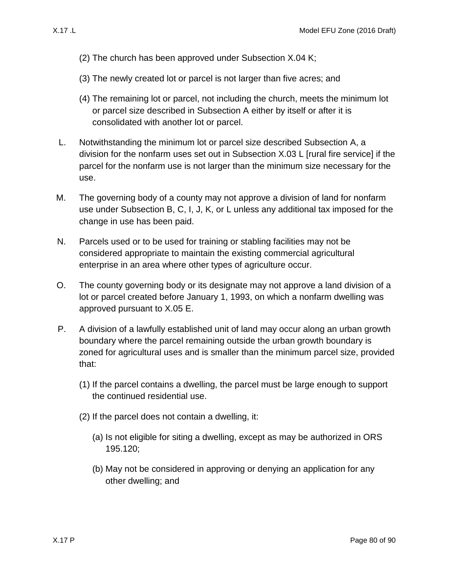- (2) The church has been approved under Subsection [X.04 K;](#page-12-1)
- (3) The newly created lot or parcel is not larger than five acres; and
- (4) The remaining lot or parcel, not including the church, meets the minimum lot or parcel size described in Subsection [A](#page-76-1) either by itself or after it is consolidated with another lot or parcel.
- <span id="page-79-0"></span>L. Notwithstanding the minimum lot or parcel size described Subsection [A,](#page-76-1) a division for the nonfarm uses set out in Subsection [X.03 L](#page-11-0) [rural fire service] if the parcel for the nonfarm use is not larger than the minimum size necessary for the use.
- M. The governing body of a county may not approve a division of land for nonfarm use under Subsection [B,](#page-77-0) [C,](#page-77-1) [I,](#page-78-0) [J,](#page-78-1) [K,](#page-78-2) or [L](#page-79-0) unless any additional tax imposed for the change in use has been paid.
- N. Parcels used or to be used for training or stabling facilities may not be considered appropriate to maintain the existing commercial agricultural enterprise in an area where other types of agriculture occur.
- O. The county governing body or its designate may not approve a land division of a lot or parcel created before January 1, 1993, on which a nonfarm dwelling was approved pursuant to [X.05 E.](#page-13-3)
- P. A division of a lawfully established unit of land may occur along an urban growth boundary where the parcel remaining outside the urban growth boundary is zoned for agricultural uses and is smaller than the minimum parcel size, provided that:
	- (1) If the parcel contains a dwelling, the parcel must be large enough to support the continued residential use.
	- (2) If the parcel does not contain a dwelling, it:
		- (a) Is not eligible for siting a dwelling, except as may be authorized in ORS 195.120;
		- (b) May not be considered in approving or denying an application for any other dwelling; and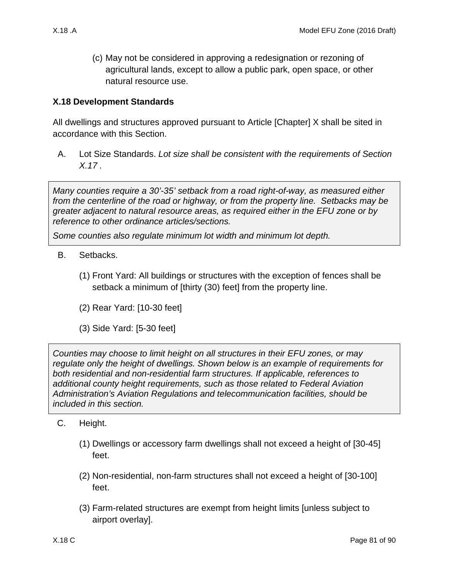(c) May not be considered in approving a redesignation or rezoning of agricultural lands, except to allow a public park, open space, or other natural resource use.

## **X.18 Development Standards**

All dwellings and structures approved pursuant to Article [Chapter] X shall be sited in accordance with this Section.

A. Lot Size Standards. *Lot size shall be consistent with the requirements of Section [X.17 .](#page-76-2)*

*Many counties require a 30'-35' setback from a road right-of-way, as measured either from the centerline of the road or highway, or from the property line. Setbacks may be greater adjacent to natural resource areas, as required either in the EFU zone or by reference to other ordinance articles/sections.*

*Some counties also regulate minimum lot width and minimum lot depth.*

- B. Setbacks.
	- (1) Front Yard: All buildings or structures with the exception of fences shall be setback a minimum of [thirty (30) feet] from the property line.
	- (2) Rear Yard: [10-30 feet]
	- (3) Side Yard: [5-30 feet]

*Counties may choose to limit height on all structures in their EFU zones, or may regulate only the height of dwellings. Shown below is an example of requirements for both residential and non-residential farm structures. If applicable, references to additional county height requirements, such as those related to Federal Aviation Administration's Aviation Regulations and telecommunication facilities, should be included in this section.*

- C. Height.
	- (1) Dwellings or accessory farm dwellings shall not exceed a height of [30-45] feet.
	- (2) Non-residential, non-farm structures shall not exceed a height of [30-100] feet.
	- (3) Farm-related structures are exempt from height limits [unless subject to airport overlay].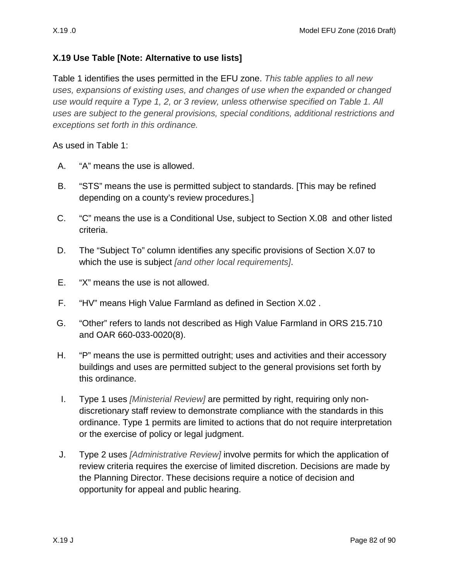## **X.19 Use Table [Note: Alternative to use lists]**

Table 1 identifies the uses permitted in the EFU zone. *This table applies to all new uses, expansions of existing uses, and changes of use when the expanded or changed use would require a Type 1, 2, or 3 review, unless otherwise specified on Table 1. All uses are subject to the general provisions, special conditions, additional restrictions and exceptions set forth in this ordinance.* 

As used in Table 1:

- A. "A" means the use is allowed.
- B. "STS" means the use is permitted subject to standards. [This may be refined depending on a county's review procedures.]
- C. "C" means the use is a Conditional Use, subject to Section [X.08](#page-35-0) and other listed criteria.
- D. The "Subject To" column identifies any specific provisions of Section [X.07 t](#page-17-0)o which the use is subject *[and other local requirements]*.
- E. "X" means the use is not allowed.
- F. "HV" means High Value Farmland as defined in Section [X.02 .](#page-1-0)
- G. "Other" refers to lands not described as High Value Farmland in ORS 215.710 and OAR 660-033-0020(8).
- H. "P" means the use is permitted outright; uses and activities and their accessory buildings and uses are permitted subject to the general provisions set forth by this ordinance.
- I. Type 1 uses *[Ministerial Review]* are permitted by right, requiring only nondiscretionary staff review to demonstrate compliance with the standards in this ordinance. Type 1 permits are limited to actions that do not require interpretation or the exercise of policy or legal judgment.
- J. Type 2 uses *[Administrative Review]* involve permits for which the application of review criteria requires the exercise of limited discretion. Decisions are made by the Planning Director. These decisions require a notice of decision and opportunity for appeal and public hearing.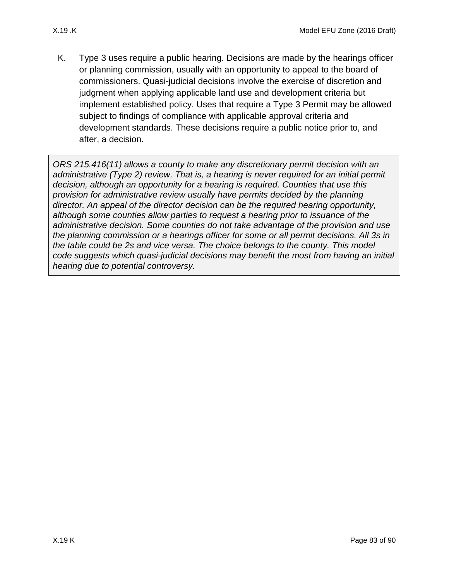K. Type 3 uses require a public hearing. Decisions are made by the hearings officer or planning commission, usually with an opportunity to appeal to the board of commissioners. Quasi-judicial decisions involve the exercise of discretion and judgment when applying applicable land use and development criteria but implement established policy. Uses that require a Type 3 Permit may be allowed subject to findings of compliance with applicable approval criteria and development standards. These decisions require a public notice prior to, and after, a decision.

*ORS 215.416(11) allows a county to make any discretionary permit decision with an administrative (Type 2) review. That is, a hearing is never required for an initial permit decision, although an opportunity for a hearing is required. Counties that use this provision for administrative review usually have permits decided by the planning director. An appeal of the director decision can be the required hearing opportunity, although some counties allow parties to request a hearing prior to issuance of the administrative decision. Some counties do not take advantage of the provision and use the planning commission or a hearings officer for some or all permit decisions. All 3s in the table could be 2s and vice versa. The choice belongs to the county. This model code suggests which quasi-judicial decisions may benefit the most from having an initial hearing due to potential controversy.*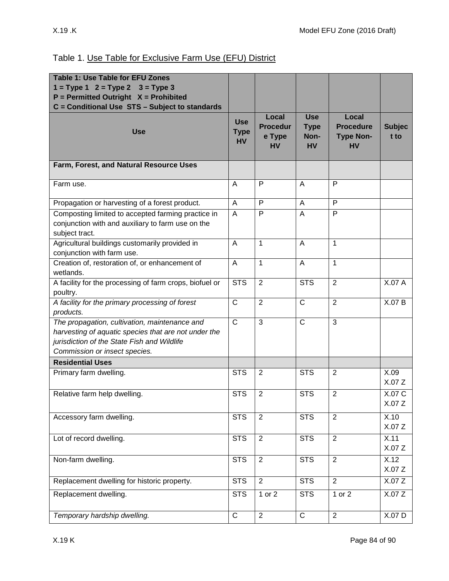## Table 1. Use Table for Exclusive Farm Use (EFU) District

| <b>Table 1: Use Table for EFU Zones</b>                                                                                                                                               |                                        |                                                 |                                                |                                                            |                       |
|---------------------------------------------------------------------------------------------------------------------------------------------------------------------------------------|----------------------------------------|-------------------------------------------------|------------------------------------------------|------------------------------------------------------------|-----------------------|
| $1 = Type 1$ $2 = Type 2$ $3 = Type 3$<br>$P = Permitted$ Outright $X = Prohibited$                                                                                                   |                                        |                                                 |                                                |                                                            |                       |
| C = Conditional Use STS - Subject to standards                                                                                                                                        |                                        |                                                 |                                                |                                                            |                       |
| <b>Use</b>                                                                                                                                                                            | <b>Use</b><br><b>Type</b><br><b>HV</b> | Local<br><b>Procedur</b><br>e Type<br><b>HV</b> | <b>Use</b><br><b>Type</b><br>Non-<br><b>HV</b> | Local<br><b>Procedure</b><br><b>Type Non-</b><br><b>HV</b> | <b>Subjec</b><br>t to |
| Farm, Forest, and Natural Resource Uses                                                                                                                                               |                                        |                                                 |                                                |                                                            |                       |
| Farm use.                                                                                                                                                                             | A                                      | P                                               | A                                              | P                                                          |                       |
| Propagation or harvesting of a forest product.                                                                                                                                        | A                                      | P                                               | A                                              | P                                                          |                       |
| Composting limited to accepted farming practice in<br>conjunction with and auxiliary to farm use on the<br>subject tract.                                                             | A                                      | P                                               | A                                              | $\mathsf{P}$                                               |                       |
| Agricultural buildings customarily provided in<br>conjunction with farm use.                                                                                                          | A                                      | $\mathbf{1}$                                    | A                                              | 1                                                          |                       |
| Creation of, restoration of, or enhancement of<br>wetlands.                                                                                                                           | A                                      | 1                                               | $\overline{A}$                                 | $\mathbf{1}$                                               |                       |
| A facility for the processing of farm crops, biofuel or<br>poultry.                                                                                                                   | <b>STS</b>                             | $\overline{2}$                                  | <b>STS</b>                                     | $\overline{2}$                                             | X.07 A                |
| A facility for the primary processing of forest<br>products.                                                                                                                          | $\mathsf{C}$                           | $\overline{2}$                                  | $\mathsf{C}$                                   | $\overline{2}$                                             | X.07 B                |
| The propagation, cultivation, maintenance and<br>harvesting of aquatic species that are not under the<br>jurisdiction of the State Fish and Wildlife<br>Commission or insect species. | $\overline{C}$                         | 3                                               | $\overline{C}$                                 | $\overline{3}$                                             |                       |
| <b>Residential Uses</b>                                                                                                                                                               |                                        |                                                 |                                                |                                                            |                       |
| Primary farm dwelling.                                                                                                                                                                | <b>STS</b>                             | 2                                               | <b>STS</b>                                     | 2                                                          | X.09<br>X.07Z         |
| Relative farm help dwelling.                                                                                                                                                          | <b>STS</b>                             | $\overline{2}$                                  | <b>STS</b>                                     | $\overline{2}$                                             | X.07 C<br>X.07 Z      |
| Accessory farm dwelling.                                                                                                                                                              | <b>STS</b>                             | $\overline{2}$                                  | <b>STS</b>                                     | 2                                                          | X.10<br>X.07Z         |
| Lot of record dwelling.                                                                                                                                                               | <b>STS</b>                             | $\overline{2}$                                  | <b>STS</b>                                     | 2                                                          | X.11<br>X.07Z         |
| Non-farm dwelling.                                                                                                                                                                    | <b>STS</b>                             | $\overline{2}$                                  | <b>STS</b>                                     | $\overline{2}$                                             | X.12<br>X.07 Z        |
| Replacement dwelling for historic property.                                                                                                                                           | STS                                    | $\overline{2}$                                  | STS                                            | $\overline{2}$                                             | X.07 Z                |
| Replacement dwelling.                                                                                                                                                                 | <b>STS</b>                             | 1 or 2                                          | <b>STS</b>                                     | 1 or 2                                                     | X.07Z                 |
| Temporary hardship dwelling.                                                                                                                                                          | ${\bf C}$                              | $\overline{2}$                                  | $\mathsf C$                                    | $\overline{2}$                                             | X.07 D                |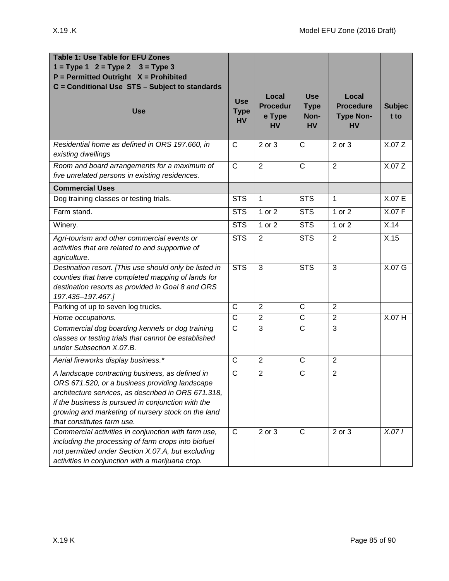| Table 1: Use Table for EFU Zones<br>$1 = Type 1$ $2 = Type 2$ $3 = Type 3$<br>$P = Permitted$ Outright $X = Prohibited$<br>C = Conditional Use STS - Subject to standards                                                                                                                          |                                        |                                                 |                                                |                                                            |                       |
|----------------------------------------------------------------------------------------------------------------------------------------------------------------------------------------------------------------------------------------------------------------------------------------------------|----------------------------------------|-------------------------------------------------|------------------------------------------------|------------------------------------------------------------|-----------------------|
| <b>Use</b>                                                                                                                                                                                                                                                                                         | <b>Use</b><br><b>Type</b><br><b>HV</b> | Local<br><b>Procedur</b><br>e Type<br><b>HV</b> | <b>Use</b><br><b>Type</b><br>Non-<br><b>HV</b> | Local<br><b>Procedure</b><br><b>Type Non-</b><br><b>HV</b> | <b>Subjec</b><br>t to |
| Residential home as defined in ORS 197.660, in<br>existing dwellings                                                                                                                                                                                                                               | $\mathsf{C}$                           | 2 or 3                                          | $\mathsf{C}$                                   | 2 or 3                                                     | X.07 Z                |
| Room and board arrangements for a maximum of<br>five unrelated persons in existing residences.                                                                                                                                                                                                     | $\overline{C}$                         | $\overline{2}$                                  | $\overline{C}$                                 | $\overline{2}$                                             | X.07 Z                |
| <b>Commercial Uses</b>                                                                                                                                                                                                                                                                             |                                        |                                                 |                                                |                                                            |                       |
| Dog training classes or testing trials.                                                                                                                                                                                                                                                            | <b>STS</b>                             | $\mathbf{1}$                                    | <b>STS</b>                                     | $\mathbf{1}$                                               | X.07 E                |
| Farm stand.                                                                                                                                                                                                                                                                                        | <b>STS</b>                             | 1 or 2                                          | <b>STS</b>                                     | 1 or 2                                                     | X.07 F                |
| Winery.                                                                                                                                                                                                                                                                                            | <b>STS</b>                             | 1 or 2                                          | <b>STS</b>                                     | 1 or 2                                                     | X.14                  |
| Agri-tourism and other commercial events or<br>activities that are related to and supportive of<br>agriculture.                                                                                                                                                                                    | <b>STS</b>                             | $\overline{2}$                                  | <b>STS</b>                                     | $\overline{2}$                                             | X.15                  |
| Destination resort. [This use should only be listed in<br>counties that have completed mapping of lands for<br>destination resorts as provided in Goal 8 and ORS<br>197.435-197.467.]                                                                                                              | <b>STS</b>                             | 3                                               | <b>STS</b>                                     | 3                                                          | X.07 G                |
| Parking of up to seven log trucks.                                                                                                                                                                                                                                                                 | $\overline{\text{C}}$                  | $\overline{2}$                                  | $\mathsf{C}$                                   | $\overline{2}$                                             |                       |
| Home occupations.                                                                                                                                                                                                                                                                                  | $\overline{\text{c}}$                  | $\overline{2}$                                  | $\mathsf C$                                    | $\overline{2}$                                             | X.07 H                |
| Commercial dog boarding kennels or dog training<br>classes or testing trials that cannot be established<br>under Subsection X.07.B.                                                                                                                                                                | $\overline{C}$                         | 3                                               | $\overline{\text{c}}$                          | 3                                                          |                       |
| Aerial fireworks display business.*                                                                                                                                                                                                                                                                | C                                      | 2                                               | $\mathsf{C}$                                   | $\overline{2}$                                             |                       |
| A landscape contracting business, as defined in<br>ORS 671.520, or a business providing landscape<br>architecture services, as described in ORS 671.318,<br>if the business is pursued in conjunction with the<br>growing and marketing of nursery stock on the land<br>that constitutes farm use. | $\mathsf{C}$                           | $\overline{2}$                                  | $\mathsf C$                                    | $\overline{2}$                                             |                       |
| Commercial activities in conjunction with farm use,<br>including the processing of farm crops into biofuel<br>not permitted under Section X.07.A, but excluding<br>activities in conjunction with a marijuana crop.                                                                                | C                                      | 2 or 3                                          | C                                              | 2 or 3                                                     | X.071                 |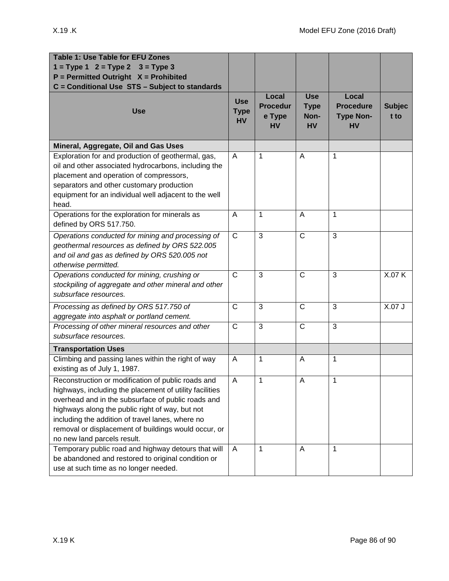| <b>Table 1: Use Table for EFU Zones</b><br>$1 = Type 1 2 = Type 2$<br>$3 = Type 3$<br>$P = Permitted$ Outright $X = Prohibited$<br>C = Conditional Use STS - Subject to standards                                                                                                                                                                                 |                                        |                                                 |                                                |                                                            |                       |
|-------------------------------------------------------------------------------------------------------------------------------------------------------------------------------------------------------------------------------------------------------------------------------------------------------------------------------------------------------------------|----------------------------------------|-------------------------------------------------|------------------------------------------------|------------------------------------------------------------|-----------------------|
| <b>Use</b>                                                                                                                                                                                                                                                                                                                                                        | <b>Use</b><br><b>Type</b><br><b>HV</b> | Local<br><b>Procedur</b><br>e Type<br><b>HV</b> | <b>Use</b><br><b>Type</b><br>Non-<br><b>HV</b> | Local<br><b>Procedure</b><br><b>Type Non-</b><br><b>HV</b> | <b>Subjec</b><br>t to |
| Mineral, Aggregate, Oil and Gas Uses                                                                                                                                                                                                                                                                                                                              |                                        |                                                 |                                                |                                                            |                       |
| Exploration for and production of geothermal, gas,<br>oil and other associated hydrocarbons, including the<br>placement and operation of compressors,<br>separators and other customary production<br>equipment for an individual well adjacent to the well<br>head.                                                                                              | A                                      | 1                                               | A                                              | 1                                                          |                       |
| Operations for the exploration for minerals as<br>defined by ORS 517.750.                                                                                                                                                                                                                                                                                         | A                                      | 1                                               | A                                              | 1                                                          |                       |
| Operations conducted for mining and processing of<br>geothermal resources as defined by ORS 522.005<br>and oil and gas as defined by ORS 520.005 not<br>otherwise permitted.                                                                                                                                                                                      | $\mathsf{C}$                           | 3                                               | $\mathsf{C}$                                   | 3                                                          |                       |
| Operations conducted for mining, crushing or<br>stockpiling of aggregate and other mineral and other<br>subsurface resources.                                                                                                                                                                                                                                     | $\mathsf{C}$                           | 3                                               | $\mathsf{C}$                                   | 3                                                          | X.07 K                |
| Processing as defined by ORS 517.750 of<br>aggregate into asphalt or portland cement.                                                                                                                                                                                                                                                                             | $\mathsf{C}$                           | 3                                               | $\mathsf{C}$                                   | 3                                                          | X.07 J                |
| Processing of other mineral resources and other<br>subsurface resources.                                                                                                                                                                                                                                                                                          | $\mathsf{C}$                           | $\overline{3}$                                  | $\overline{C}$                                 | 3                                                          |                       |
| <b>Transportation Uses</b>                                                                                                                                                                                                                                                                                                                                        |                                        |                                                 |                                                |                                                            |                       |
| Climbing and passing lanes within the right of way<br>existing as of July 1, 1987.                                                                                                                                                                                                                                                                                | A                                      | 1                                               | A                                              | 1                                                          |                       |
| Reconstruction or modification of public roads and<br>highways, including the placement of utility facilities<br>overhead and in the subsurface of public roads and<br>highways along the public right of way, but not<br>including the addition of travel lanes, where no<br>removal or displacement of buildings would occur, or<br>no new land parcels result. | A                                      | 1                                               | A                                              | 1                                                          |                       |
| Temporary public road and highway detours that will<br>be abandoned and restored to original condition or<br>use at such time as no longer needed.                                                                                                                                                                                                                | A                                      | $\mathbf{1}$                                    | A                                              | 1                                                          |                       |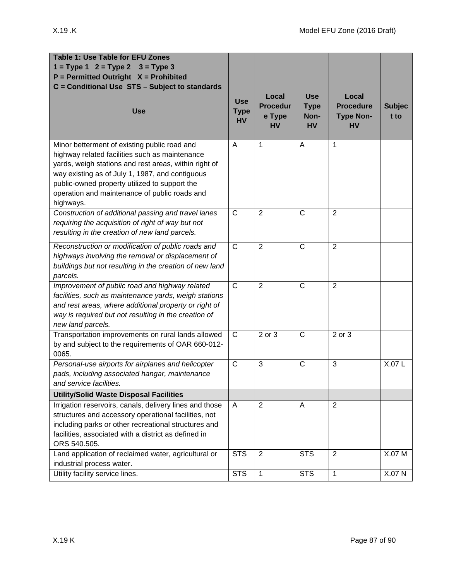| <b>Table 1: Use Table for EFU Zones</b><br>$1 = Type 1$ $2 = Type 2$ $3 = Type 3$<br>$P = Permitted$ Outright $X = Prohibited$                                                                                                                                                                                            |                                        |                                                 |                                                |                                                            |                       |
|---------------------------------------------------------------------------------------------------------------------------------------------------------------------------------------------------------------------------------------------------------------------------------------------------------------------------|----------------------------------------|-------------------------------------------------|------------------------------------------------|------------------------------------------------------------|-----------------------|
| C = Conditional Use STS - Subject to standards<br><b>Use</b>                                                                                                                                                                                                                                                              | <b>Use</b><br><b>Type</b><br><b>HV</b> | Local<br><b>Procedur</b><br>e Type<br><b>HV</b> | <b>Use</b><br><b>Type</b><br>Non-<br><b>HV</b> | Local<br><b>Procedure</b><br><b>Type Non-</b><br><b>HV</b> | <b>Subjec</b><br>t to |
| Minor betterment of existing public road and<br>highway related facilities such as maintenance<br>yards, weigh stations and rest areas, within right of<br>way existing as of July 1, 1987, and contiguous<br>public-owned property utilized to support the<br>operation and maintenance of public roads and<br>highways. | Α                                      | 1                                               | A                                              | 1                                                          |                       |
| Construction of additional passing and travel lanes<br>requiring the acquisition of right of way but not<br>resulting in the creation of new land parcels.                                                                                                                                                                | $\mathsf{C}$                           | $\overline{2}$                                  | $\mathsf{C}$                                   | $\overline{2}$                                             |                       |
| Reconstruction or modification of public roads and<br>highways involving the removal or displacement of<br>buildings but not resulting in the creation of new land<br>parcels.                                                                                                                                            | $\mathsf{C}$                           | $\overline{2}$                                  | $\mathsf C$                                    | $\overline{2}$                                             |                       |
| Improvement of public road and highway related<br>facilities, such as maintenance yards, weigh stations<br>and rest areas, where additional property or right of<br>way is required but not resulting in the creation of<br>new land parcels.                                                                             | $\mathsf{C}$                           | $\overline{2}$                                  | $\mathsf C$                                    | 2                                                          |                       |
| Transportation improvements on rural lands allowed<br>by and subject to the requirements of OAR 660-012-<br>0065.                                                                                                                                                                                                         | $\mathsf{C}$                           | 2 or 3                                          | $\mathsf{C}$                                   | 2 or 3                                                     |                       |
| Personal-use airports for airplanes and helicopter<br>pads, including associated hangar, maintenance<br>and service facilities.                                                                                                                                                                                           | $\mathsf{C}$                           | 3                                               | $\mathsf{C}$                                   | 3                                                          | X.07L                 |
| <b>Utility/Solid Waste Disposal Facilities</b>                                                                                                                                                                                                                                                                            |                                        |                                                 |                                                |                                                            |                       |
| Irrigation reservoirs, canals, delivery lines and those<br>structures and accessory operational facilities, not<br>including parks or other recreational structures and<br>facilities, associated with a district as defined in<br>ORS 540.505.                                                                           | A                                      | $\overline{2}$                                  | A                                              | 2                                                          |                       |
| Land application of reclaimed water, agricultural or<br>industrial process water.                                                                                                                                                                                                                                         | <b>STS</b>                             | $\overline{2}$                                  | <b>STS</b>                                     | $\overline{2}$                                             | X.07 M                |
| Utility facility service lines.                                                                                                                                                                                                                                                                                           | <b>STS</b>                             | 1                                               | <b>STS</b>                                     | $\mathbf{1}$                                               | X.07 N                |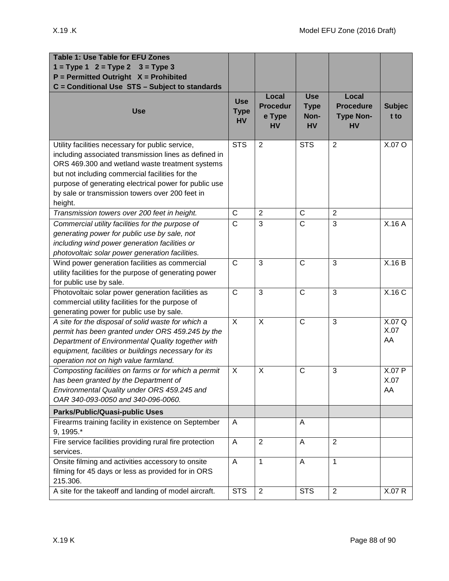| <b>Table 1: Use Table for EFU Zones</b>                                              |                                        |                                                 |                                                |                                                            |                       |
|--------------------------------------------------------------------------------------|----------------------------------------|-------------------------------------------------|------------------------------------------------|------------------------------------------------------------|-----------------------|
| $1 = Type 1$ $2 = Type 2$ $3 = Type 3$                                               |                                        |                                                 |                                                |                                                            |                       |
| $P = Permitted$ Outright $X = Prohibited$                                            |                                        |                                                 |                                                |                                                            |                       |
| C = Conditional Use STS - Subject to standards                                       |                                        |                                                 |                                                |                                                            |                       |
| <b>Use</b>                                                                           | <b>Use</b><br><b>Type</b><br><b>HV</b> | Local<br><b>Procedur</b><br>e Type<br><b>HV</b> | <b>Use</b><br><b>Type</b><br>Non-<br><b>HV</b> | Local<br><b>Procedure</b><br><b>Type Non-</b><br><b>HV</b> | <b>Subjec</b><br>t to |
| Utility facilities necessary for public service,                                     | <b>STS</b>                             | 2                                               | <b>STS</b>                                     | 2                                                          | X.07 O                |
| including associated transmission lines as defined in                                |                                        |                                                 |                                                |                                                            |                       |
| ORS 469.300 and wetland waste treatment systems                                      |                                        |                                                 |                                                |                                                            |                       |
| but not including commercial facilities for the                                      |                                        |                                                 |                                                |                                                            |                       |
| purpose of generating electrical power for public use                                |                                        |                                                 |                                                |                                                            |                       |
| by sale or transmission towers over 200 feet in                                      |                                        |                                                 |                                                |                                                            |                       |
| height.                                                                              |                                        |                                                 |                                                |                                                            |                       |
| Transmission towers over 200 feet in height.                                         | $\mathsf{C}$                           | $\overline{2}$                                  | $\mathsf{C}$                                   | $\overline{2}$                                             |                       |
| Commercial utility facilities for the purpose of                                     | $\mathsf{C}$                           | 3                                               | $\mathsf{C}$                                   | 3                                                          | X.16 A                |
| generating power for public use by sale, not                                         |                                        |                                                 |                                                |                                                            |                       |
| including wind power generation facilities or                                        |                                        |                                                 |                                                |                                                            |                       |
| photovoltaic solar power generation facilities.                                      |                                        |                                                 |                                                |                                                            |                       |
| Wind power generation facilities as commercial                                       | $\mathsf{C}$                           | 3                                               | $\mathsf{C}$                                   | 3                                                          | X.16B                 |
| utility facilities for the purpose of generating power                               |                                        |                                                 |                                                |                                                            |                       |
| for public use by sale.                                                              |                                        |                                                 |                                                |                                                            |                       |
| Photovoltaic solar power generation facilities as                                    | $\mathsf{C}$                           | 3                                               | $\mathsf{C}$                                   | 3                                                          | X.16 C                |
| commercial utility facilities for the purpose of                                     |                                        |                                                 |                                                |                                                            |                       |
| generating power for public use by sale.                                             |                                        |                                                 |                                                |                                                            |                       |
| A site for the disposal of solid waste for which a                                   | $\times$                               | $\overline{X}$                                  | $\overline{C}$                                 | 3                                                          | X.07Q<br>X.07         |
| permit has been granted under ORS 459.245 by the                                     |                                        |                                                 |                                                |                                                            | AA                    |
| Department of Environmental Quality together with                                    |                                        |                                                 |                                                |                                                            |                       |
| equipment, facilities or buildings necessary for its                                 |                                        |                                                 |                                                |                                                            |                       |
| operation not on high value farmland.                                                |                                        |                                                 |                                                |                                                            |                       |
| Composting facilities on farms or for which a permit                                 | $\boldsymbol{\mathsf{X}}$              | $\boldsymbol{\mathsf{X}}$                       | $\mathsf{C}$                                   | 3                                                          | X.07 P                |
| has been granted by the Department of<br>Environmental Quality under ORS 459.245 and |                                        |                                                 |                                                |                                                            | X.07                  |
| OAR 340-093-0050 and 340-096-0060.                                                   |                                        |                                                 |                                                |                                                            | AA                    |
| <b>Parks/Public/Quasi-public Uses</b>                                                |                                        |                                                 |                                                |                                                            |                       |
| Firearms training facility in existence on September                                 | A                                      |                                                 | A                                              |                                                            |                       |
| 9, 1995.*                                                                            |                                        |                                                 |                                                |                                                            |                       |
| Fire service facilities providing rural fire protection                              | A                                      | 2                                               | A                                              | 2                                                          |                       |
| services.                                                                            |                                        |                                                 |                                                |                                                            |                       |
| Onsite filming and activities accessory to onsite                                    | A                                      | $\mathbf{1}$                                    | A                                              | 1                                                          |                       |
| filming for 45 days or less as provided for in ORS                                   |                                        |                                                 |                                                |                                                            |                       |
| 215.306.                                                                             |                                        |                                                 |                                                |                                                            |                       |
| A site for the takeoff and landing of model aircraft.                                | <b>STS</b>                             | $\overline{2}$                                  | <b>STS</b>                                     | 2                                                          | X.07 R                |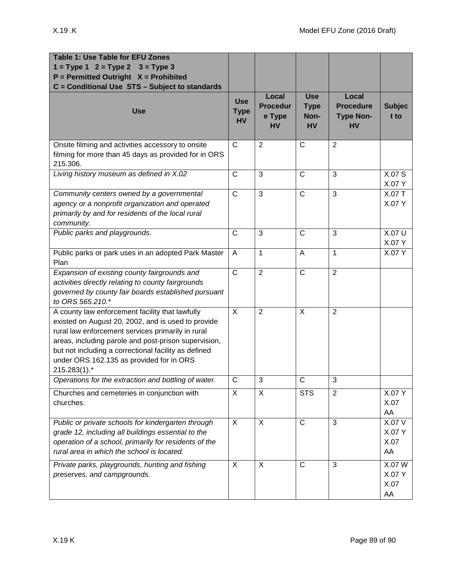| <b>Table 1: Use Table for EFU Zones</b><br>$1 = Type 1$ $2 = Type 2$ $3 = Type 3$<br>$P = Permitted$ Outright $X = Prohibited$<br>C = Conditional Use STS - Subject to standards                                                                                                                                                       |                                        |                                                 |                                                |                                                            |                                |
|----------------------------------------------------------------------------------------------------------------------------------------------------------------------------------------------------------------------------------------------------------------------------------------------------------------------------------------|----------------------------------------|-------------------------------------------------|------------------------------------------------|------------------------------------------------------------|--------------------------------|
| <b>Use</b>                                                                                                                                                                                                                                                                                                                             | <b>Use</b><br><b>Type</b><br><b>HV</b> | Local<br><b>Procedur</b><br>e Type<br><b>HV</b> | <b>Use</b><br><b>Type</b><br>Non-<br><b>HV</b> | Local<br><b>Procedure</b><br><b>Type Non-</b><br><b>HV</b> | <b>Subjec</b><br>t to          |
| Onsite filming and activities accessory to onsite<br>filming for more than 45 days as provided for in ORS<br>215.306.                                                                                                                                                                                                                  | $\mathsf{C}$                           | $\overline{2}$                                  | $\mathsf{C}$                                   | 2                                                          |                                |
| Living history museum as defined in X.02                                                                                                                                                                                                                                                                                               | $\mathsf{C}$                           | 3                                               | $\mathsf C$                                    | 3                                                          | X.07 S<br>X.07 Y               |
| Community centers owned by a governmental<br>agency or a nonprofit organization and operated<br>primarily by and for residents of the local rural<br>community.                                                                                                                                                                        | $\mathsf{C}$                           | 3                                               | $\mathsf{C}$                                   | 3                                                          | X.07 T<br>X.07 Y               |
| Public parks and playgrounds.                                                                                                                                                                                                                                                                                                          | $\mathsf{C}$                           | 3                                               | $\mathsf{C}$                                   | 3                                                          | <b>X.07 U</b><br>X.07 Y        |
| Public parks or park uses in an adopted Park Master<br>Plan                                                                                                                                                                                                                                                                            | A                                      | 1                                               | A                                              | $\mathbf{1}$                                               | $X.07\overline{Y}$             |
| Expansion of existing county fairgrounds and<br>activities directly relating to county fairgrounds<br>governed by county fair boards established pursuant<br>to ORS 565.210.*                                                                                                                                                          | $\mathsf{C}$                           | $\overline{2}$                                  | $\mathsf{C}$                                   | $\overline{2}$                                             |                                |
| A county law enforcement facility that lawfully<br>existed on August 20, 2002, and is used to provide<br>rural law enforcement services primarily in rural<br>areas, including parole and post-prison supervision,<br>but not including a correctional facility as defined<br>under ORS 162.135 as provided for in ORS<br>215.283(1).* | X                                      | $\overline{2}$                                  | X                                              | $\overline{2}$                                             |                                |
| Operations for the extraction and bottling of water.                                                                                                                                                                                                                                                                                   | C                                      | 3                                               | C                                              | 3                                                          |                                |
| Churches and cemeteries in conjunction with<br>churches.                                                                                                                                                                                                                                                                               | X                                      | X                                               | <b>STS</b>                                     | $\overline{2}$                                             | X.07 Y<br>X.07<br>AA           |
| Public or private schools for kindergarten through<br>grade 12, including all buildings essential to the<br>operation of a school, primarily for residents of the<br>rural area in which the school is located.                                                                                                                        | X                                      | $\mathsf{X}$                                    | $\overline{C}$                                 | 3                                                          | X.07 V<br>X.07 Y<br>X.07<br>AA |
| Private parks, playgrounds, hunting and fishing<br>preserves, and campgrounds.                                                                                                                                                                                                                                                         | X                                      | X                                               | $\mathsf{C}$                                   | 3                                                          | X.07 W<br>X.07 Y<br>X.07<br>AA |